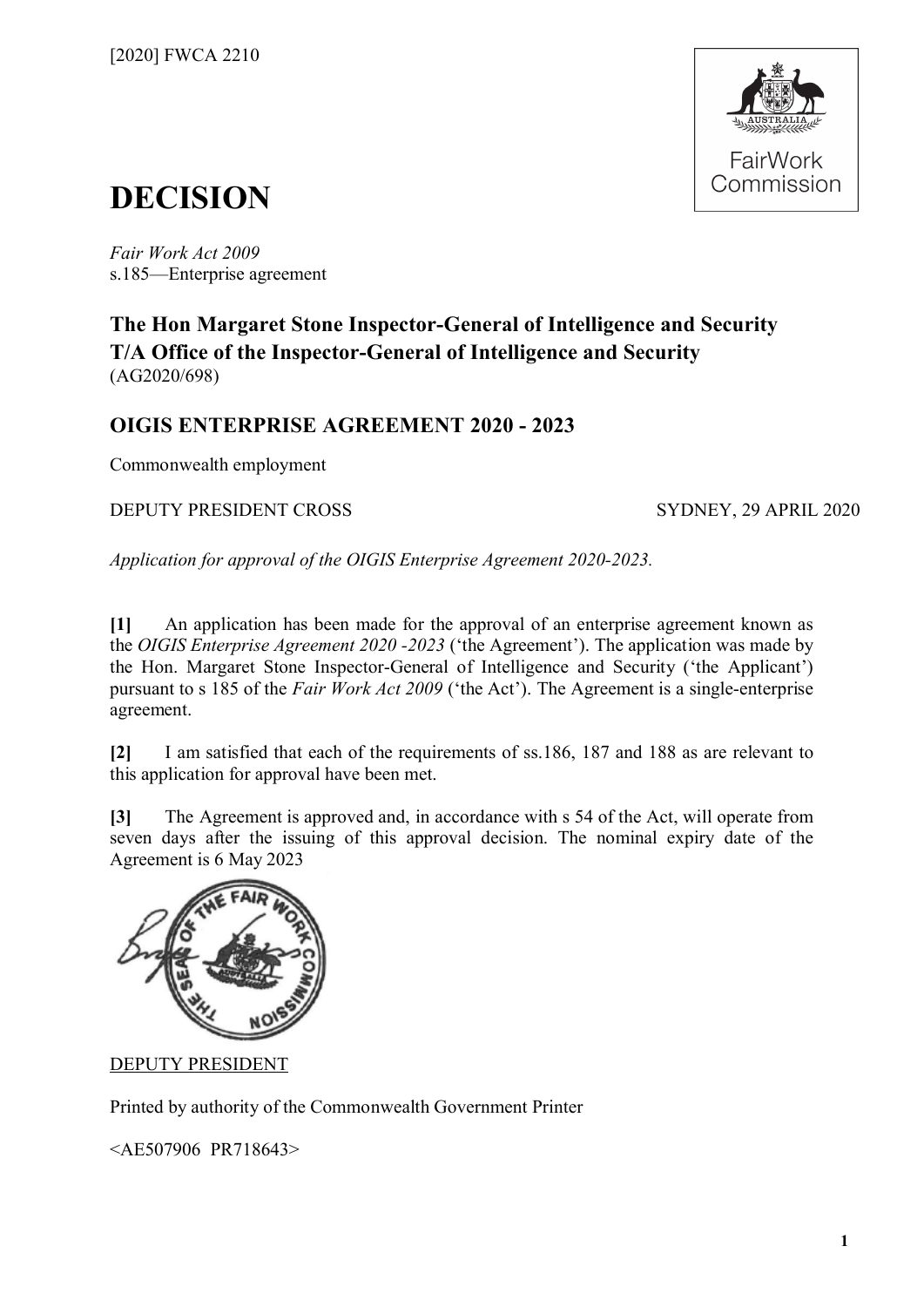

# **DECISION**

*Fair Work Act 2009*  s.185—Enterprise agreement

### **The Hon Margaret Stone Inspector-General of Intelligence and Security T/A Office of the Inspector-General of Intelligence and Security** (AG2020/698)

### **OIGIS ENTERPRISE AGREEMENT 2020 - 2023**

Commonwealth employment

DEPUTY PRESIDENT CROSS SYDNEY, 29 APRIL 2020

*Application for approval of the OIGIS Enterprise Agreement 2020-2023.*

**[1]** An application has been made for the approval of an enterprise agreement known as the *OIGIS Enterprise Agreement 2020 -2023* ('the Agreement'). The application was made by the Hon. Margaret Stone Inspector-General of Intelligence and Security ('the Applicant') pursuant to s 185 of the *Fair Work Act 2009* ('the Act'). The Agreement is a single-enterprise agreement.

**[2]** I am satisfied that each of the requirements of ss.186, 187 and 188 as are relevant to this application for approval have been met.

**[3]** The Agreement is approved and, in accordance with s 54 of the Act, will operate from seven days after the issuing of this approval decision. The nominal expiry date of the Agreement is 6 May 2023



DEPUTY PRESIDENT

Printed by authority of the Commonwealth Government Printer

<AE507906 PR718643>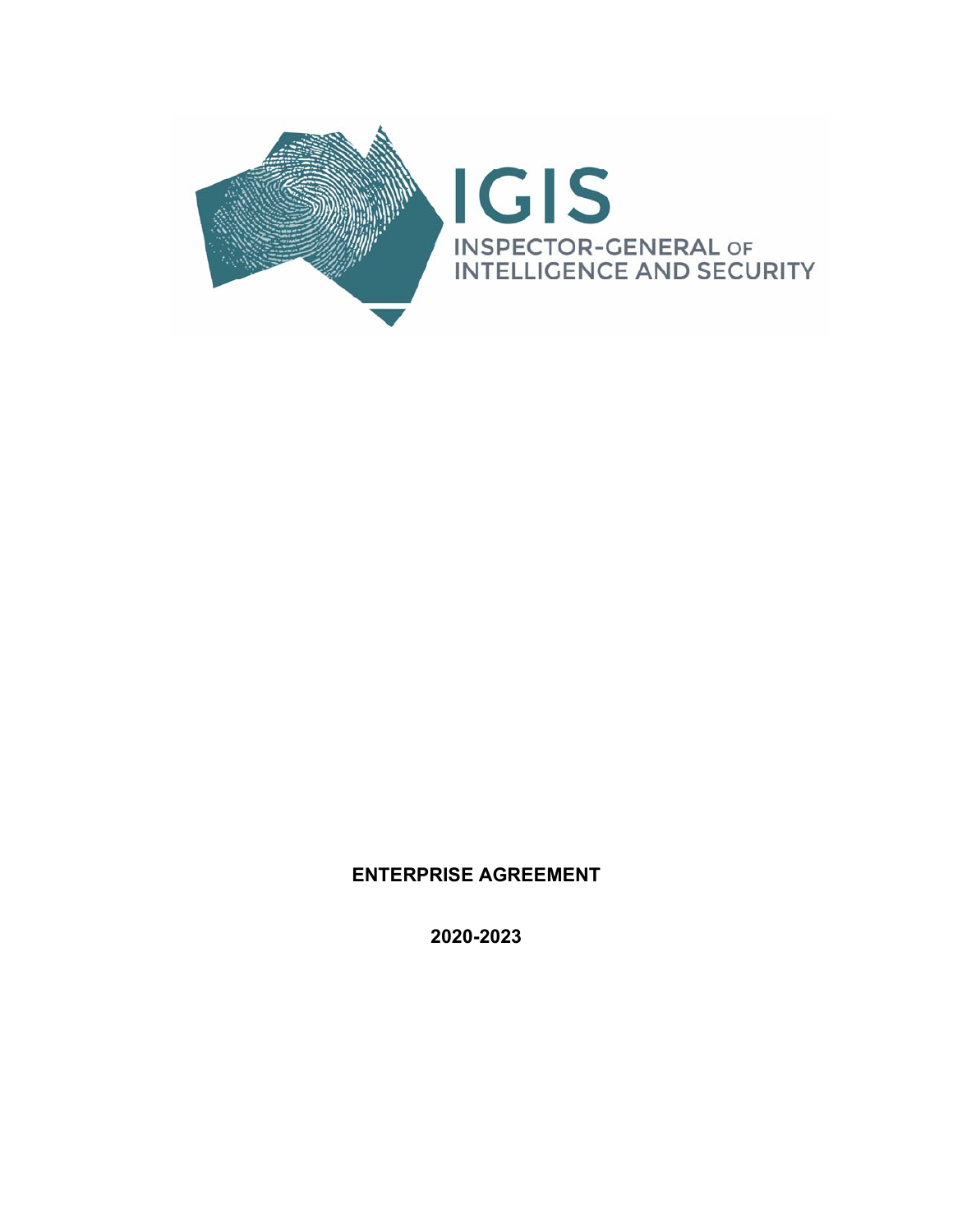

#### **ENTERPRISE AGREEMENT**

**2020-2023**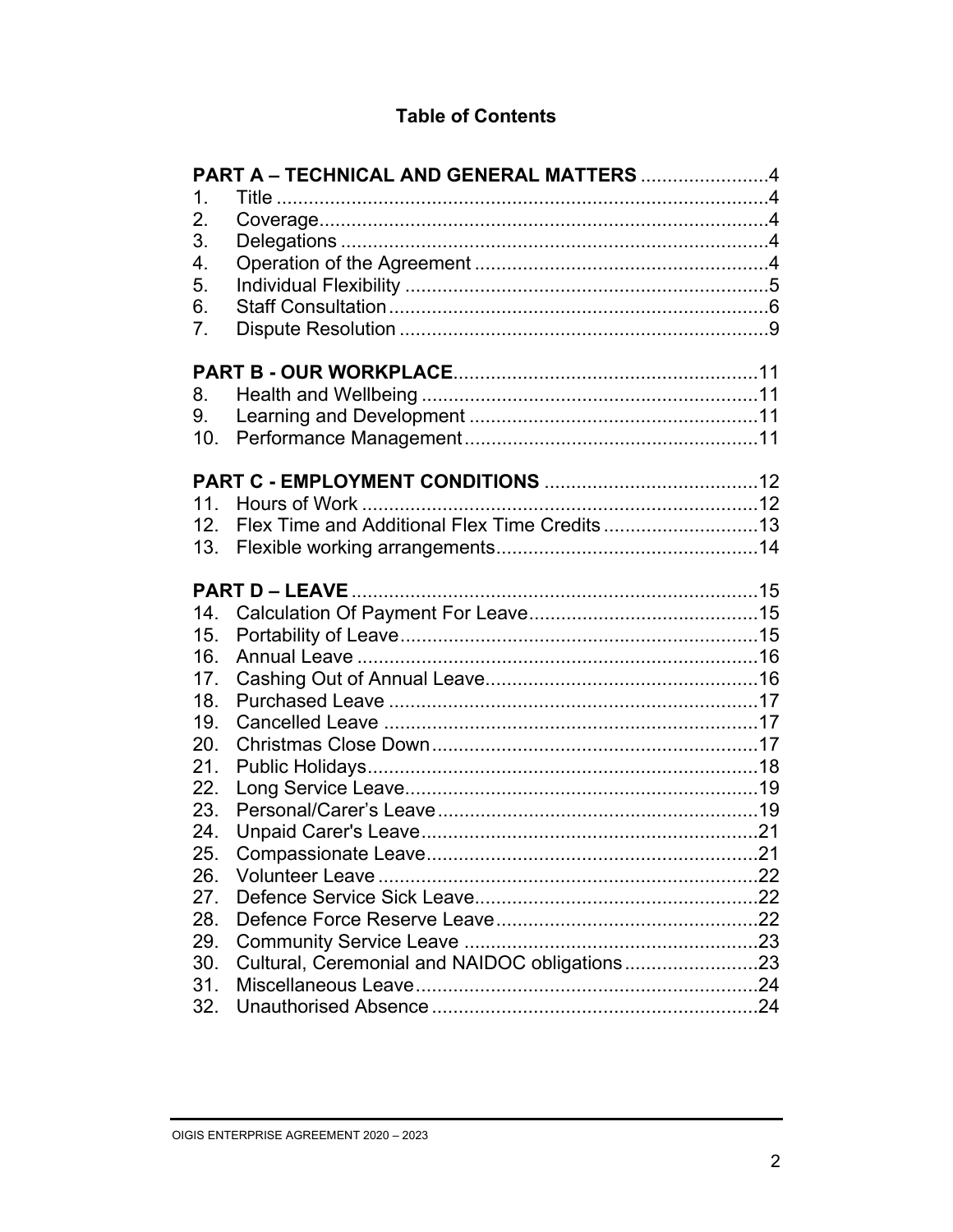#### **Table of Contents**

|                 | PART A - TECHNICAL AND GENERAL MATTERS 4      |     |
|-----------------|-----------------------------------------------|-----|
| $\mathbf 1$     |                                               |     |
| 2.              |                                               |     |
| 3.              |                                               |     |
| 4.              |                                               |     |
| 5.              |                                               |     |
| 6.              |                                               |     |
| 7 <sub>1</sub>  |                                               |     |
|                 |                                               |     |
| 8.              |                                               |     |
| 9.              |                                               |     |
| 10 <sub>1</sub> |                                               |     |
|                 |                                               |     |
|                 |                                               |     |
| 12 <sub>1</sub> |                                               |     |
| 13.             |                                               |     |
|                 |                                               |     |
| 14.             |                                               |     |
| 15.             |                                               |     |
| 16.             |                                               |     |
| 17.             |                                               |     |
| 18.             |                                               |     |
| 19.             |                                               |     |
| 20.             |                                               |     |
| 21.             |                                               |     |
| 22.             |                                               |     |
| 23.             |                                               |     |
| 24.             |                                               |     |
| 25.             |                                               |     |
| 26.             |                                               | .22 |
| 27.             |                                               |     |
| 28.             |                                               |     |
| 29.             |                                               |     |
| 30.             | Cultural, Ceremonial and NAIDOC obligations23 |     |
| 31.             |                                               |     |
| 32.             |                                               |     |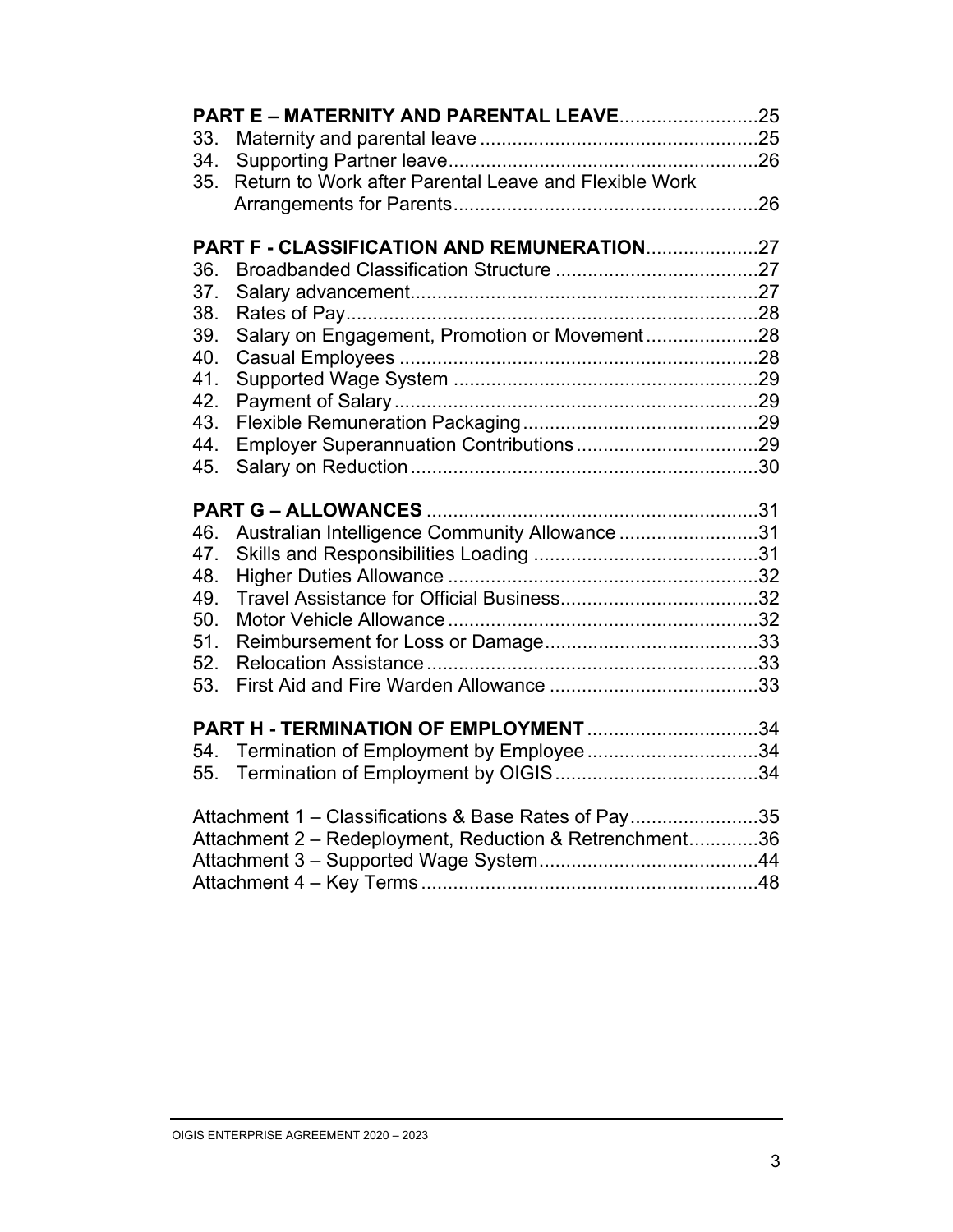| 33. |                                                         |  |
|-----|---------------------------------------------------------|--|
| 34. |                                                         |  |
| 35. | Return to Work after Parental Leave and Flexible Work   |  |
|     |                                                         |  |
|     |                                                         |  |
| 36. | PART F - CLASSIFICATION AND REMUNERATION27              |  |
| 37. |                                                         |  |
| 38. |                                                         |  |
| 39. | Salary on Engagement, Promotion or Movement28           |  |
| 40. |                                                         |  |
| 41. |                                                         |  |
| 42. |                                                         |  |
| 43. |                                                         |  |
| 44. |                                                         |  |
| 45. |                                                         |  |
|     |                                                         |  |
|     |                                                         |  |
| 46. | Australian Intelligence Community Allowance31           |  |
| 47. |                                                         |  |
| 48. |                                                         |  |
| 49. |                                                         |  |
| 50. |                                                         |  |
| 51. |                                                         |  |
| 52. |                                                         |  |
| 53. |                                                         |  |
|     | <b>PART H - TERMINATION OF EMPLOYMENT</b> 34            |  |
| 54. | Termination of Employment by Employee34                 |  |
| 55. |                                                         |  |
|     |                                                         |  |
|     | Attachment 1 – Classifications & Base Rates of Pay35    |  |
|     | Attachment 2 - Redeployment, Reduction & Retrenchment36 |  |
|     |                                                         |  |
|     |                                                         |  |
|     |                                                         |  |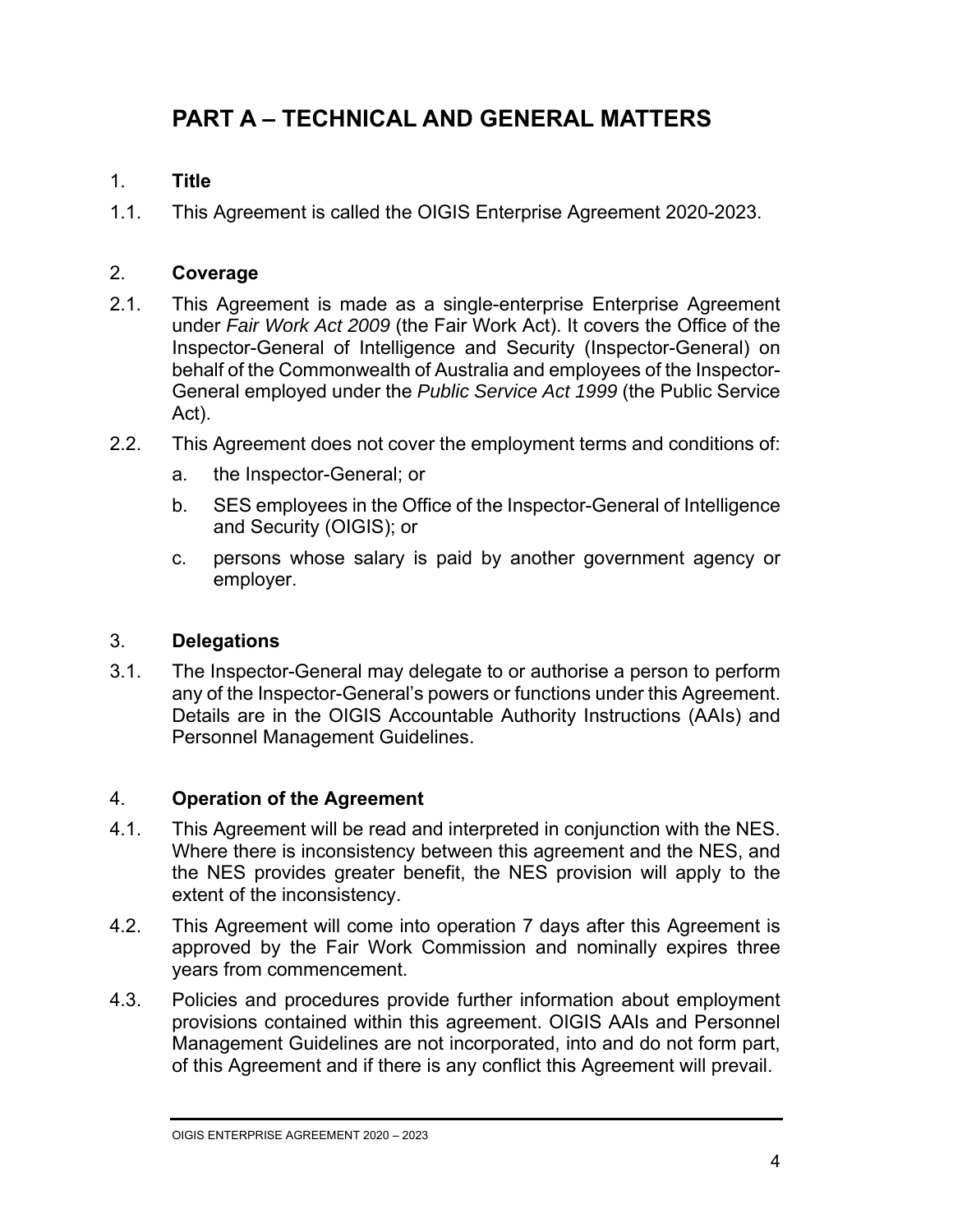### **PART A – TECHNICAL AND GENERAL MATTERS**

#### 1. **Title**

1.1. This Agreement is called the OIGIS Enterprise Agreement 2020-2023.

#### 2. **Coverage**

- 2.1. This Agreement is made as a single-enterprise Enterprise Agreement under *Fair Work Act 2009* (the Fair Work Act). It covers the Office of the Inspector-General of Intelligence and Security (Inspector-General) on behalf of the Commonwealth of Australia and employees of the Inspector-General employed under the *Public Service Act 1999* (the Public Service Act).
- 2.2. This Agreement does not cover the employment terms and conditions of:
	- a. the Inspector-General; or
	- b. SES employees in the Office of the Inspector-General of Intelligence and Security (OIGIS); or
	- c. persons whose salary is paid by another government agency or employer.

#### 3. **Delegations**

3.1. The Inspector-General may delegate to or authorise a person to perform any of the Inspector-General's powers or functions under this Agreement. Details are in the OIGIS Accountable Authority Instructions (AAIs) and Personnel Management Guidelines.

#### 4. **Operation of the Agreement**

- 4.1. This Agreement will be read and interpreted in conjunction with the NES. Where there is inconsistency between this agreement and the NES, and the NES provides greater benefit, the NES provision will apply to the extent of the inconsistency.
- 4.2. This Agreement will come into operation 7 days after this Agreement is approved by the Fair Work Commission and nominally expires three years from commencement.
- 4.3. Policies and procedures provide further information about employment provisions contained within this agreement. OIGIS AAIs and Personnel Management Guidelines are not incorporated, into and do not form part, of this Agreement and if there is any conflict this Agreement will prevail.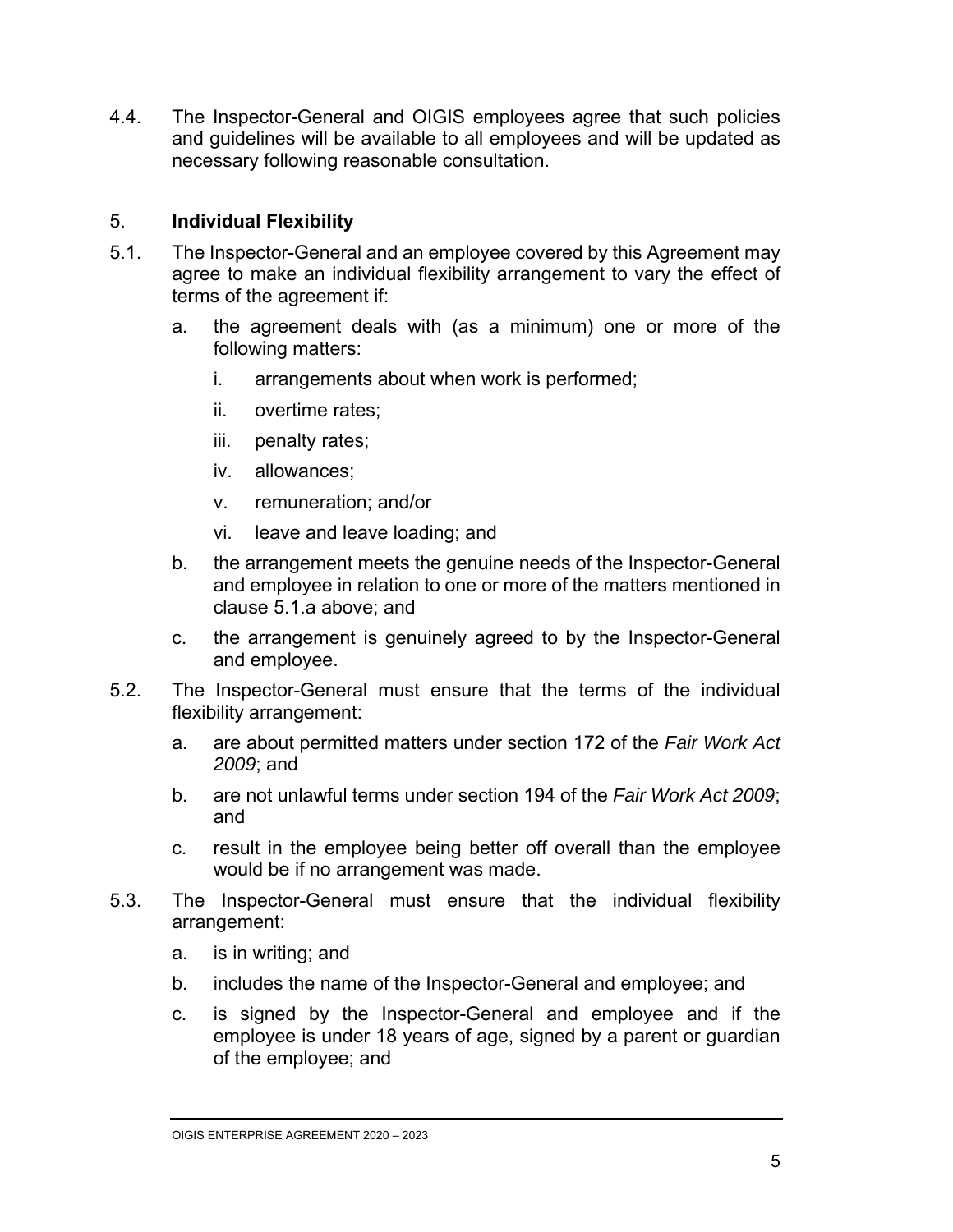4.4. The Inspector-General and OIGIS employees agree that such policies and guidelines will be available to all employees and will be updated as necessary following reasonable consultation.

#### 5. **Individual Flexibility**

- 5.1. The Inspector-General and an employee covered by this Agreement may agree to make an individual flexibility arrangement to vary the effect of terms of the agreement if:
	- a. the agreement deals with (as a minimum) one or more of the following matters:
		- i. arrangements about when work is performed;
		- ii. overtime rates;
		- iii. penalty rates;
		- iv. allowances;
		- v. remuneration; and/or
		- vi. leave and leave loading; and
	- b. the arrangement meets the genuine needs of the Inspector-General and employee in relation to one or more of the matters mentioned in clause 5.1.a above; and
	- c. the arrangement is genuinely agreed to by the Inspector-General and employee.
- 5.2. The Inspector-General must ensure that the terms of the individual flexibility arrangement:
	- a. are about permitted matters under section 172 of the *Fair Work Act 2009*; and
	- b. are not unlawful terms under section 194 of the *Fair Work Act 2009*; and
	- c. result in the employee being better off overall than the employee would be if no arrangement was made.
- 5.3. The Inspector-General must ensure that the individual flexibility arrangement:
	- a. is in writing; and
	- b. includes the name of the Inspector-General and employee; and
	- c. is signed by the Inspector-General and employee and if the employee is under 18 years of age, signed by a parent or guardian of the employee; and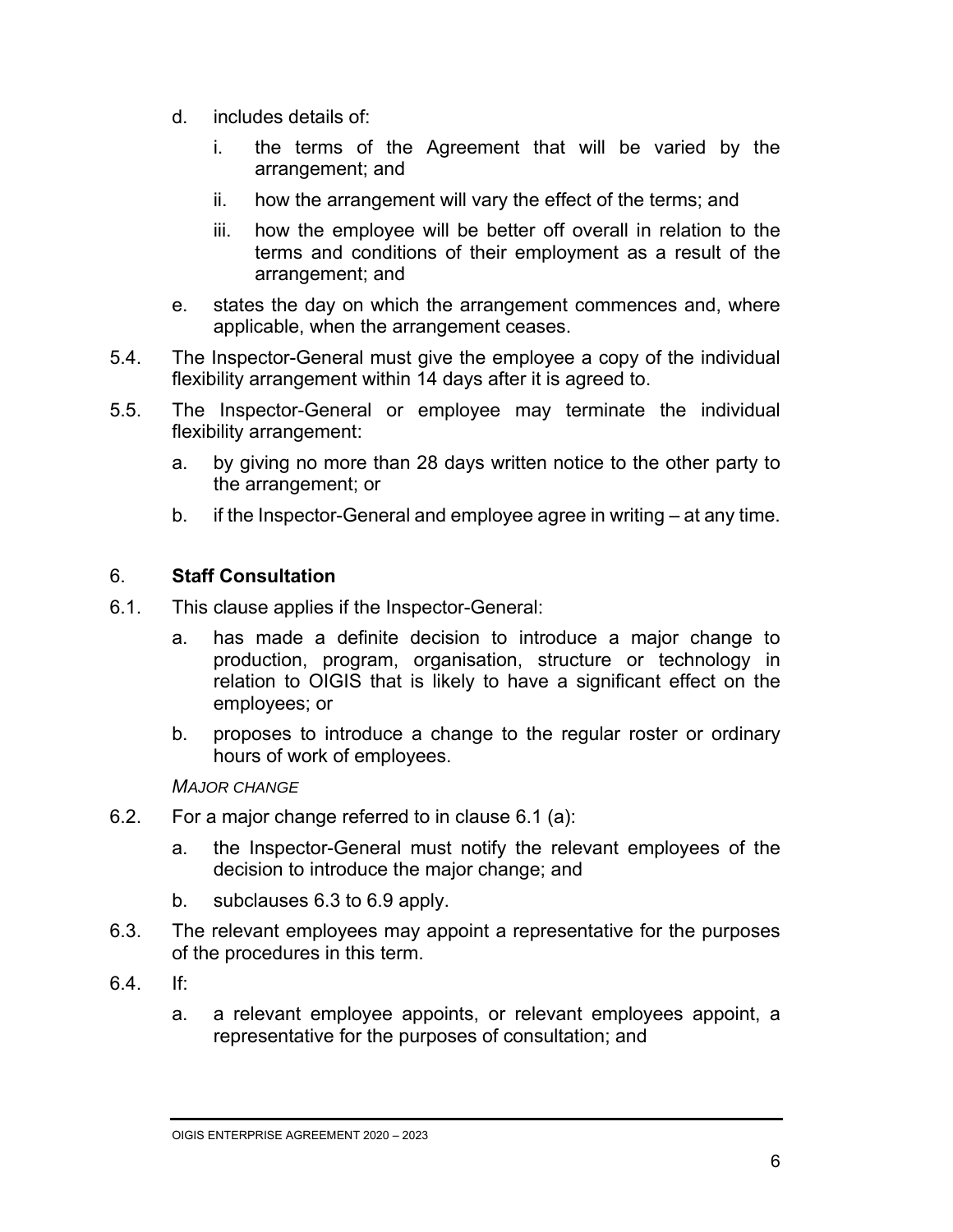- d. includes details of:
	- i. the terms of the Agreement that will be varied by the arrangement; and
	- ii. how the arrangement will vary the effect of the terms; and
	- iii. how the employee will be better off overall in relation to the terms and conditions of their employment as a result of the arrangement; and
- e. states the day on which the arrangement commences and, where applicable, when the arrangement ceases.
- 5.4. The Inspector-General must give the employee a copy of the individual flexibility arrangement within 14 days after it is agreed to.
- 5.5. The Inspector-General or employee may terminate the individual flexibility arrangement:
	- a. by giving no more than 28 days written notice to the other party to the arrangement; or
	- b. if the Inspector-General and employee agree in writing at any time.

#### 6. **Staff Consultation**

- 6.1. This clause applies if the Inspector-General:
	- a. has made a definite decision to introduce a major change to production, program, organisation, structure or technology in relation to OIGIS that is likely to have a significant effect on the employees; or
	- b. proposes to introduce a change to the regular roster or ordinary hours of work of employees.

#### *MAJOR CHANGE*

- 6.2. For a major change referred to in clause 6.1 (a):
	- a. the Inspector-General must notify the relevant employees of the decision to introduce the major change; and
	- b. subclauses 6.3 to 6.9 apply.
- 6.3. The relevant employees may appoint a representative for the purposes of the procedures in this term.
- 6.4. If:
	- a. a relevant employee appoints, or relevant employees appoint, a representative for the purposes of consultation; and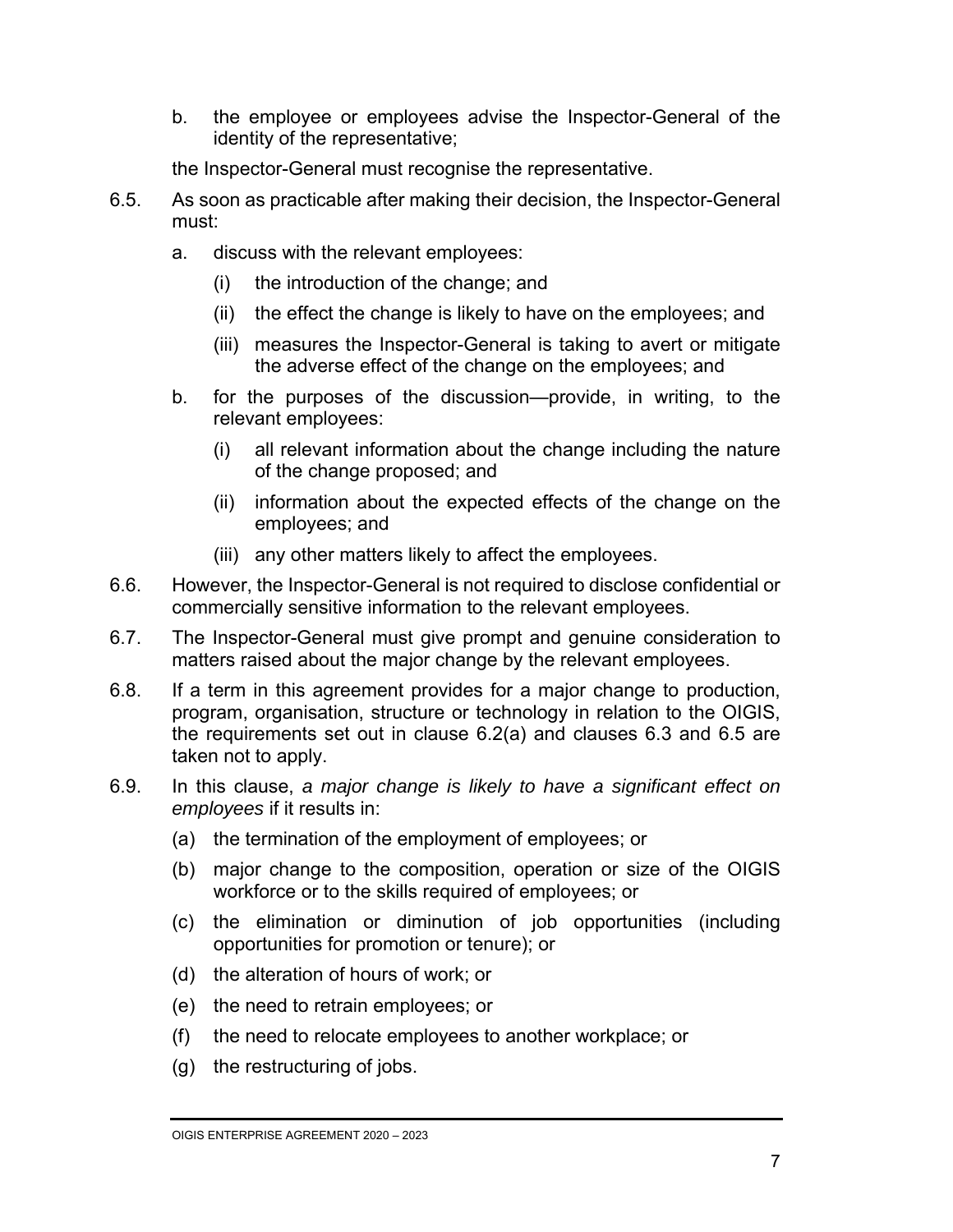b. the employee or employees advise the Inspector-General of the identity of the representative;

the Inspector-General must recognise the representative.

- 6.5. As soon as practicable after making their decision, the Inspector-General must:
	- a. discuss with the relevant employees:
		- (i) the introduction of the change; and
		- (ii) the effect the change is likely to have on the employees; and
		- (iii) measures the Inspector-General is taking to avert or mitigate the adverse effect of the change on the employees; and
	- b. for the purposes of the discussion—provide, in writing, to the relevant employees:
		- (i) all relevant information about the change including the nature of the change proposed; and
		- (ii) information about the expected effects of the change on the employees; and
		- (iii) any other matters likely to affect the employees.
- 6.6. However, the Inspector-General is not required to disclose confidential or commercially sensitive information to the relevant employees.
- 6.7. The Inspector-General must give prompt and genuine consideration to matters raised about the major change by the relevant employees.
- 6.8. If a term in this agreement provides for a major change to production, program, organisation, structure or technology in relation to the OIGIS, the requirements set out in clause 6.2(a) and clauses 6.3 and 6.5 are taken not to apply.
- 6.9. In this clause, *a major change is likely to have a significant effect on employees* if it results in:
	- (a) the termination of the employment of employees; or
	- (b) major change to the composition, operation or size of the OIGIS workforce or to the skills required of employees; or
	- (c) the elimination or diminution of job opportunities (including opportunities for promotion or tenure); or
	- (d) the alteration of hours of work; or
	- (e) the need to retrain employees; or
	- (f) the need to relocate employees to another workplace; or
	- (g) the restructuring of jobs.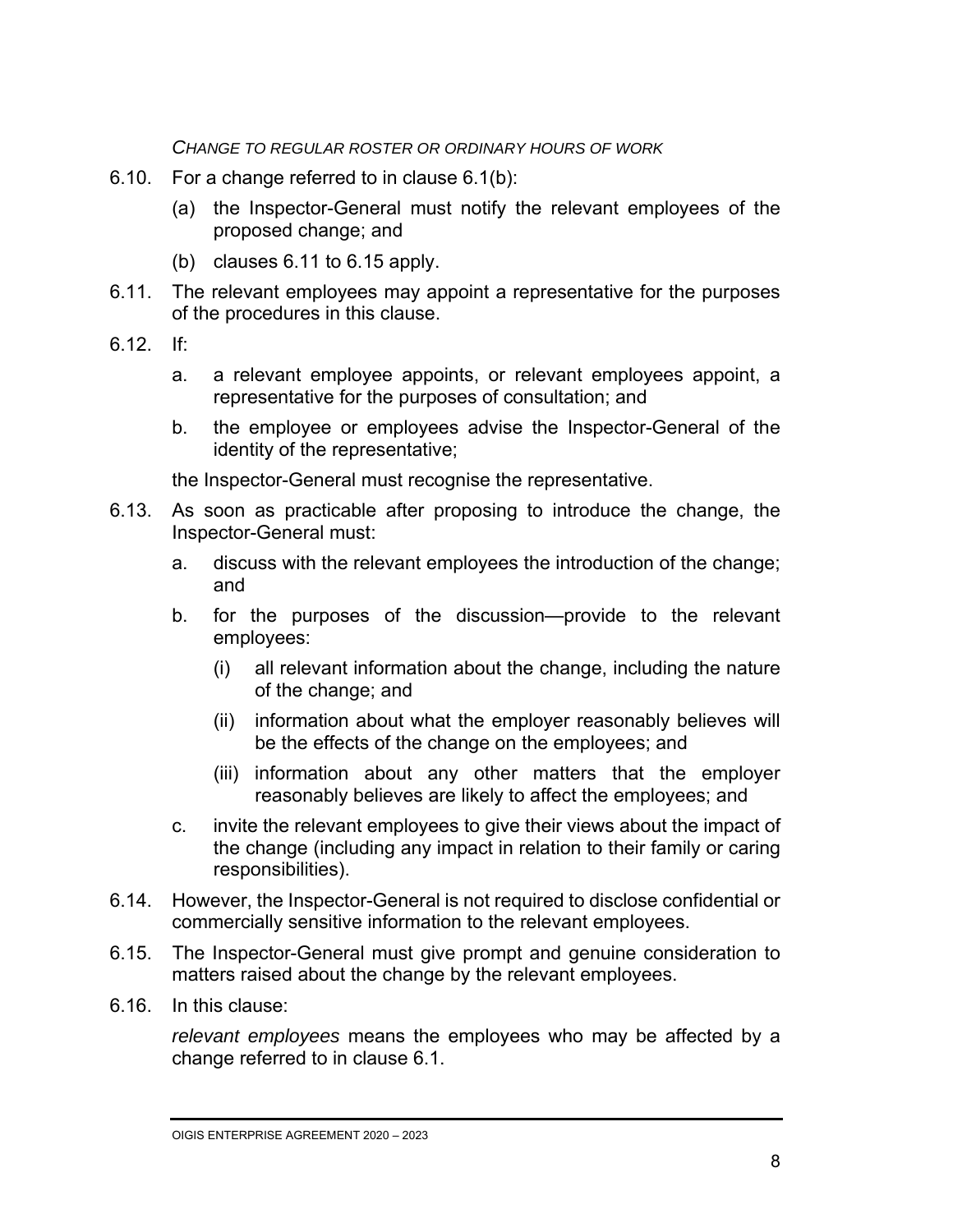*CHANGE TO REGULAR ROSTER OR ORDINARY HOURS OF WORK*

- 6.10. For a change referred to in clause 6.1(b):
	- (a) the Inspector-General must notify the relevant employees of the proposed change; and
	- (b) clauses 6.11 to 6.15 apply.
- 6.11. The relevant employees may appoint a representative for the purposes of the procedures in this clause.
- 6.12. If:
	- a. a relevant employee appoints, or relevant employees appoint, a representative for the purposes of consultation; and
	- b. the employee or employees advise the Inspector-General of the identity of the representative;

the Inspector-General must recognise the representative.

- 6.13. As soon as practicable after proposing to introduce the change, the Inspector-General must:
	- a. discuss with the relevant employees the introduction of the change; and
	- b. for the purposes of the discussion—provide to the relevant employees:
		- (i) all relevant information about the change, including the nature of the change; and
		- (ii) information about what the employer reasonably believes will be the effects of the change on the employees; and
		- (iii) information about any other matters that the employer reasonably believes are likely to affect the employees; and
	- c. invite the relevant employees to give their views about the impact of the change (including any impact in relation to their family or caring responsibilities).
- 6.14. However, the Inspector-General is not required to disclose confidential or commercially sensitive information to the relevant employees.
- 6.15. The Inspector-General must give prompt and genuine consideration to matters raised about the change by the relevant employees.
- 6.16. In this clause:

*relevant employees* means the employees who may be affected by a change referred to in clause 6.1.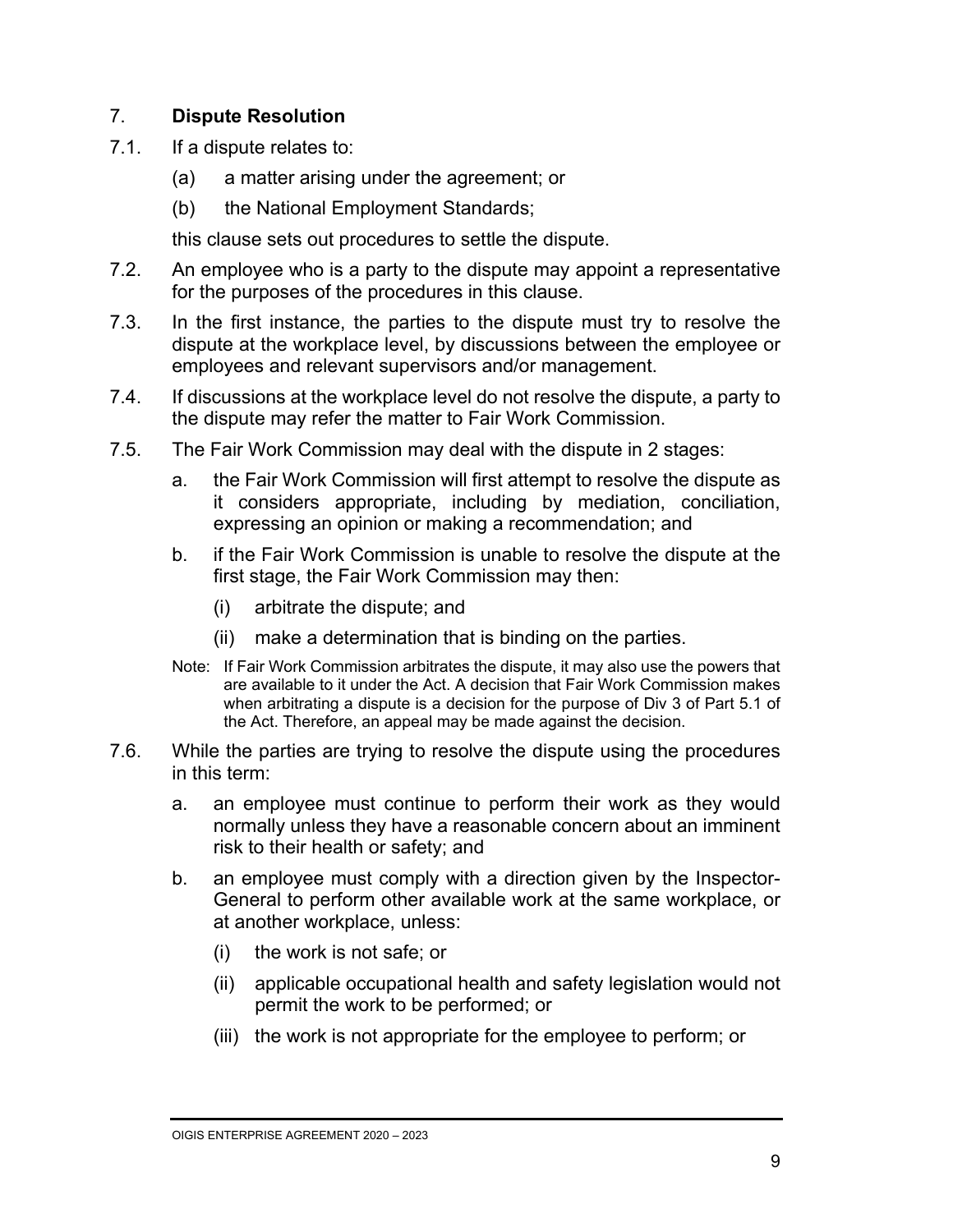#### 7. **Dispute Resolution**

- 7.1. If a dispute relates to:
	- (a) a matter arising under the agreement; or
	- (b) the National Employment Standards;

this clause sets out procedures to settle the dispute.

- 7.2. An employee who is a party to the dispute may appoint a representative for the purposes of the procedures in this clause.
- 7.3. In the first instance, the parties to the dispute must try to resolve the dispute at the workplace level, by discussions between the employee or employees and relevant supervisors and/or management.
- 7.4. If discussions at the workplace level do not resolve the dispute, a party to the dispute may refer the matter to Fair Work Commission.
- 7.5. The Fair Work Commission may deal with the dispute in 2 stages:
	- a. the Fair Work Commission will first attempt to resolve the dispute as it considers appropriate, including by mediation, conciliation, expressing an opinion or making a recommendation; and
	- b. if the Fair Work Commission is unable to resolve the dispute at the first stage, the Fair Work Commission may then:
		- (i) arbitrate the dispute; and
		- (ii) make a determination that is binding on the parties.
	- Note: If Fair Work Commission arbitrates the dispute, it may also use the powers that are available to it under the Act. A decision that Fair Work Commission makes when arbitrating a dispute is a decision for the purpose of Div 3 of Part 5.1 of the Act. Therefore, an appeal may be made against the decision.
- 7.6. While the parties are trying to resolve the dispute using the procedures in this term:
	- a. an employee must continue to perform their work as they would normally unless they have a reasonable concern about an imminent risk to their health or safety; and
	- b. an employee must comply with a direction given by the Inspector-General to perform other available work at the same workplace, or at another workplace, unless:
		- (i) the work is not safe; or
		- (ii) applicable occupational health and safety legislation would not permit the work to be performed; or
		- (iii) the work is not appropriate for the employee to perform; or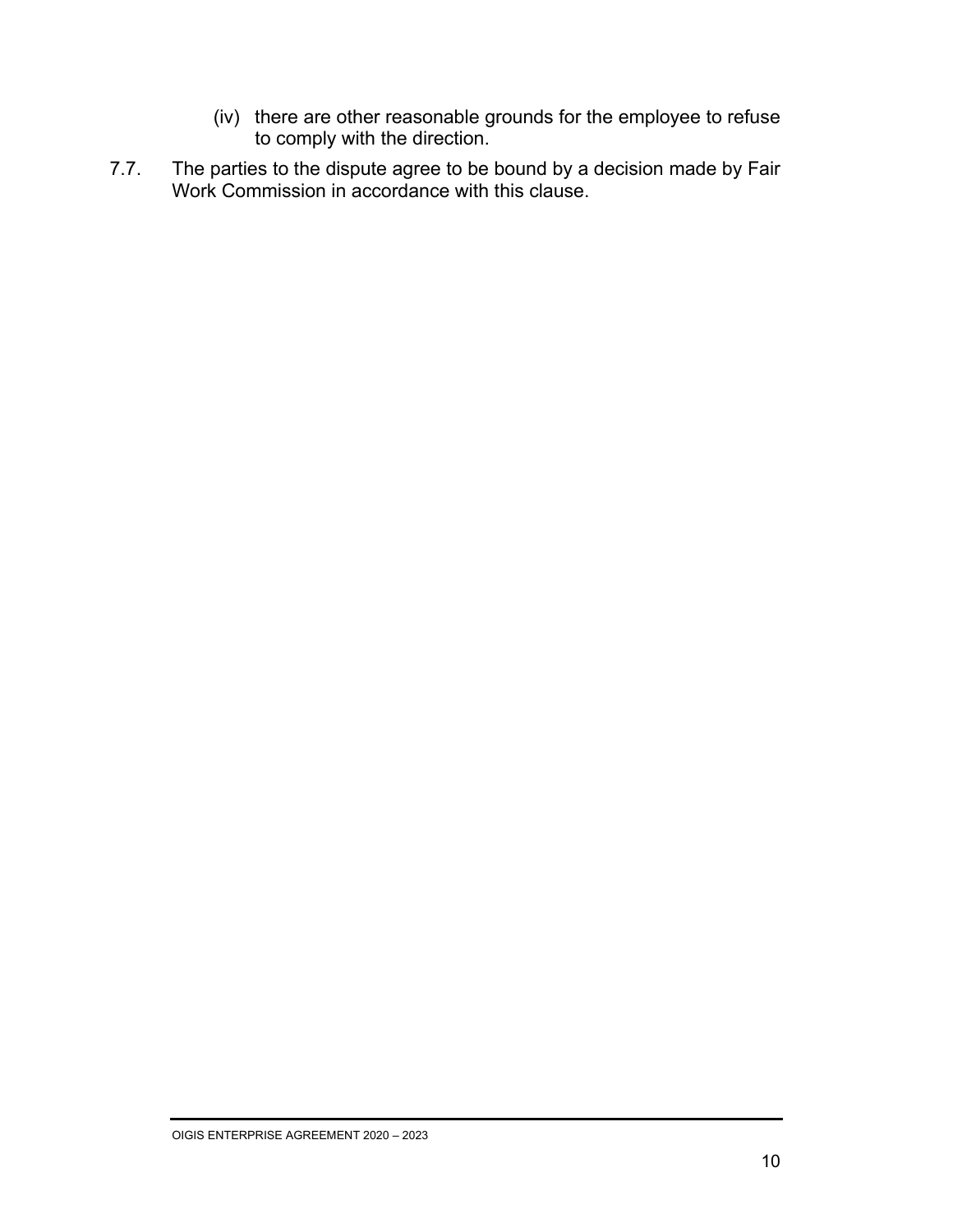- (iv) there are other reasonable grounds for the employee to refuse to comply with the direction.
- 7.7. The parties to the dispute agree to be bound by a decision made by Fair Work Commission in accordance with this clause.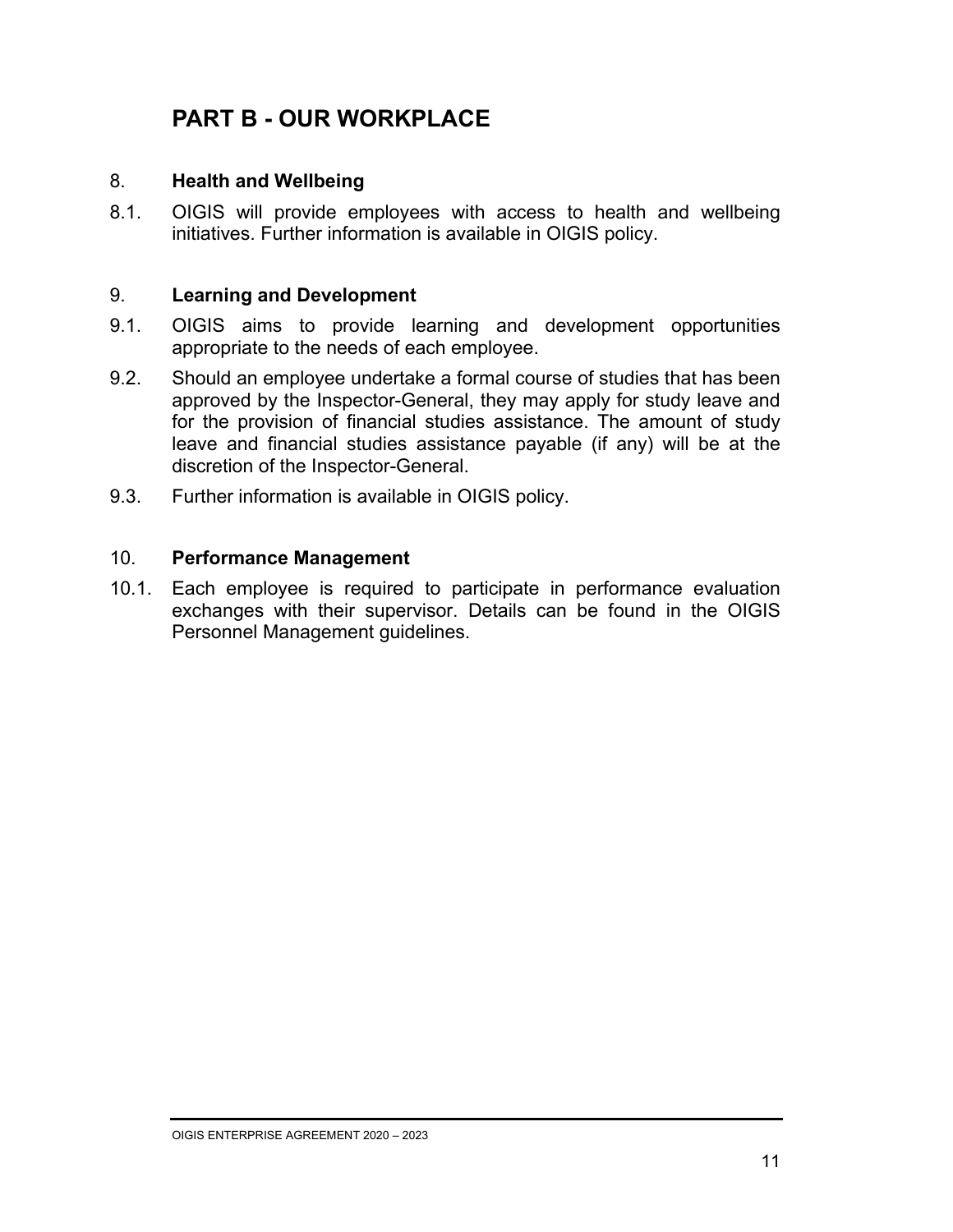### **PART B - OUR WORKPLACE**

#### 8. **Health and Wellbeing**

8.1. OIGIS will provide employees with access to health and wellbeing initiatives. Further information is available in OIGIS policy.

#### 9. **Learning and Development**

- 9.1. OIGIS aims to provide learning and development opportunities appropriate to the needs of each employee.
- 9.2. Should an employee undertake a formal course of studies that has been approved by the Inspector-General, they may apply for study leave and for the provision of financial studies assistance. The amount of study leave and financial studies assistance payable (if any) will be at the discretion of the Inspector-General.
- 9.3. Further information is available in OIGIS policy.

#### 10. **Performance Management**

10.1. Each employee is required to participate in performance evaluation exchanges with their supervisor. Details can be found in the OIGIS Personnel Management guidelines.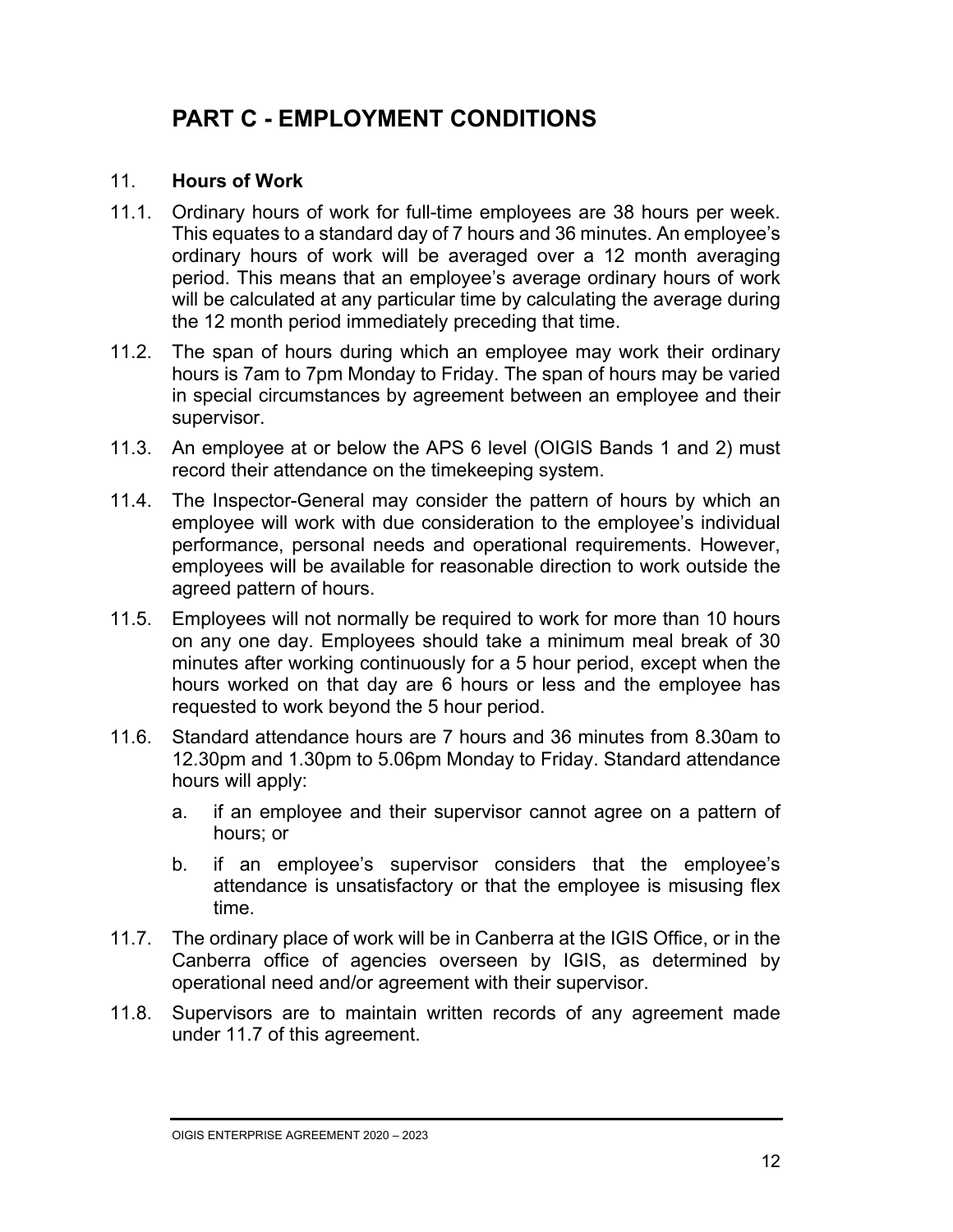### **PART C - EMPLOYMENT CONDITIONS**

#### 11. **Hours of Work**

- 11.1. Ordinary hours of work for full-time employees are 38 hours per week. This equates to a standard day of 7 hours and 36 minutes. An employee's ordinary hours of work will be averaged over a 12 month averaging period. This means that an employee's average ordinary hours of work will be calculated at any particular time by calculating the average during the 12 month period immediately preceding that time.
- 11.2. The span of hours during which an employee may work their ordinary hours is 7am to 7pm Monday to Friday. The span of hours may be varied in special circumstances by agreement between an employee and their supervisor.
- 11.3. An employee at or below the APS 6 level (OIGIS Bands 1 and 2) must record their attendance on the timekeeping system.
- 11.4. The Inspector-General may consider the pattern of hours by which an employee will work with due consideration to the employee's individual performance, personal needs and operational requirements. However, employees will be available for reasonable direction to work outside the agreed pattern of hours.
- 11.5. Employees will not normally be required to work for more than 10 hours on any one day. Employees should take a minimum meal break of 30 minutes after working continuously for a 5 hour period, except when the hours worked on that day are 6 hours or less and the employee has requested to work beyond the 5 hour period.
- 11.6. Standard attendance hours are 7 hours and 36 minutes from 8.30am to 12.30pm and 1.30pm to 5.06pm Monday to Friday. Standard attendance hours will apply:
	- a. if an employee and their supervisor cannot agree on a pattern of hours; or
	- b. if an employee's supervisor considers that the employee's attendance is unsatisfactory or that the employee is misusing flex time.
- 11.7. The ordinary place of work will be in Canberra at the IGIS Office, or in the Canberra office of agencies overseen by IGIS, as determined by operational need and/or agreement with their supervisor.
- 11.8. Supervisors are to maintain written records of any agreement made under 11.7 of this agreement.

OIGIS ENTERPRISE AGREEMENT 2020 – 2023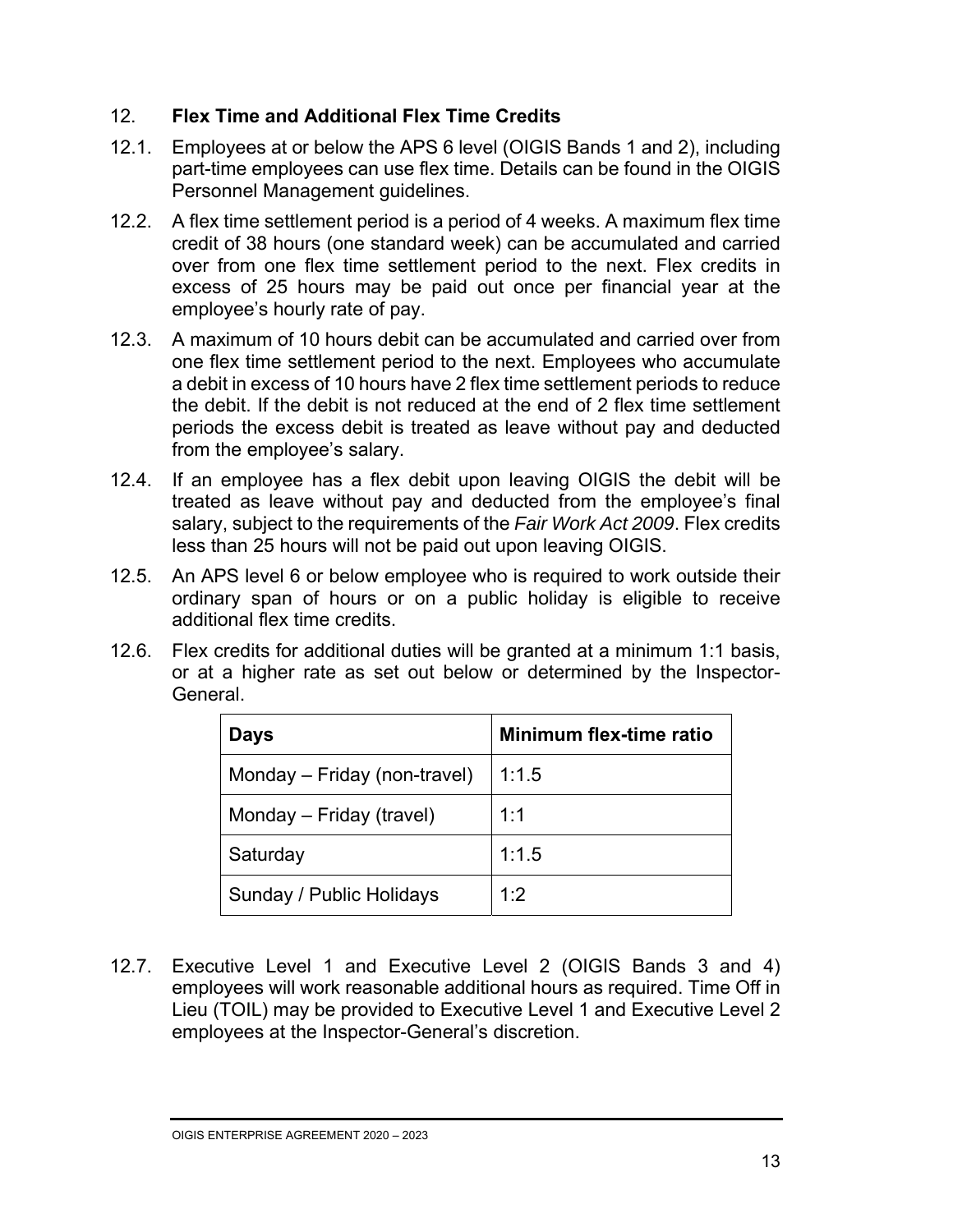#### 12. **Flex Time and Additional Flex Time Credits**

- 12.1. Employees at or below the APS 6 level (OIGIS Bands 1 and 2), including part-time employees can use flex time. Details can be found in the OIGIS Personnel Management guidelines.
- 12.2. A flex time settlement period is a period of 4 weeks. A maximum flex time credit of 38 hours (one standard week) can be accumulated and carried over from one flex time settlement period to the next. Flex credits in excess of 25 hours may be paid out once per financial year at the employee's hourly rate of pay.
- 12.3. A maximum of 10 hours debit can be accumulated and carried over from one flex time settlement period to the next. Employees who accumulate a debit in excess of 10 hours have 2 flex time settlement periods to reduce the debit. If the debit is not reduced at the end of 2 flex time settlement periods the excess debit is treated as leave without pay and deducted from the employee's salary.
- 12.4. If an employee has a flex debit upon leaving OIGIS the debit will be treated as leave without pay and deducted from the employee's final salary, subject to the requirements of the *Fair Work Act 2009*. Flex credits less than 25 hours will not be paid out upon leaving OIGIS.
- 12.5. An APS level 6 or below employee who is required to work outside their ordinary span of hours or on a public holiday is eligible to receive additional flex time credits.
- 12.6. Flex credits for additional duties will be granted at a minimum 1:1 basis, or at a higher rate as set out below or determined by the Inspector-General.

| <b>Days</b>                  | Minimum flex-time ratio |
|------------------------------|-------------------------|
| Monday – Friday (non-travel) | 1:1.5                   |
| Monday – Friday (travel)     | 1:1                     |
| Saturday                     | 1:1.5                   |
| Sunday / Public Holidays     | 1:2                     |

12.7. Executive Level 1 and Executive Level 2 (OIGIS Bands 3 and 4) employees will work reasonable additional hours as required. Time Off in Lieu (TOIL) may be provided to Executive Level 1 and Executive Level 2 employees at the Inspector-General's discretion.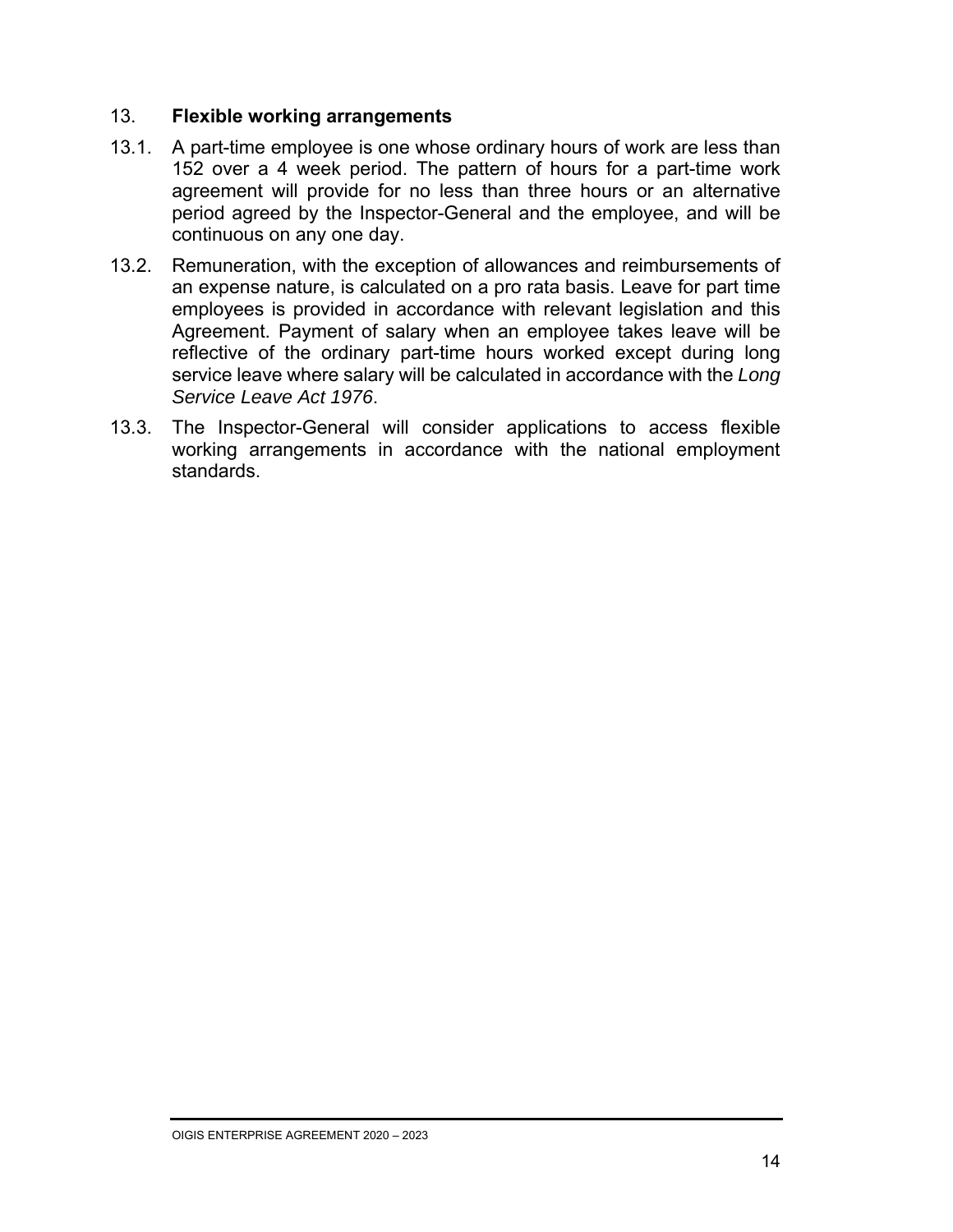#### 13. **Flexible working arrangements**

- 13.1. A part-time employee is one whose ordinary hours of work are less than 152 over a 4 week period. The pattern of hours for a part-time work agreement will provide for no less than three hours or an alternative period agreed by the Inspector-General and the employee, and will be continuous on any one day.
- 13.2. Remuneration, with the exception of allowances and reimbursements of an expense nature, is calculated on a pro rata basis. Leave for part time employees is provided in accordance with relevant legislation and this Agreement. Payment of salary when an employee takes leave will be reflective of the ordinary part-time hours worked except during long service leave where salary will be calculated in accordance with the *Long Service Leave Act 1976*.
- 13.3. The Inspector-General will consider applications to access flexible working arrangements in accordance with the national employment standards.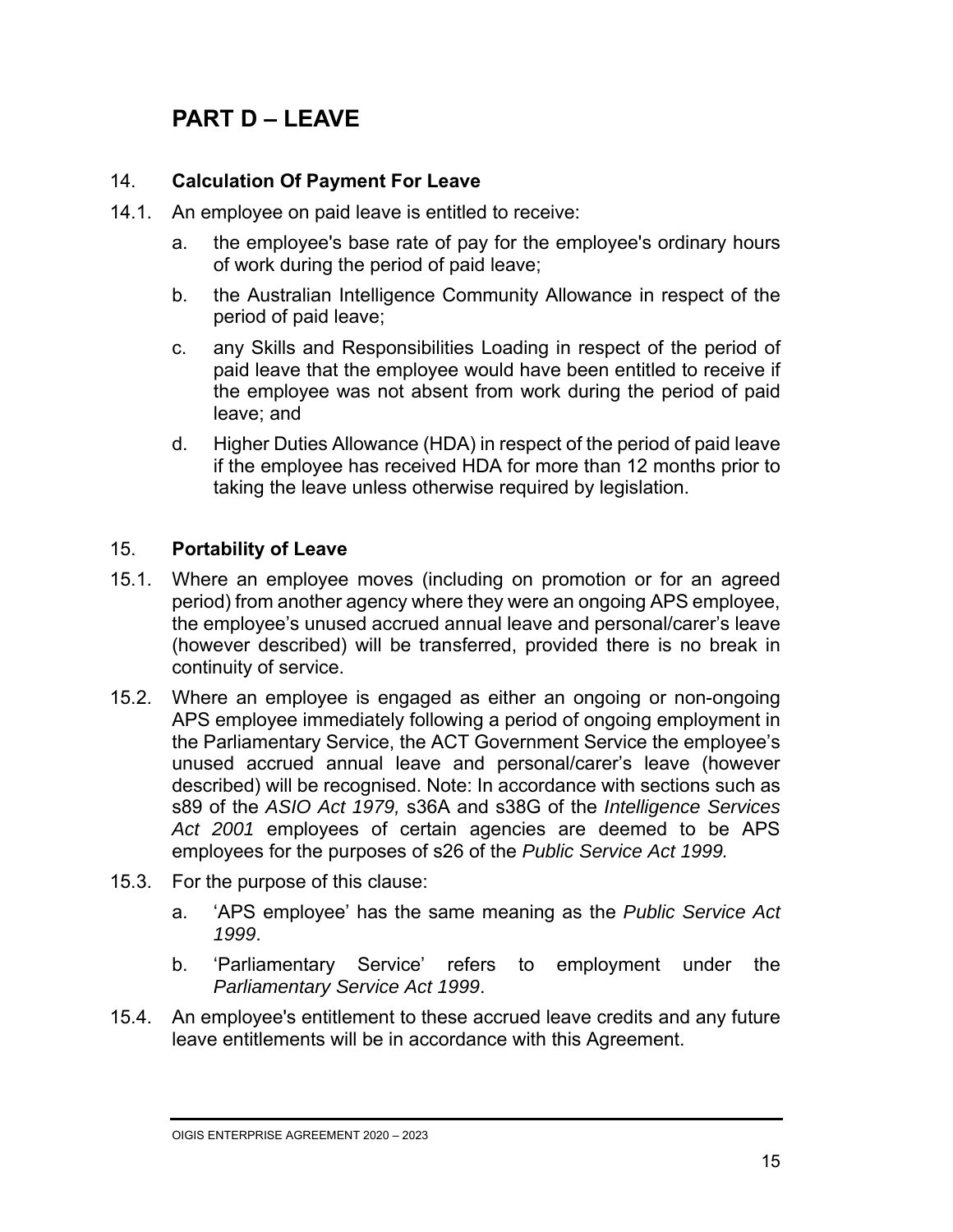### **PART D – LEAVE**

#### 14. **Calculation Of Payment For Leave**

- 14.1. An employee on paid leave is entitled to receive:
	- a. the employee's base rate of pay for the employee's ordinary hours of work during the period of paid leave;
	- b. the Australian Intelligence Community Allowance in respect of the period of paid leave;
	- c. any Skills and Responsibilities Loading in respect of the period of paid leave that the employee would have been entitled to receive if the employee was not absent from work during the period of paid leave; and
	- d. Higher Duties Allowance (HDA) in respect of the period of paid leave if the employee has received HDA for more than 12 months prior to taking the leave unless otherwise required by legislation.

#### 15. **Portability of Leave**

- 15.1. Where an employee moves (including on promotion or for an agreed period) from another agency where they were an ongoing APS employee, the employee's unused accrued annual leave and personal/carer's leave (however described) will be transferred, provided there is no break in continuity of service.
- 15.2. Where an employee is engaged as either an ongoing or non-ongoing APS employee immediately following a period of ongoing employment in the Parliamentary Service, the ACT Government Service the employee's unused accrued annual leave and personal/carer's leave (however described) will be recognised. Note: In accordance with sections such as s89 of the *ASIO Act 1979,* s36A and s38G of the *Intelligence Services Act 2001* employees of certain agencies are deemed to be APS employees for the purposes of s26 of the *Public Service Act 1999.*
- 15.3. For the purpose of this clause:
	- a. 'APS employee' has the same meaning as the *Public Service Act 1999*.
	- b. 'Parliamentary Service' refers to employment under the *Parliamentary Service Act 1999*.
- 15.4. An employee's entitlement to these accrued leave credits and any future leave entitlements will be in accordance with this Agreement.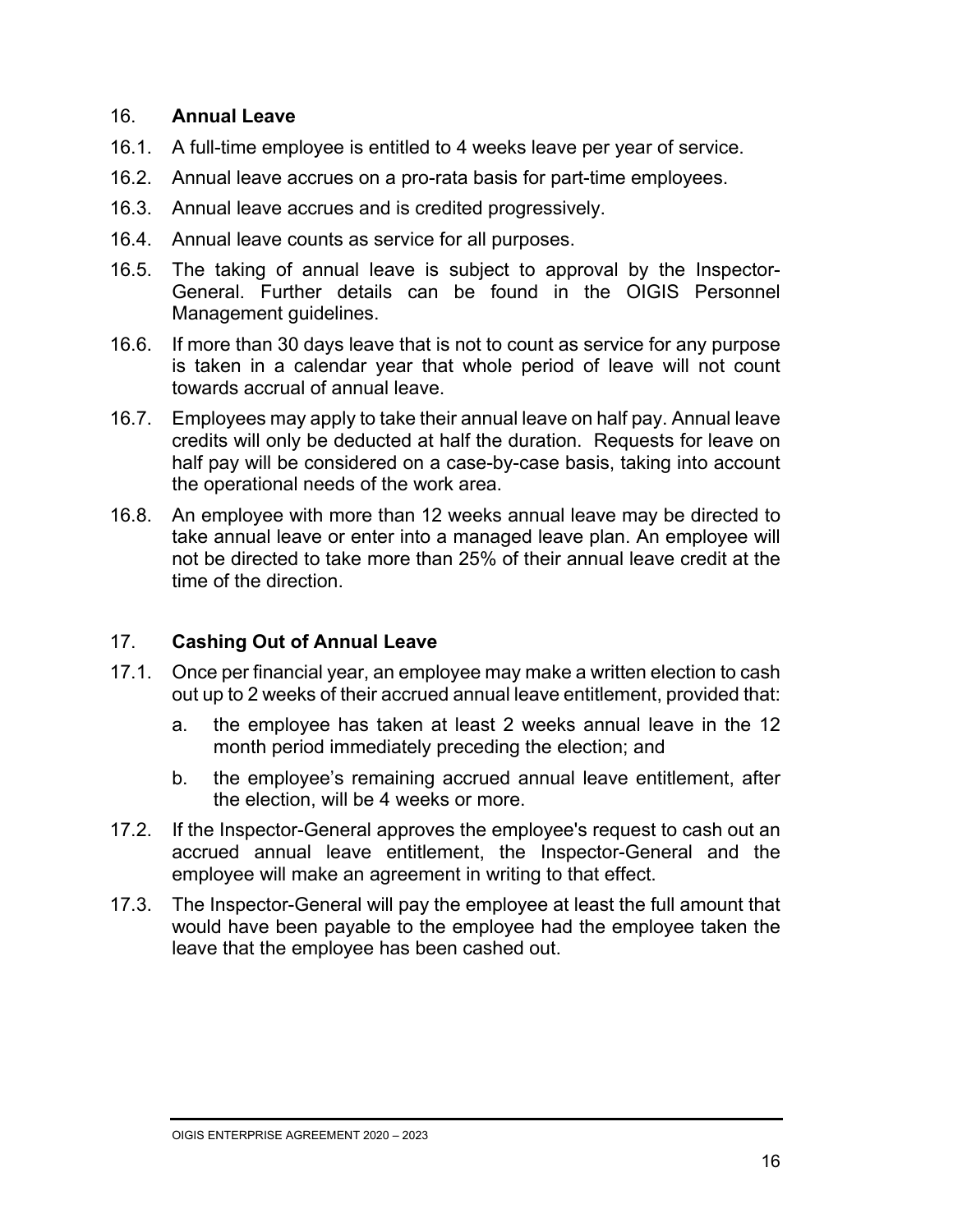#### 16. **Annual Leave**

- 16.1. A full-time employee is entitled to 4 weeks leave per year of service.
- 16.2. Annual leave accrues on a pro-rata basis for part-time employees.
- 16.3. Annual leave accrues and is credited progressively.
- 16.4. Annual leave counts as service for all purposes.
- 16.5. The taking of annual leave is subject to approval by the Inspector-General. Further details can be found in the OIGIS Personnel Management guidelines.
- 16.6. If more than 30 days leave that is not to count as service for any purpose is taken in a calendar year that whole period of leave will not count towards accrual of annual leave.
- 16.7. Employees may apply to take their annual leave on half pay. Annual leave credits will only be deducted at half the duration. Requests for leave on half pay will be considered on a case-by-case basis, taking into account the operational needs of the work area.
- 16.8. An employee with more than 12 weeks annual leave may be directed to take annual leave or enter into a managed leave plan. An employee will not be directed to take more than 25% of their annual leave credit at the time of the direction.

#### 17. **Cashing Out of Annual Leave**

- 17.1. Once per financial year, an employee may make a written election to cash out up to 2 weeks of their accrued annual leave entitlement, provided that:
	- a. the employee has taken at least 2 weeks annual leave in the 12 month period immediately preceding the election; and
	- b. the employee's remaining accrued annual leave entitlement, after the election, will be 4 weeks or more.
- 17.2. If the Inspector-General approves the employee's request to cash out an accrued annual leave entitlement, the Inspector-General and the employee will make an agreement in writing to that effect.
- 17.3. The Inspector-General will pay the employee at least the full amount that would have been payable to the employee had the employee taken the leave that the employee has been cashed out.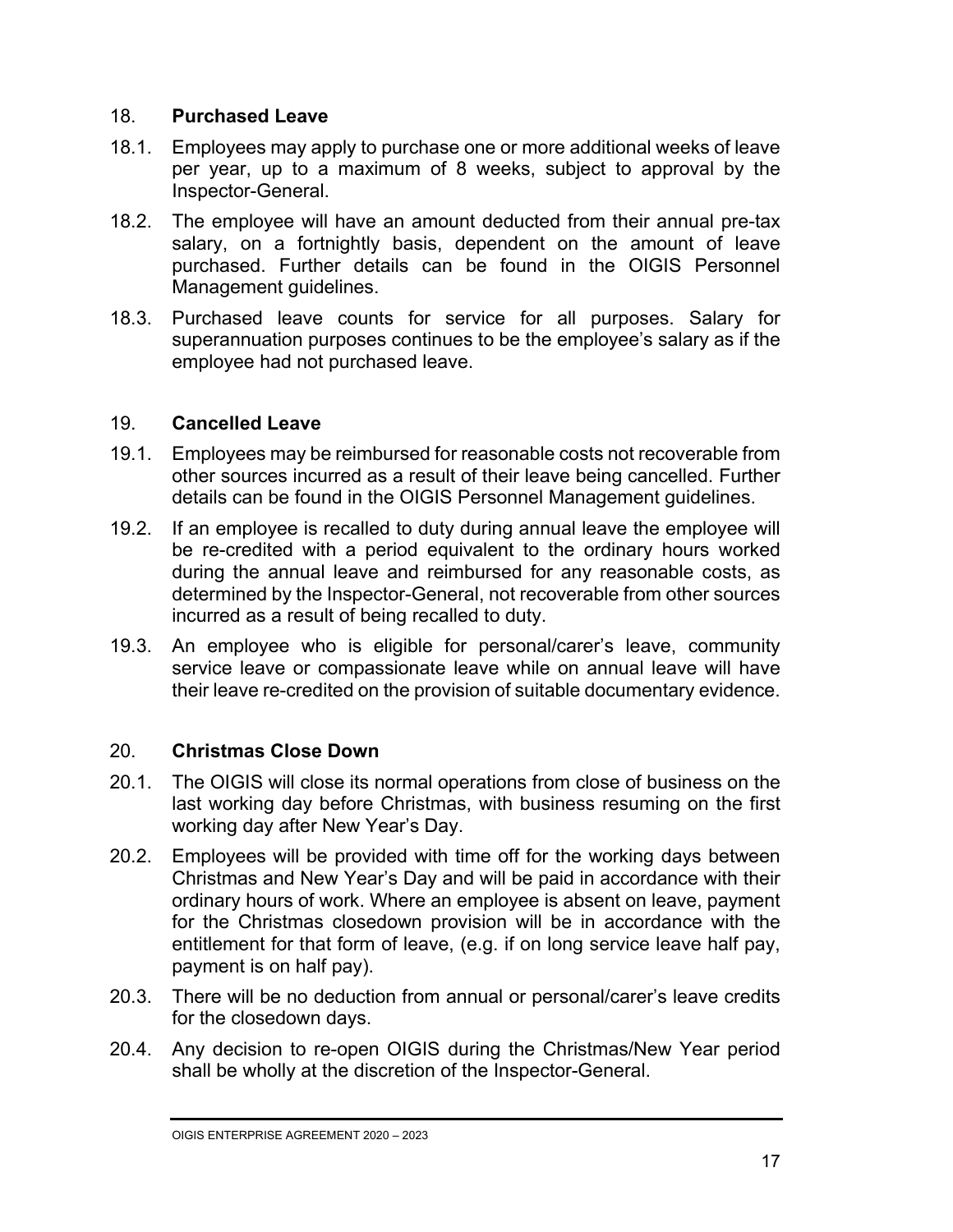#### 18. **Purchased Leave**

- 18.1. Employees may apply to purchase one or more additional weeks of leave per year, up to a maximum of 8 weeks, subject to approval by the Inspector-General.
- 18.2. The employee will have an amount deducted from their annual pre-tax salary, on a fortnightly basis, dependent on the amount of leave purchased. Further details can be found in the OIGIS Personnel Management guidelines.
- 18.3. Purchased leave counts for service for all purposes. Salary for superannuation purposes continues to be the employee's salary as if the employee had not purchased leave.

#### 19. **Cancelled Leave**

- 19.1. Employees may be reimbursed for reasonable costs not recoverable from other sources incurred as a result of their leave being cancelled. Further details can be found in the OIGIS Personnel Management guidelines.
- 19.2. If an employee is recalled to duty during annual leave the employee will be re-credited with a period equivalent to the ordinary hours worked during the annual leave and reimbursed for any reasonable costs, as determined by the Inspector-General, not recoverable from other sources incurred as a result of being recalled to duty.
- 19.3. An employee who is eligible for personal/carer's leave, community service leave or compassionate leave while on annual leave will have their leave re-credited on the provision of suitable documentary evidence.

#### 20. **Christmas Close Down**

- 20.1. The OIGIS will close its normal operations from close of business on the last working day before Christmas, with business resuming on the first working day after New Year's Day.
- 20.2. Employees will be provided with time off for the working days between Christmas and New Year's Day and will be paid in accordance with their ordinary hours of work. Where an employee is absent on leave, payment for the Christmas closedown provision will be in accordance with the entitlement for that form of leave, (e.g. if on long service leave half pay, payment is on half pay).
- 20.3. There will be no deduction from annual or personal/carer's leave credits for the closedown days.
- 20.4. Any decision to re-open OIGIS during the Christmas/New Year period shall be wholly at the discretion of the Inspector-General.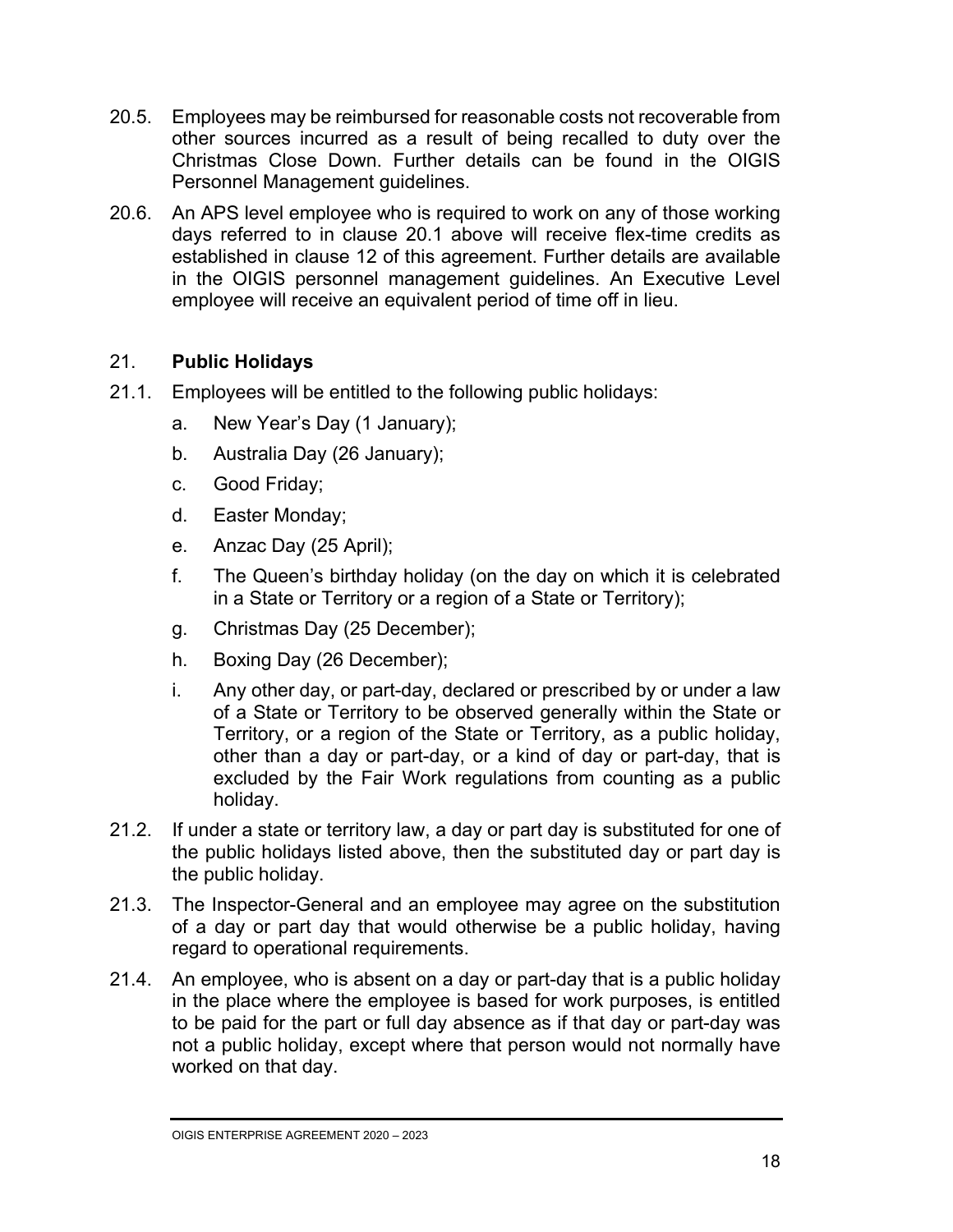- 20.5. Employees may be reimbursed for reasonable costs not recoverable from other sources incurred as a result of being recalled to duty over the Christmas Close Down. Further details can be found in the OIGIS Personnel Management guidelines.
- 20.6. An APS level employee who is required to work on any of those working days referred to in clause 20.1 above will receive flex-time credits as established in clause 12 of this agreement. Further details are available in the OIGIS personnel management guidelines. An Executive Level employee will receive an equivalent period of time off in lieu.

#### 21. **Public Holidays**

- 21.1. Employees will be entitled to the following public holidays:
	- a. New Year's Day (1 January);
	- b. Australia Day (26 January);
	- c. Good Friday;
	- d. Easter Monday;
	- e. Anzac Day (25 April);
	- f. The Queen's birthday holiday (on the day on which it is celebrated in a State or Territory or a region of a State or Territory);
	- g. Christmas Day (25 December);
	- h. Boxing Day (26 December);
	- i. Any other day, or part-day, declared or prescribed by or under a law of a State or Territory to be observed generally within the State or Territory, or a region of the State or Territory, as a public holiday, other than a day or part-day, or a kind of day or part-day, that is excluded by the Fair Work regulations from counting as a public holiday.
- 21.2. If under a state or territory law, a day or part day is substituted for one of the public holidays listed above, then the substituted day or part day is the public holiday.
- 21.3. The Inspector-General and an employee may agree on the substitution of a day or part day that would otherwise be a public holiday, having regard to operational requirements.
- 21.4. An employee, who is absent on a day or part-day that is a public holiday in the place where the employee is based for work purposes, is entitled to be paid for the part or full day absence as if that day or part-day was not a public holiday, except where that person would not normally have worked on that day.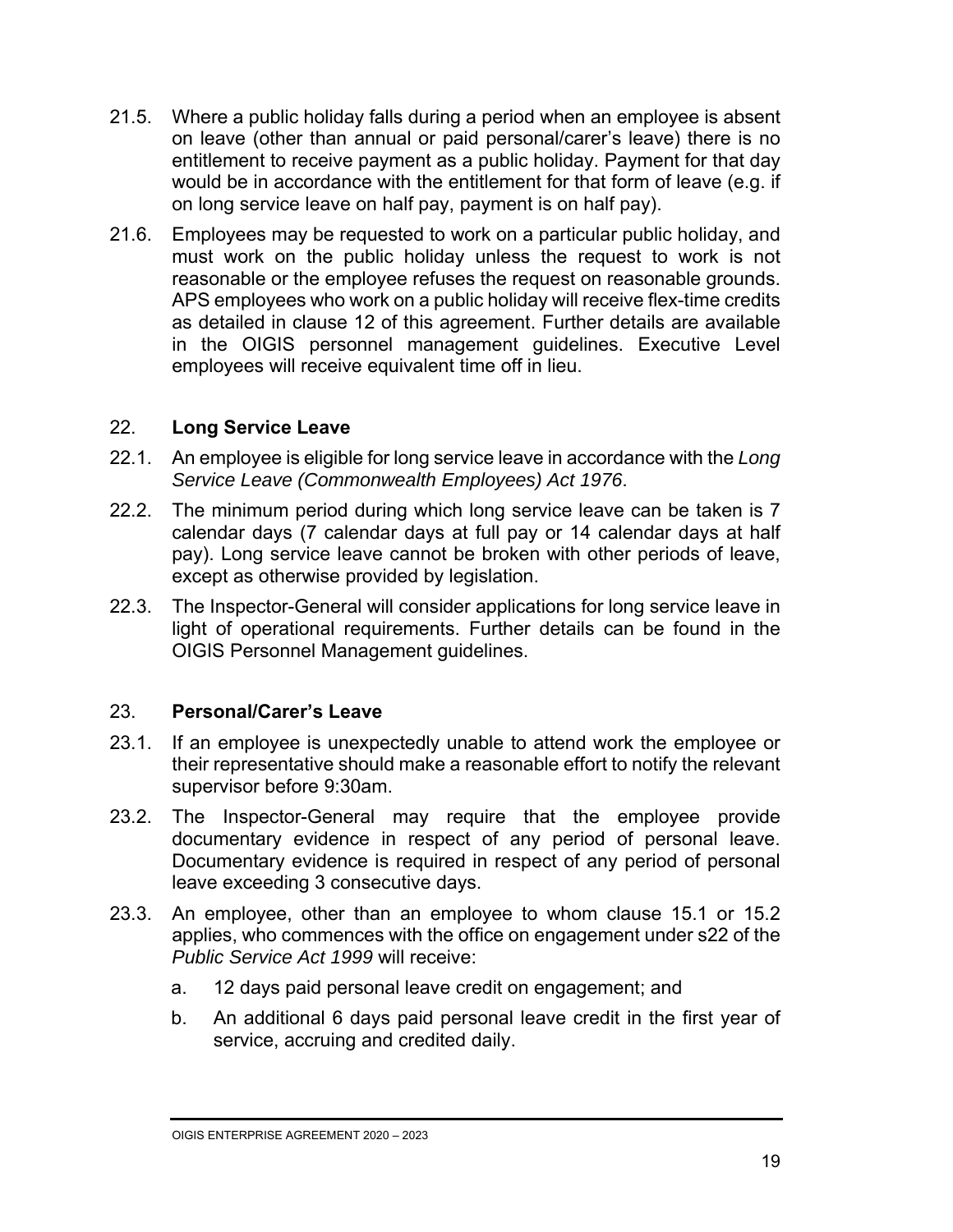- 21.5. Where a public holiday falls during a period when an employee is absent on leave (other than annual or paid personal/carer's leave) there is no entitlement to receive payment as a public holiday. Payment for that day would be in accordance with the entitlement for that form of leave (e.g. if on long service leave on half pay, payment is on half pay).
- 21.6. Employees may be requested to work on a particular public holiday, and must work on the public holiday unless the request to work is not reasonable or the employee refuses the request on reasonable grounds. APS employees who work on a public holiday will receive flex-time credits as detailed in clause 12 of this agreement. Further details are available in the OIGIS personnel management guidelines. Executive Level employees will receive equivalent time off in lieu.

#### 22. **Long Service Leave**

- 22.1. An employee is eligible for long service leave in accordance with the *Long Service Leave (Commonwealth Employees) Act 1976*.
- 22.2. The minimum period during which long service leave can be taken is 7 calendar days (7 calendar days at full pay or 14 calendar days at half pay). Long service leave cannot be broken with other periods of leave, except as otherwise provided by legislation.
- 22.3. The Inspector-General will consider applications for long service leave in light of operational requirements. Further details can be found in the OIGIS Personnel Management guidelines.

#### 23. **Personal/Carer's Leave**

- 23.1. If an employee is unexpectedly unable to attend work the employee or their representative should make a reasonable effort to notify the relevant supervisor before 9:30am.
- 23.2. The Inspector-General may require that the employee provide documentary evidence in respect of any period of personal leave. Documentary evidence is required in respect of any period of personal leave exceeding 3 consecutive days.
- 23.3. An employee, other than an employee to whom clause 15.1 or 15.2 applies, who commences with the office on engagement under s22 of the *Public Service Act 1999* will receive:
	- a. 12 days paid personal leave credit on engagement; and
	- b. An additional 6 days paid personal leave credit in the first year of service, accruing and credited daily.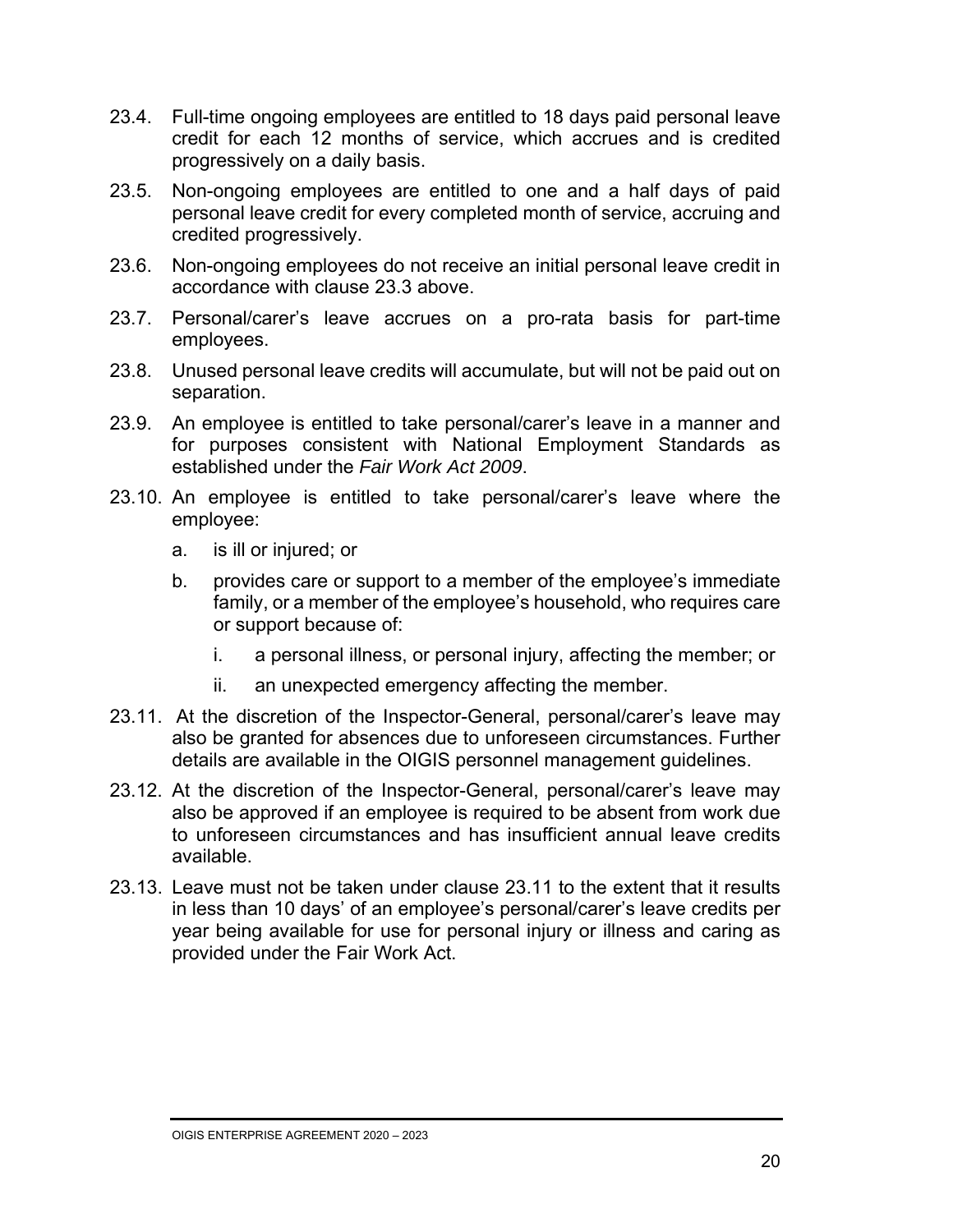- 23.4. Full-time ongoing employees are entitled to 18 days paid personal leave credit for each 12 months of service, which accrues and is credited progressively on a daily basis.
- 23.5. Non-ongoing employees are entitled to one and a half days of paid personal leave credit for every completed month of service, accruing and credited progressively.
- 23.6. Non-ongoing employees do not receive an initial personal leave credit in accordance with clause 23.3 above.
- 23.7. Personal/carer's leave accrues on a pro-rata basis for part-time employees.
- 23.8. Unused personal leave credits will accumulate, but will not be paid out on separation.
- 23.9. An employee is entitled to take personal/carer's leave in a manner and for purposes consistent with National Employment Standards as established under the *Fair Work Act 2009*.
- 23.10. An employee is entitled to take personal/carer's leave where the employee:
	- a. is ill or injured; or
	- b. provides care or support to a member of the employee's immediate family, or a member of the employee's household, who requires care or support because of:
		- i. a personal illness, or personal injury, affecting the member; or
		- ii. an unexpected emergency affecting the member.
- 23.11. At the discretion of the Inspector-General, personal/carer's leave may also be granted for absences due to unforeseen circumstances. Further details are available in the OIGIS personnel management guidelines.
- 23.12. At the discretion of the Inspector-General, personal/carer's leave may also be approved if an employee is required to be absent from work due to unforeseen circumstances and has insufficient annual leave credits available.
- 23.13. Leave must not be taken under clause 23.11 to the extent that it results in less than 10 days' of an employee's personal/carer's leave credits per year being available for use for personal injury or illness and caring as provided under the Fair Work Act.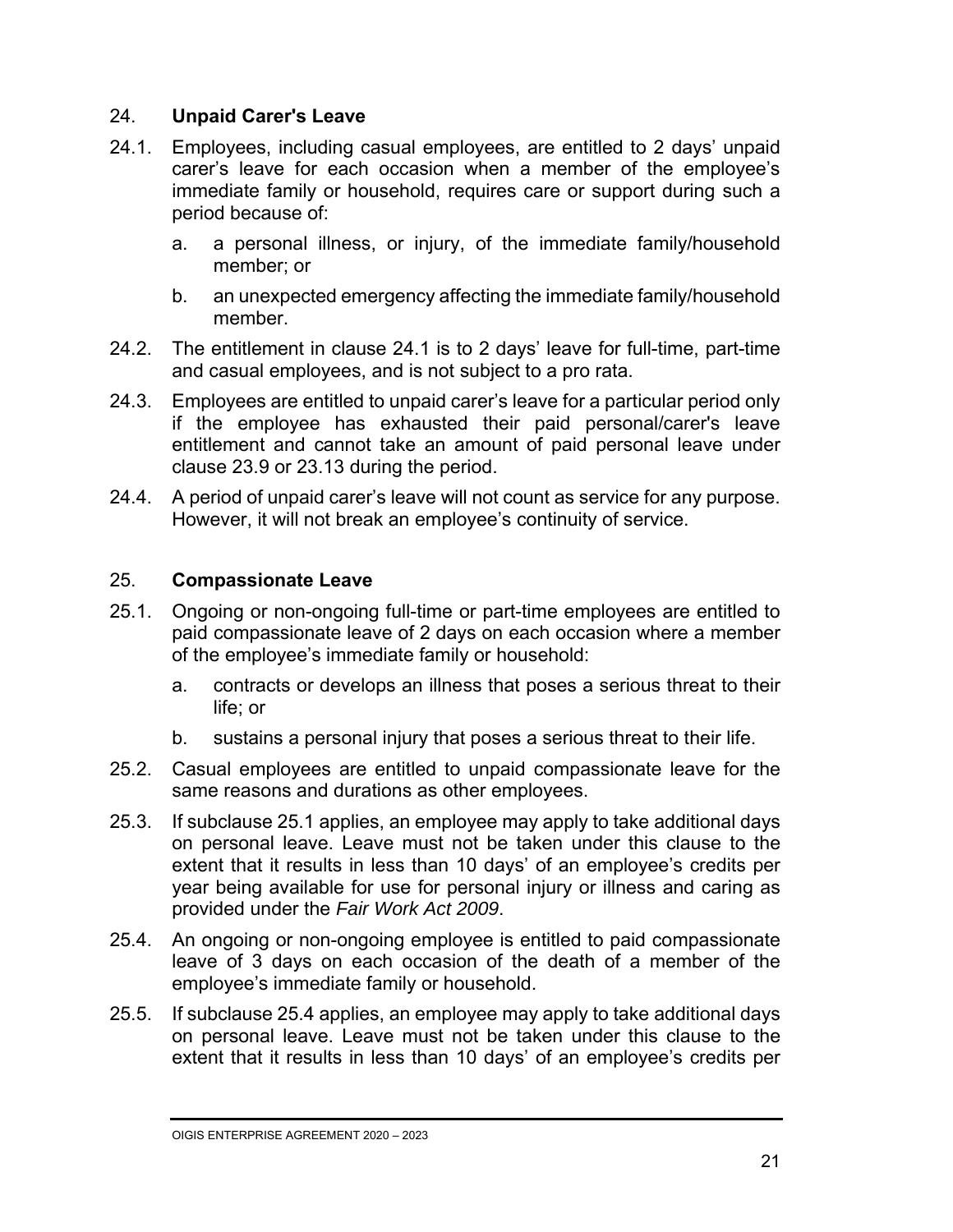#### 24. **Unpaid Carer's Leave**

- 24.1. Employees, including casual employees, are entitled to 2 days' unpaid carer's leave for each occasion when a member of the employee's immediate family or household, requires care or support during such a period because of:
	- a. a personal illness, or injury, of the immediate family/household member; or
	- b. an unexpected emergency affecting the immediate family/household member.
- 24.2. The entitlement in clause 24.1 is to 2 days' leave for full-time, part-time and casual employees, and is not subject to a pro rata.
- 24.3. Employees are entitled to unpaid carer's leave for a particular period only if the employee has exhausted their paid personal/carer's leave entitlement and cannot take an amount of paid personal leave under clause 23.9 or 23.13 during the period.
- 24.4. A period of unpaid carer's leave will not count as service for any purpose. However, it will not break an employee's continuity of service.

#### 25. **Compassionate Leave**

- 25.1. Ongoing or non-ongoing full-time or part-time employees are entitled to paid compassionate leave of 2 days on each occasion where a member of the employee's immediate family or household:
	- a. contracts or develops an illness that poses a serious threat to their life; or
	- b. sustains a personal injury that poses a serious threat to their life.
- 25.2. Casual employees are entitled to unpaid compassionate leave for the same reasons and durations as other employees.
- 25.3. If subclause 25.1 applies, an employee may apply to take additional days on personal leave. Leave must not be taken under this clause to the extent that it results in less than 10 days' of an employee's credits per year being available for use for personal injury or illness and caring as provided under the *Fair Work Act 2009*.
- 25.4. An ongoing or non-ongoing employee is entitled to paid compassionate leave of 3 days on each occasion of the death of a member of the employee's immediate family or household.
- 25.5. If subclause 25.4 applies, an employee may apply to take additional days on personal leave. Leave must not be taken under this clause to the extent that it results in less than 10 days' of an employee's credits per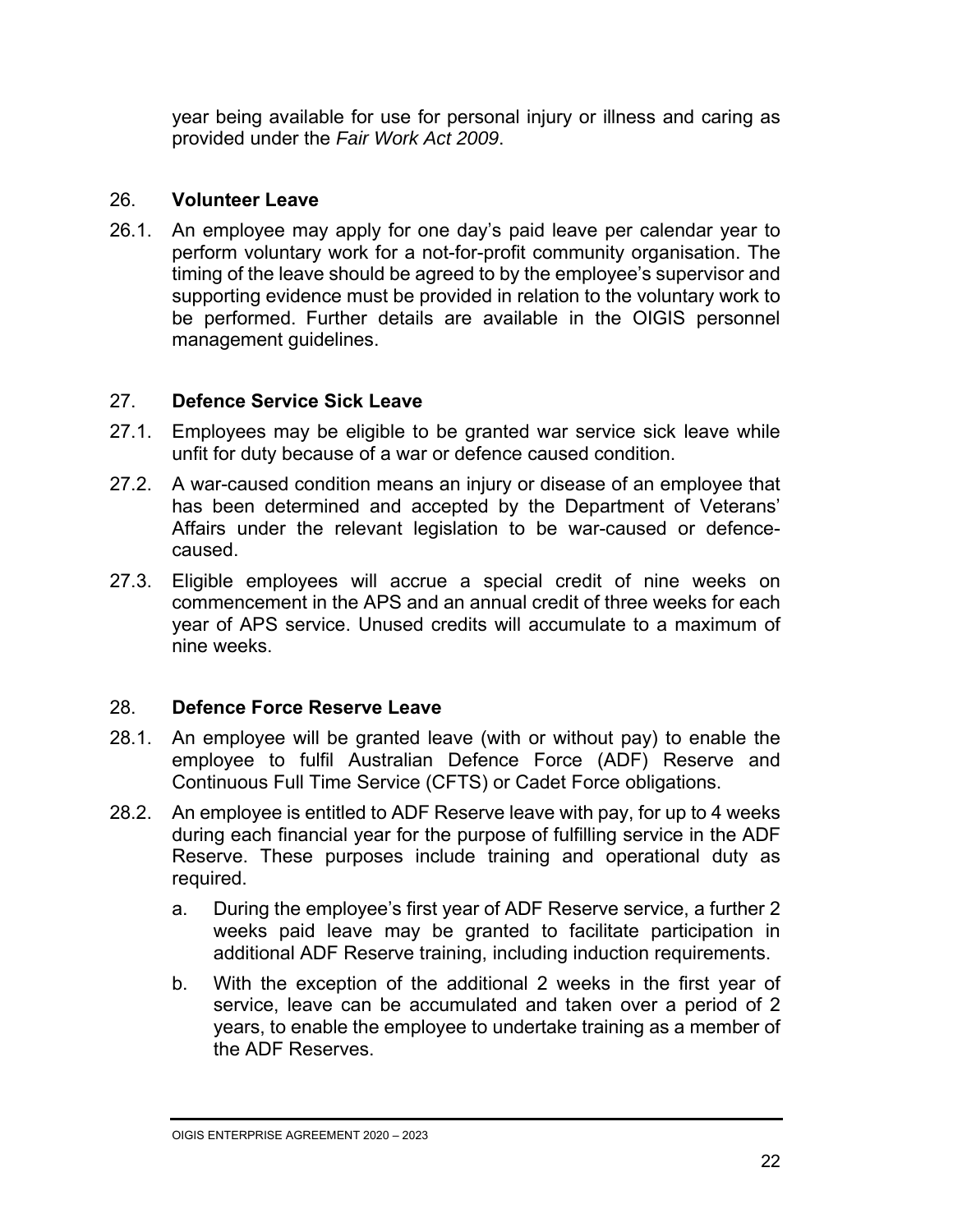year being available for use for personal injury or illness and caring as provided under the *Fair Work Act 2009*.

#### 26. **Volunteer Leave**

26.1. An employee may apply for one day's paid leave per calendar year to perform voluntary work for a not-for-profit community organisation. The timing of the leave should be agreed to by the employee's supervisor and supporting evidence must be provided in relation to the voluntary work to be performed. Further details are available in the OIGIS personnel management guidelines.

#### 27. **Defence Service Sick Leave**

- 27.1. Employees may be eligible to be granted war service sick leave while unfit for duty because of a war or defence caused condition.
- 27.2. A war-caused condition means an injury or disease of an employee that has been determined and accepted by the Department of Veterans' Affairs under the relevant legislation to be war-caused or defencecaused.
- 27.3. Eligible employees will accrue a special credit of nine weeks on commencement in the APS and an annual credit of three weeks for each year of APS service. Unused credits will accumulate to a maximum of nine weeks.

#### 28. **Defence Force Reserve Leave**

- 28.1. An employee will be granted leave (with or without pay) to enable the employee to fulfil Australian Defence Force (ADF) Reserve and Continuous Full Time Service (CFTS) or Cadet Force obligations.
- 28.2. An employee is entitled to ADF Reserve leave with pay, for up to 4 weeks during each financial year for the purpose of fulfilling service in the ADF Reserve. These purposes include training and operational duty as required.
	- a. During the employee's first year of ADF Reserve service, a further 2 weeks paid leave may be granted to facilitate participation in additional ADF Reserve training, including induction requirements.
	- b. With the exception of the additional 2 weeks in the first year of service, leave can be accumulated and taken over a period of 2 years, to enable the employee to undertake training as a member of the ADF Reserves.

OIGIS ENTERPRISE AGREEMENT 2020 – 2023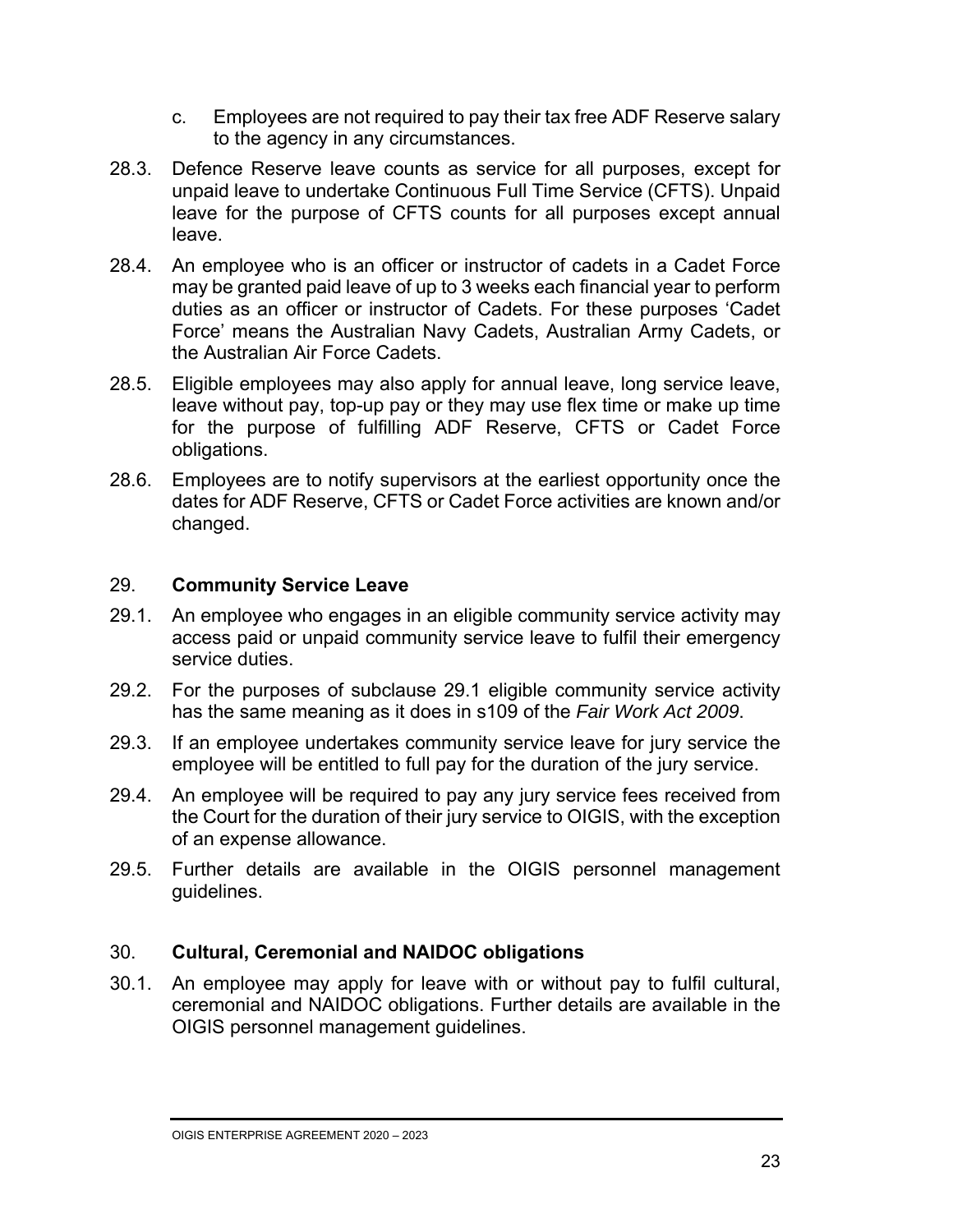- c. Employees are not required to pay their tax free ADF Reserve salary to the agency in any circumstances.
- 28.3. Defence Reserve leave counts as service for all purposes, except for unpaid leave to undertake Continuous Full Time Service (CFTS). Unpaid leave for the purpose of CFTS counts for all purposes except annual leave.
- 28.4. An employee who is an officer or instructor of cadets in a Cadet Force may be granted paid leave of up to 3 weeks each financial year to perform duties as an officer or instructor of Cadets. For these purposes 'Cadet Force' means the Australian Navy Cadets, Australian Army Cadets, or the Australian Air Force Cadets.
- 28.5. Eligible employees may also apply for annual leave, long service leave, leave without pay, top-up pay or they may use flex time or make up time for the purpose of fulfilling ADF Reserve, CFTS or Cadet Force obligations.
- 28.6. Employees are to notify supervisors at the earliest opportunity once the dates for ADF Reserve, CFTS or Cadet Force activities are known and/or changed.

#### 29. **Community Service Leave**

- 29.1. An employee who engages in an eligible community service activity may access paid or unpaid community service leave to fulfil their emergency service duties.
- 29.2. For the purposes of subclause 29.1 eligible community service activity has the same meaning as it does in s109 of the *Fair Work Act 2009*.
- 29.3. If an employee undertakes community service leave for jury service the employee will be entitled to full pay for the duration of the jury service.
- 29.4. An employee will be required to pay any jury service fees received from the Court for the duration of their jury service to OIGIS, with the exception of an expense allowance.
- 29.5. Further details are available in the OIGIS personnel management guidelines.

#### 30. **Cultural, Ceremonial and NAIDOC obligations**

30.1. An employee may apply for leave with or without pay to fulfil cultural, ceremonial and NAIDOC obligations. Further details are available in the OIGIS personnel management guidelines.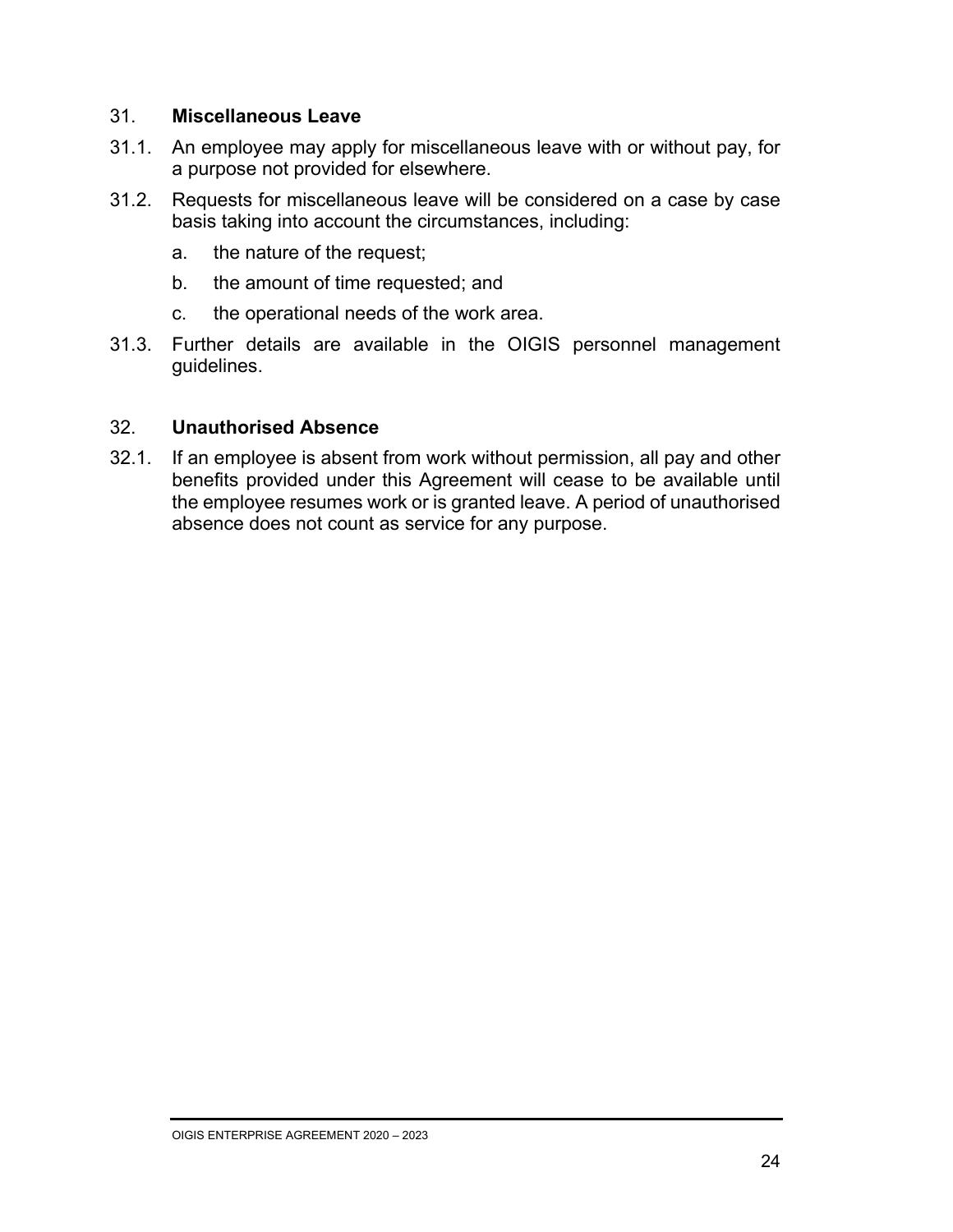#### 31. **Miscellaneous Leave**

- 31.1. An employee may apply for miscellaneous leave with or without pay, for a purpose not provided for elsewhere.
- 31.2. Requests for miscellaneous leave will be considered on a case by case basis taking into account the circumstances, including:
	- a. the nature of the request;
	- b. the amount of time requested; and
	- c. the operational needs of the work area.
- 31.3. Further details are available in the OIGIS personnel management guidelines.

#### 32. **Unauthorised Absence**

32.1. If an employee is absent from work without permission, all pay and other benefits provided under this Agreement will cease to be available until the employee resumes work or is granted leave. A period of unauthorised absence does not count as service for any purpose.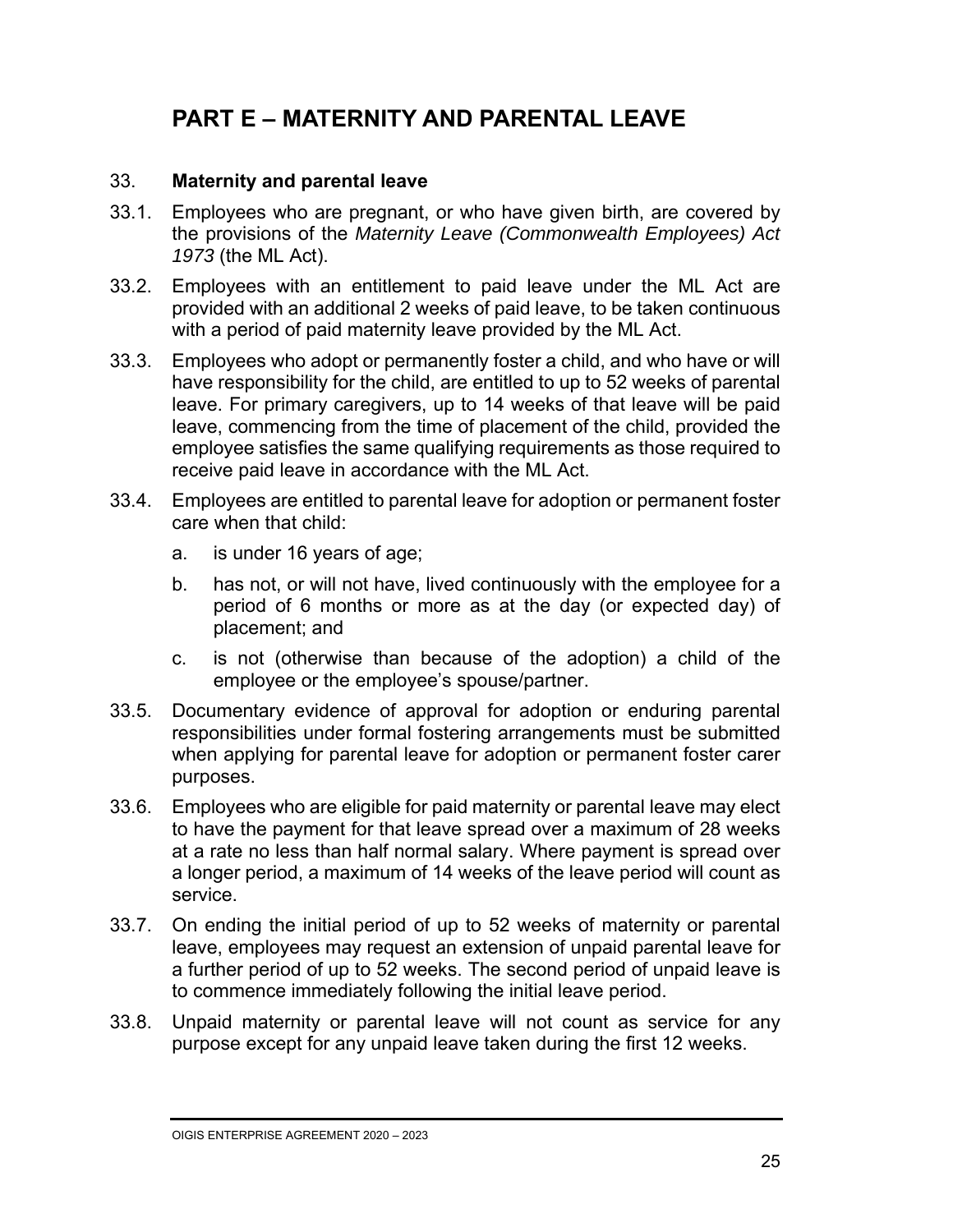### **PART E – MATERNITY AND PARENTAL LEAVE**

#### 33. **Maternity and parental leave**

- 33.1. Employees who are pregnant, or who have given birth, are covered by the provisions of the *Maternity Leave (Commonwealth Employees) Act 1973* (the ML Act).
- 33.2. Employees with an entitlement to paid leave under the ML Act are provided with an additional 2 weeks of paid leave, to be taken continuous with a period of paid maternity leave provided by the ML Act.
- 33.3. Employees who adopt or permanently foster a child, and who have or will have responsibility for the child, are entitled to up to 52 weeks of parental leave. For primary caregivers, up to 14 weeks of that leave will be paid leave, commencing from the time of placement of the child, provided the employee satisfies the same qualifying requirements as those required to receive paid leave in accordance with the ML Act.
- 33.4. Employees are entitled to parental leave for adoption or permanent foster care when that child:
	- a. is under 16 years of age;
	- b. has not, or will not have, lived continuously with the employee for a period of 6 months or more as at the day (or expected day) of placement; and
	- c. is not (otherwise than because of the adoption) a child of the employee or the employee's spouse/partner.
- 33.5. Documentary evidence of approval for adoption or enduring parental responsibilities under formal fostering arrangements must be submitted when applying for parental leave for adoption or permanent foster carer purposes.
- 33.6. Employees who are eligible for paid maternity or parental leave may elect to have the payment for that leave spread over a maximum of 28 weeks at a rate no less than half normal salary. Where payment is spread over a longer period, a maximum of 14 weeks of the leave period will count as service.
- 33.7. On ending the initial period of up to 52 weeks of maternity or parental leave, employees may request an extension of unpaid parental leave for a further period of up to 52 weeks. The second period of unpaid leave is to commence immediately following the initial leave period.
- 33.8. Unpaid maternity or parental leave will not count as service for any purpose except for any unpaid leave taken during the first 12 weeks.

OIGIS ENTERPRISE AGREEMENT 2020 – 2023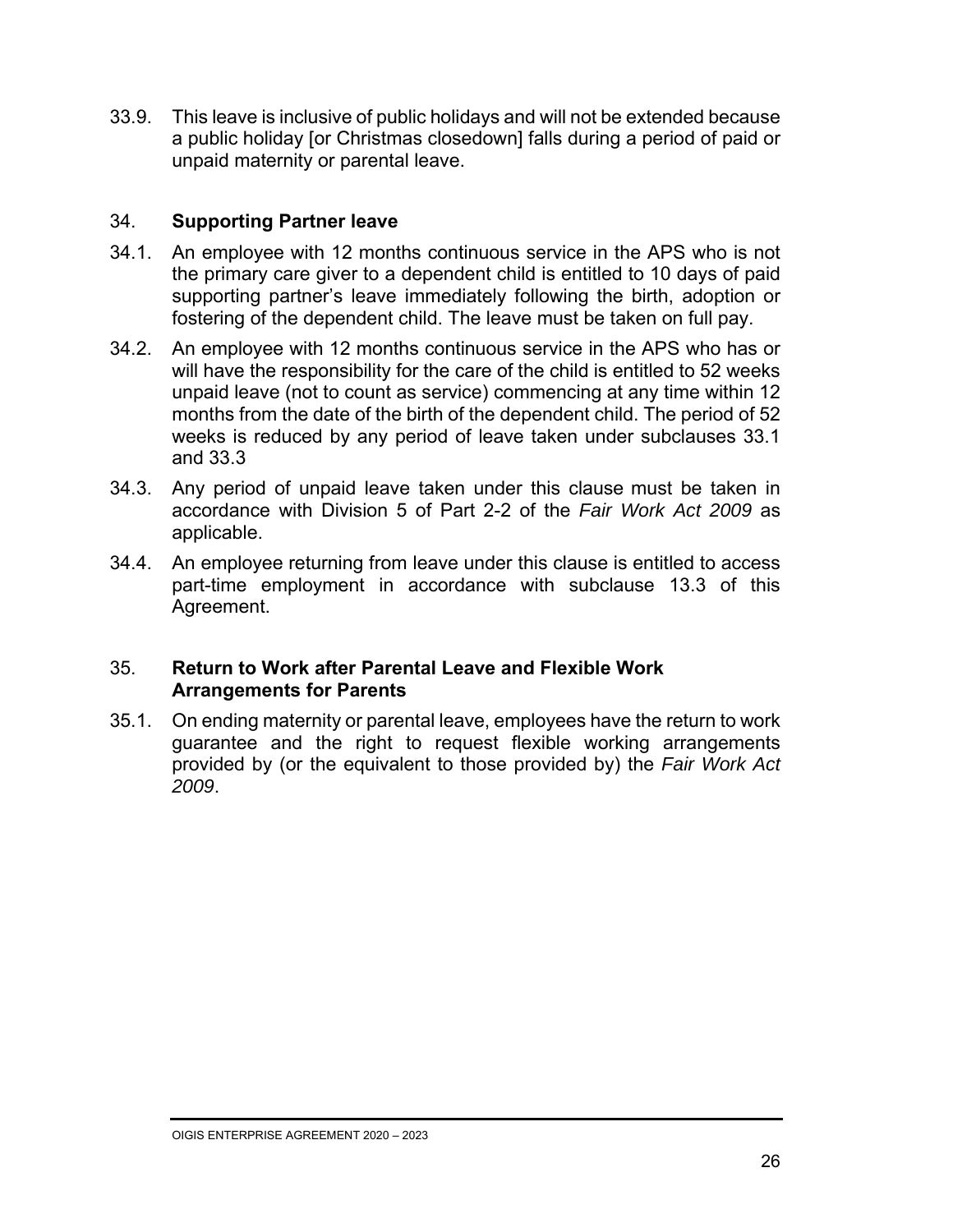33.9. This leave is inclusive of public holidays and will not be extended because a public holiday [or Christmas closedown] falls during a period of paid or unpaid maternity or parental leave.

#### 34. **Supporting Partner leave**

- 34.1. An employee with 12 months continuous service in the APS who is not the primary care giver to a dependent child is entitled to 10 days of paid supporting partner's leave immediately following the birth, adoption or fostering of the dependent child. The leave must be taken on full pay.
- 34.2. An employee with 12 months continuous service in the APS who has or will have the responsibility for the care of the child is entitled to 52 weeks unpaid leave (not to count as service) commencing at any time within 12 months from the date of the birth of the dependent child. The period of 52 weeks is reduced by any period of leave taken under subclauses 33.1 and 33.3
- 34.3. Any period of unpaid leave taken under this clause must be taken in accordance with Division 5 of Part 2-2 of the *Fair Work Act 2009* as applicable.
- 34.4. An employee returning from leave under this clause is entitled to access part-time employment in accordance with subclause 13.3 of this Agreement.

#### 35. **Return to Work after Parental Leave and Flexible Work Arrangements for Parents**

35.1. On ending maternity or parental leave, employees have the return to work guarantee and the right to request flexible working arrangements provided by (or the equivalent to those provided by) the *Fair Work Act 2009*.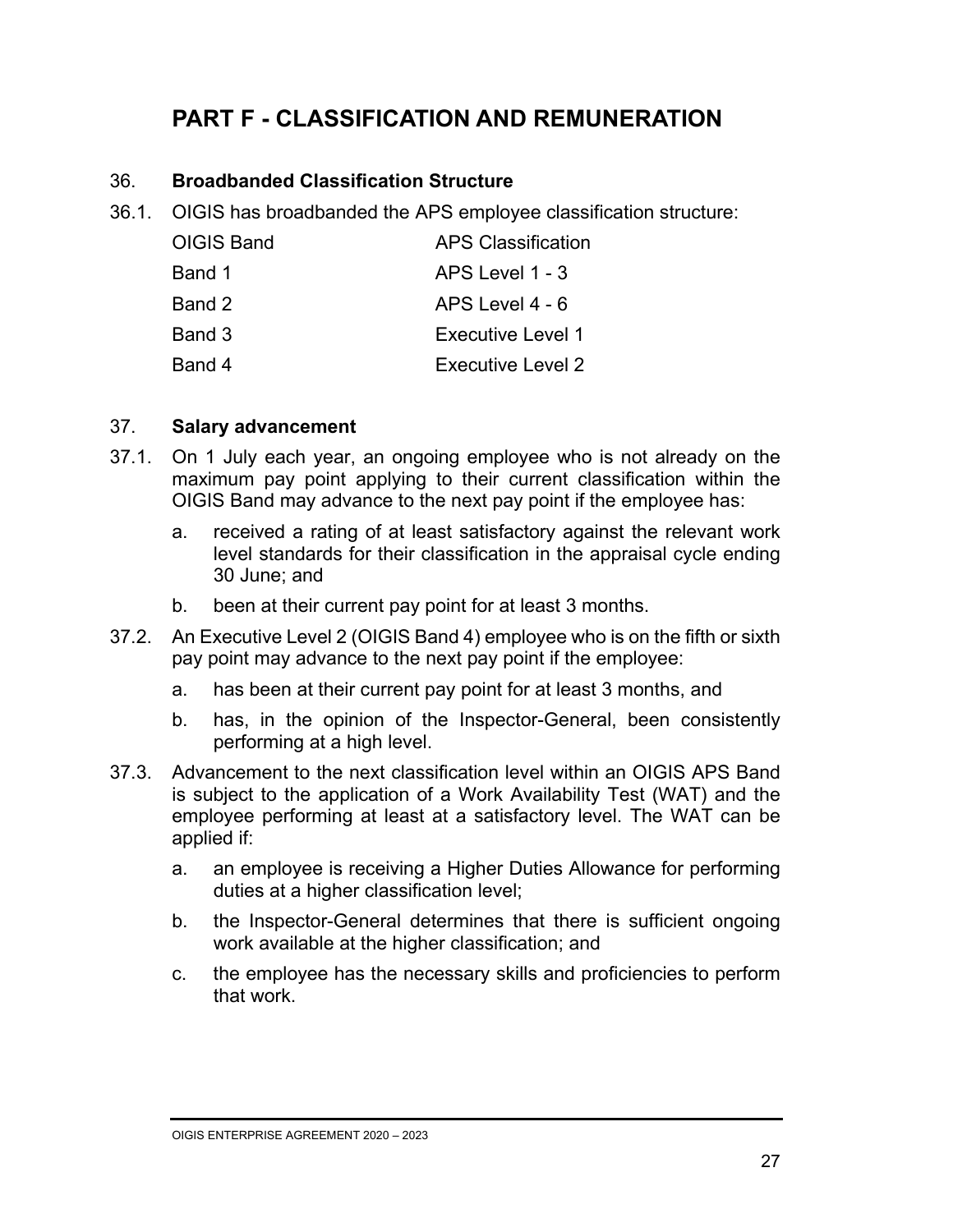### **PART F - CLASSIFICATION AND REMUNERATION**

#### 36. **Broadbanded Classification Structure**

36.1. OIGIS has broadbanded the APS employee classification structure:

| OIGIS Band | APS Classification       |
|------------|--------------------------|
| Band 1     | APS Level 1 - 3          |
| Band 2     | APS Level 4 - 6          |
| Band 3     | <b>Executive Level 1</b> |
| Band 4     | Executive Level 2        |

#### 37. **Salary advancement**

- 37.1. On 1 July each year, an ongoing employee who is not already on the maximum pay point applying to their current classification within the OIGIS Band may advance to the next pay point if the employee has:
	- a. received a rating of at least satisfactory against the relevant work level standards for their classification in the appraisal cycle ending 30 June; and
	- b. been at their current pay point for at least 3 months.
- 37.2. An Executive Level 2 (OIGIS Band 4) employee who is on the fifth or sixth pay point may advance to the next pay point if the employee:
	- a. has been at their current pay point for at least 3 months, and
	- b. has, in the opinion of the Inspector-General, been consistently performing at a high level.
- 37.3. Advancement to the next classification level within an OIGIS APS Band is subject to the application of a Work Availability Test (WAT) and the employee performing at least at a satisfactory level. The WAT can be applied if:
	- a. an employee is receiving a Higher Duties Allowance for performing duties at a higher classification level;
	- b. the Inspector-General determines that there is sufficient ongoing work available at the higher classification; and
	- c. the employee has the necessary skills and proficiencies to perform that work.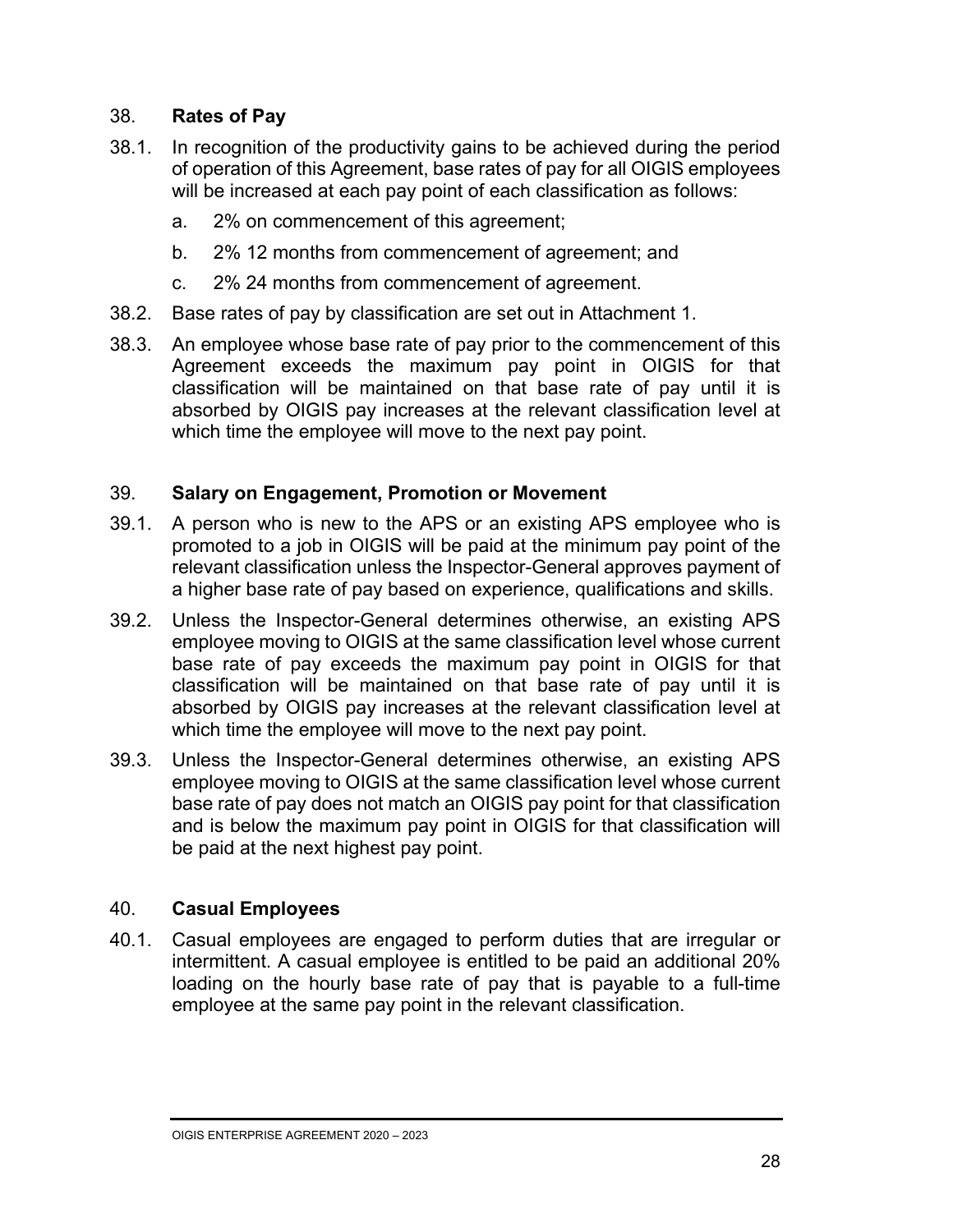#### 38. **Rates of Pay**

- 38.1. In recognition of the productivity gains to be achieved during the period of operation of this Agreement, base rates of pay for all OIGIS employees will be increased at each pay point of each classification as follows:
	- a. 2% on commencement of this agreement;
	- b. 2% 12 months from commencement of agreement; and
	- c. 2% 24 months from commencement of agreement.
- 38.2. Base rates of pay by classification are set out in Attachment 1.
- 38.3. An employee whose base rate of pay prior to the commencement of this Agreement exceeds the maximum pay point in OIGIS for that classification will be maintained on that base rate of pay until it is absorbed by OIGIS pay increases at the relevant classification level at which time the employee will move to the next pay point.

#### 39. **Salary on Engagement, Promotion or Movement**

- 39.1. A person who is new to the APS or an existing APS employee who is promoted to a job in OIGIS will be paid at the minimum pay point of the relevant classification unless the Inspector-General approves payment of a higher base rate of pay based on experience, qualifications and skills.
- 39.2. Unless the Inspector-General determines otherwise, an existing APS employee moving to OIGIS at the same classification level whose current base rate of pay exceeds the maximum pay point in OIGIS for that classification will be maintained on that base rate of pay until it is absorbed by OIGIS pay increases at the relevant classification level at which time the employee will move to the next pay point.
- 39.3. Unless the Inspector-General determines otherwise, an existing APS employee moving to OIGIS at the same classification level whose current base rate of pay does not match an OIGIS pay point for that classification and is below the maximum pay point in OIGIS for that classification will be paid at the next highest pay point.

#### 40. **Casual Employees**

40.1. Casual employees are engaged to perform duties that are irregular or intermittent. A casual employee is entitled to be paid an additional 20% loading on the hourly base rate of pay that is payable to a full-time employee at the same pay point in the relevant classification.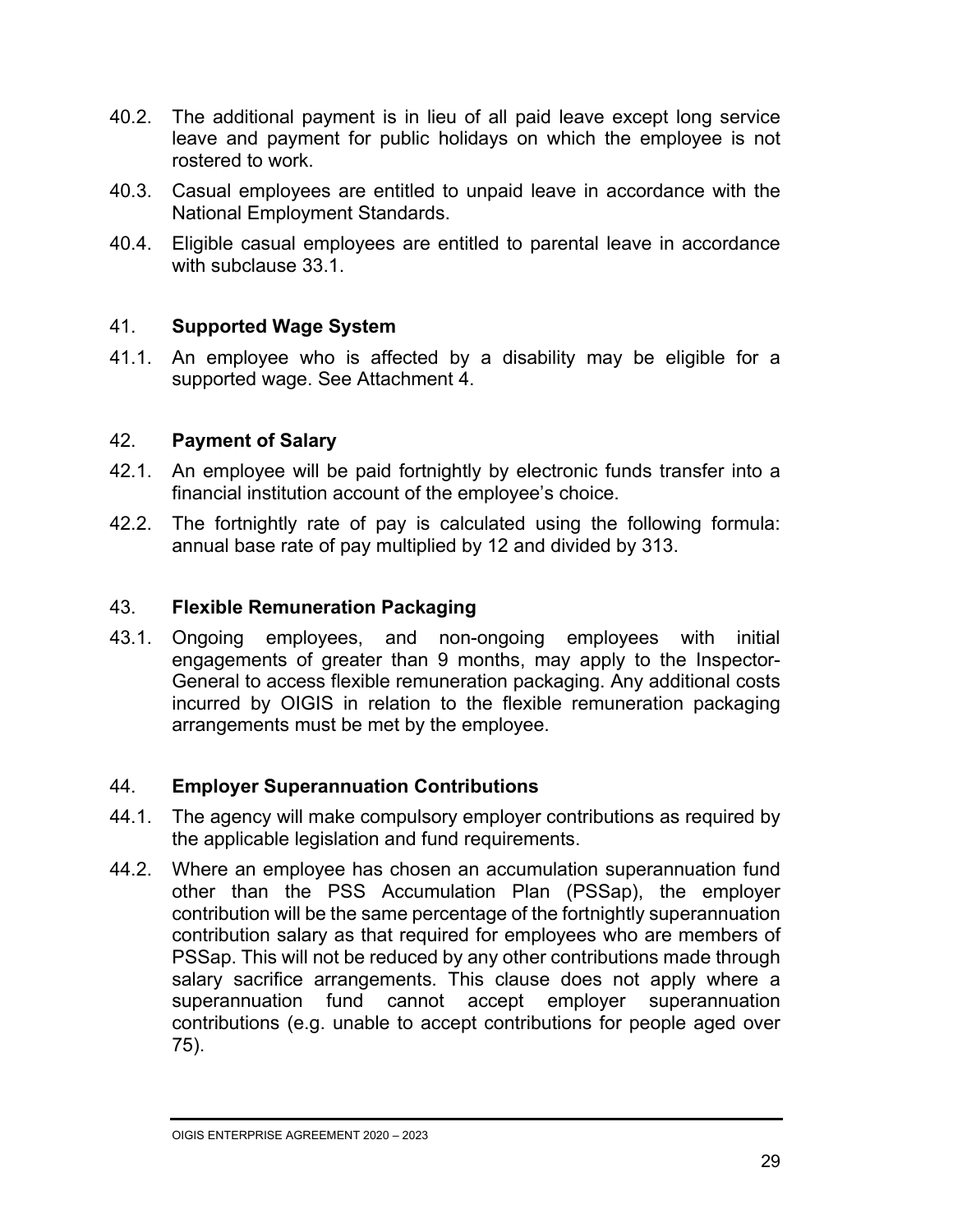- 40.2. The additional payment is in lieu of all paid leave except long service leave and payment for public holidays on which the employee is not rostered to work.
- 40.3. Casual employees are entitled to unpaid leave in accordance with the National Employment Standards.
- 40.4. Eligible casual employees are entitled to parental leave in accordance with subclause 33.1.

#### 41. **Supported Wage System**

41.1. An employee who is affected by a disability may be eligible for a supported wage. See Attachment 4.

#### 42. **Payment of Salary**

- 42.1. An employee will be paid fortnightly by electronic funds transfer into a financial institution account of the employee's choice.
- 42.2. The fortnightly rate of pay is calculated using the following formula: annual base rate of pay multiplied by 12 and divided by 313.

#### 43. **Flexible Remuneration Packaging**

43.1. Ongoing employees, and non-ongoing employees with initial engagements of greater than 9 months, may apply to the Inspector-General to access flexible remuneration packaging. Any additional costs incurred by OIGIS in relation to the flexible remuneration packaging arrangements must be met by the employee.

#### 44. **Employer Superannuation Contributions**

- 44.1. The agency will make compulsory employer contributions as required by the applicable legislation and fund requirements.
- 44.2. Where an employee has chosen an accumulation superannuation fund other than the PSS Accumulation Plan (PSSap), the employer contribution will be the same percentage of the fortnightly superannuation contribution salary as that required for employees who are members of PSSap. This will not be reduced by any other contributions made through salary sacrifice arrangements. This clause does not apply where a superannuation fund cannot accept employer superannuation contributions (e.g. unable to accept contributions for people aged over 75).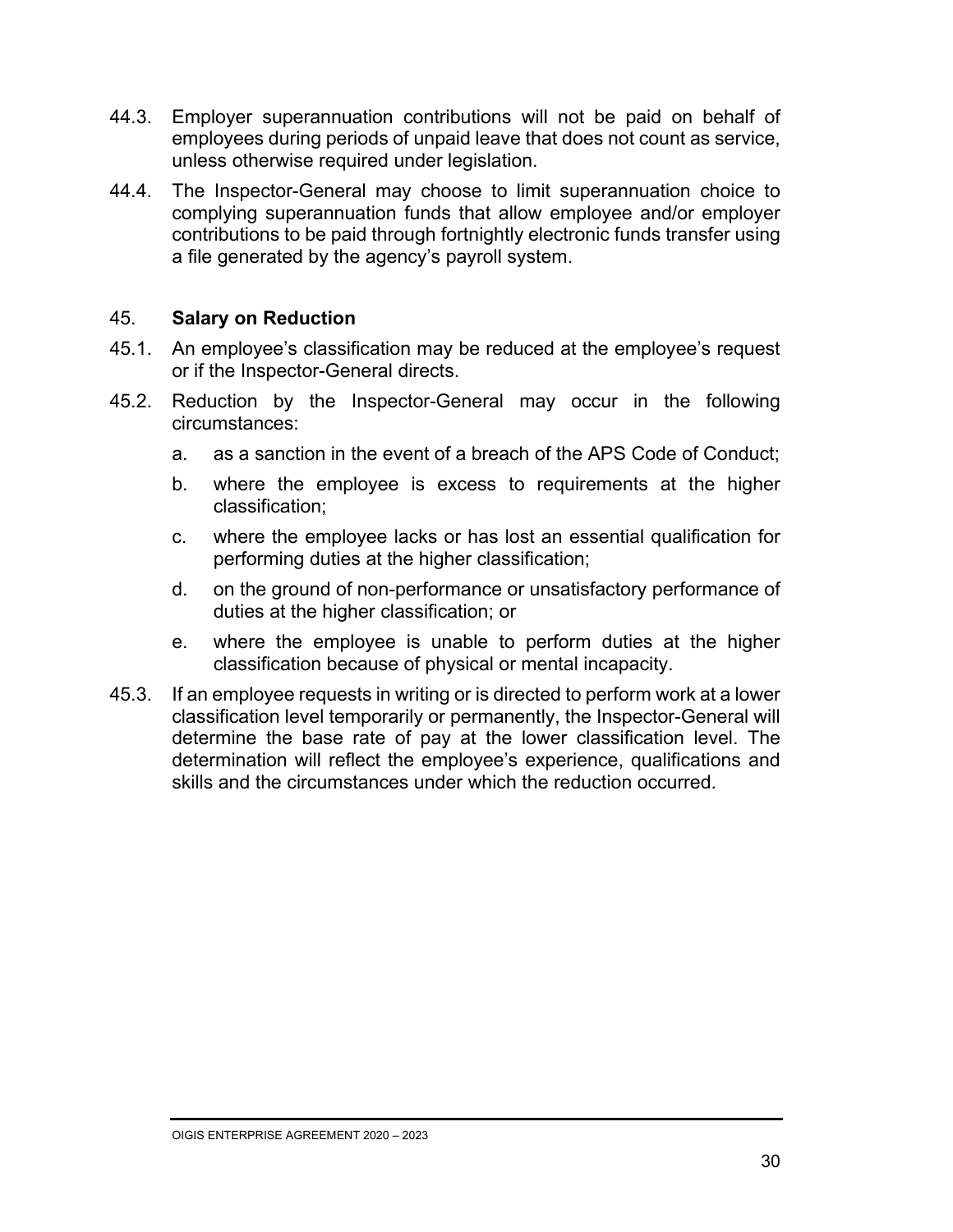- 44.3. Employer superannuation contributions will not be paid on behalf of employees during periods of unpaid leave that does not count as service, unless otherwise required under legislation.
- 44.4. The Inspector-General may choose to limit superannuation choice to complying superannuation funds that allow employee and/or employer contributions to be paid through fortnightly electronic funds transfer using a file generated by the agency's payroll system.

#### 45. **Salary on Reduction**

- 45.1. An employee's classification may be reduced at the employee's request or if the Inspector-General directs.
- 45.2. Reduction by the Inspector-General may occur in the following circumstances:
	- a. as a sanction in the event of a breach of the APS Code of Conduct;
	- b. where the employee is excess to requirements at the higher classification;
	- c. where the employee lacks or has lost an essential qualification for performing duties at the higher classification;
	- d. on the ground of non-performance or unsatisfactory performance of duties at the higher classification; or
	- e. where the employee is unable to perform duties at the higher classification because of physical or mental incapacity.
- 45.3. If an employee requests in writing or is directed to perform work at a lower classification level temporarily or permanently, the Inspector-General will determine the base rate of pay at the lower classification level. The determination will reflect the employee's experience, qualifications and skills and the circumstances under which the reduction occurred.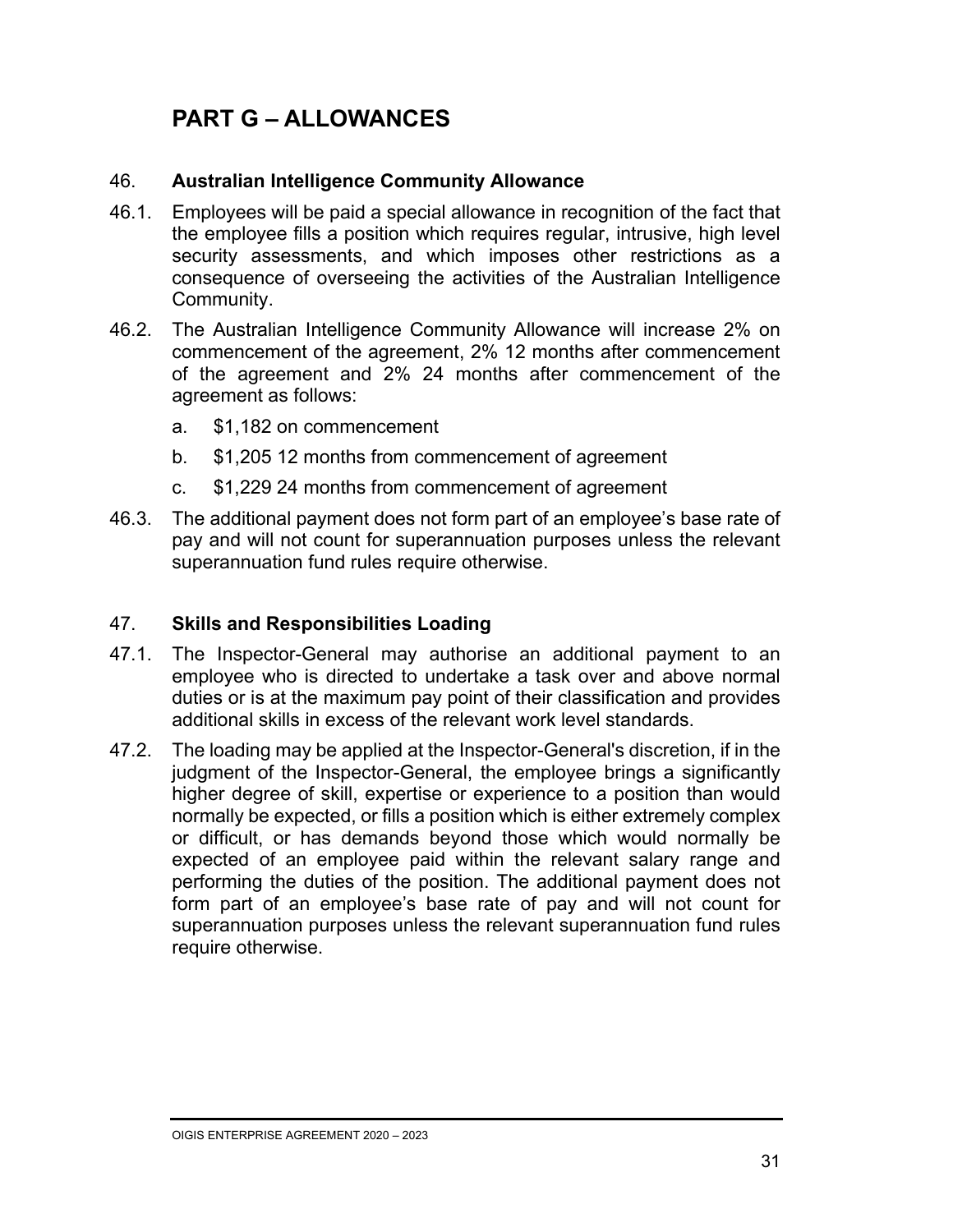### **PART G – ALLOWANCES**

#### 46. **Australian Intelligence Community Allowance**

- 46.1. Employees will be paid a special allowance in recognition of the fact that the employee fills a position which requires regular, intrusive, high level security assessments, and which imposes other restrictions as a consequence of overseeing the activities of the Australian Intelligence Community.
- 46.2. The Australian Intelligence Community Allowance will increase 2% on commencement of the agreement, 2% 12 months after commencement of the agreement and 2% 24 months after commencement of the agreement as follows:
	- a. \$1,182 on commencement
	- b. \$1,205 12 months from commencement of agreement
	- c. \$1,229 24 months from commencement of agreement
- 46.3. The additional payment does not form part of an employee's base rate of pay and will not count for superannuation purposes unless the relevant superannuation fund rules require otherwise.

#### 47. **Skills and Responsibilities Loading**

- 47.1. The Inspector-General may authorise an additional payment to an employee who is directed to undertake a task over and above normal duties or is at the maximum pay point of their classification and provides additional skills in excess of the relevant work level standards.
- 47.2. The loading may be applied at the Inspector-General's discretion, if in the judgment of the Inspector-General, the employee brings a significantly higher degree of skill, expertise or experience to a position than would normally be expected, or fills a position which is either extremely complex or difficult, or has demands beyond those which would normally be expected of an employee paid within the relevant salary range and performing the duties of the position. The additional payment does not form part of an employee's base rate of pay and will not count for superannuation purposes unless the relevant superannuation fund rules require otherwise.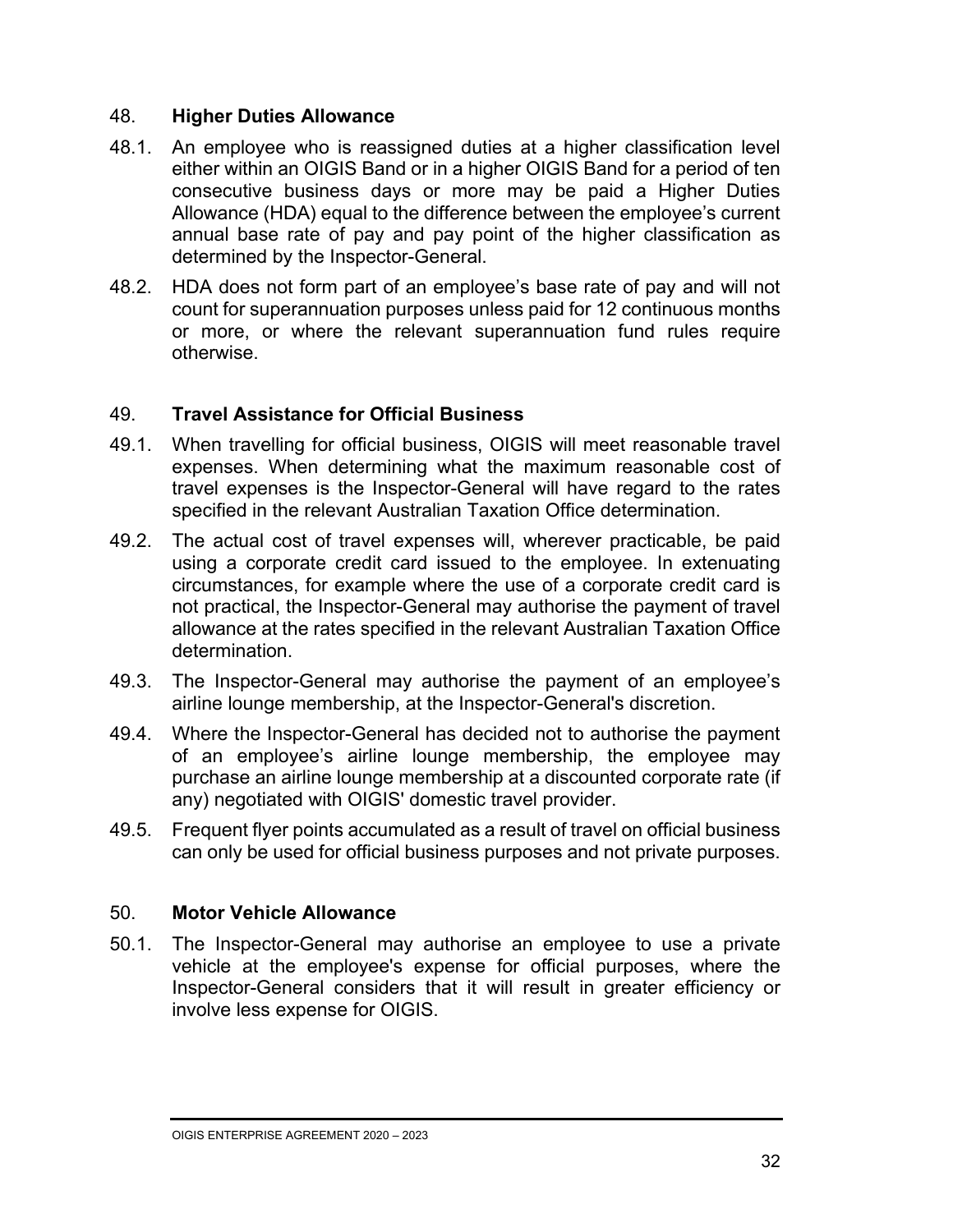#### 48. **Higher Duties Allowance**

- 48.1. An employee who is reassigned duties at a higher classification level either within an OIGIS Band or in a higher OIGIS Band for a period of ten consecutive business days or more may be paid a Higher Duties Allowance (HDA) equal to the difference between the employee's current annual base rate of pay and pay point of the higher classification as determined by the Inspector-General.
- 48.2. HDA does not form part of an employee's base rate of pay and will not count for superannuation purposes unless paid for 12 continuous months or more, or where the relevant superannuation fund rules require otherwise.

#### 49. **Travel Assistance for Official Business**

- 49.1. When travelling for official business, OIGIS will meet reasonable travel expenses. When determining what the maximum reasonable cost of travel expenses is the Inspector-General will have regard to the rates specified in the relevant Australian Taxation Office determination.
- 49.2. The actual cost of travel expenses will, wherever practicable, be paid using a corporate credit card issued to the employee. In extenuating circumstances, for example where the use of a corporate credit card is not practical, the Inspector-General may authorise the payment of travel allowance at the rates specified in the relevant Australian Taxation Office determination.
- 49.3. The Inspector-General may authorise the payment of an employee's airline lounge membership, at the Inspector-General's discretion.
- 49.4. Where the Inspector-General has decided not to authorise the payment of an employee's airline lounge membership, the employee may purchase an airline lounge membership at a discounted corporate rate (if any) negotiated with OIGIS' domestic travel provider.
- 49.5. Frequent flyer points accumulated as a result of travel on official business can only be used for official business purposes and not private purposes.

#### 50. **Motor Vehicle Allowance**

50.1. The Inspector-General may authorise an employee to use a private vehicle at the employee's expense for official purposes, where the Inspector-General considers that it will result in greater efficiency or involve less expense for OIGIS.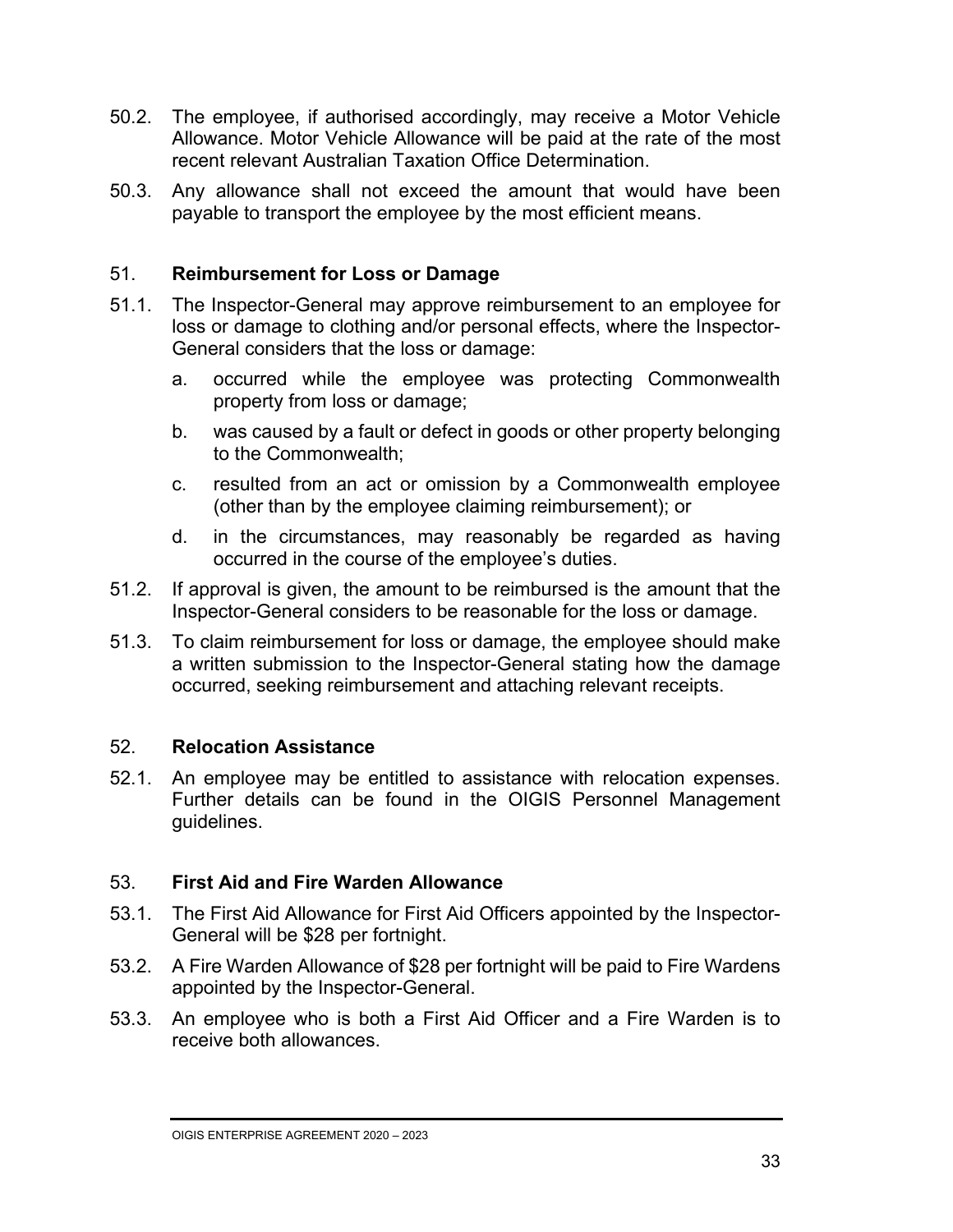- 50.2. The employee, if authorised accordingly, may receive a Motor Vehicle Allowance. Motor Vehicle Allowance will be paid at the rate of the most recent relevant Australian Taxation Office Determination.
- 50.3. Any allowance shall not exceed the amount that would have been payable to transport the employee by the most efficient means.

#### 51. **Reimbursement for Loss or Damage**

- 51.1. The Inspector-General may approve reimbursement to an employee for loss or damage to clothing and/or personal effects, where the Inspector-General considers that the loss or damage:
	- a. occurred while the employee was protecting Commonwealth property from loss or damage;
	- b. was caused by a fault or defect in goods or other property belonging to the Commonwealth;
	- c. resulted from an act or omission by a Commonwealth employee (other than by the employee claiming reimbursement); or
	- d. in the circumstances, may reasonably be regarded as having occurred in the course of the employee's duties.
- 51.2. If approval is given, the amount to be reimbursed is the amount that the Inspector-General considers to be reasonable for the loss or damage.
- 51.3. To claim reimbursement for loss or damage, the employee should make a written submission to the Inspector-General stating how the damage occurred, seeking reimbursement and attaching relevant receipts.

#### 52. **Relocation Assistance**

52.1. An employee may be entitled to assistance with relocation expenses. Further details can be found in the OIGIS Personnel Management guidelines.

#### 53. **First Aid and Fire Warden Allowance**

- 53.1. The First Aid Allowance for First Aid Officers appointed by the Inspector-General will be \$28 per fortnight.
- 53.2. A Fire Warden Allowance of \$28 per fortnight will be paid to Fire Wardens appointed by the Inspector-General.
- 53.3. An employee who is both a First Aid Officer and a Fire Warden is to receive both allowances.

OIGIS ENTERPRISE AGREEMENT 2020 – 2023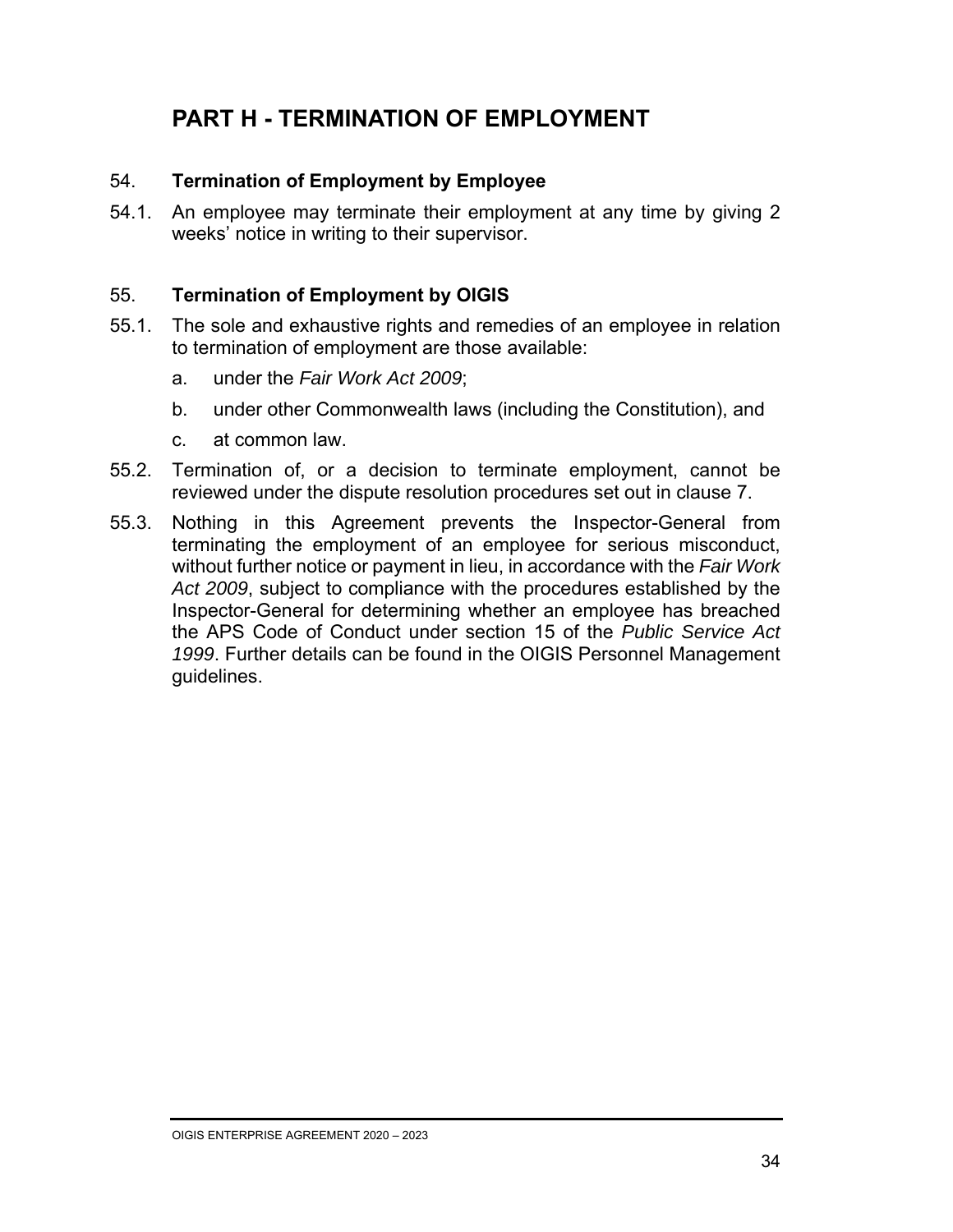### **PART H - TERMINATION OF EMPLOYMENT**

#### 54. **Termination of Employment by Employee**

54.1. An employee may terminate their employment at any time by giving 2 weeks' notice in writing to their supervisor.

#### 55. **Termination of Employment by OIGIS**

- 55.1. The sole and exhaustive rights and remedies of an employee in relation to termination of employment are those available:
	- a. under the *Fair Work Act 2009*;
	- b. under other Commonwealth laws (including the Constitution), and
	- c. at common law.
- 55.2. Termination of, or a decision to terminate employment, cannot be reviewed under the dispute resolution procedures set out in clause 7.
- 55.3. Nothing in this Agreement prevents the Inspector-General from terminating the employment of an employee for serious misconduct, without further notice or payment in lieu, in accordance with the *Fair Work Act 2009*, subject to compliance with the procedures established by the Inspector-General for determining whether an employee has breached the APS Code of Conduct under section 15 of the *Public Service Act 1999*. Further details can be found in the OIGIS Personnel Management guidelines.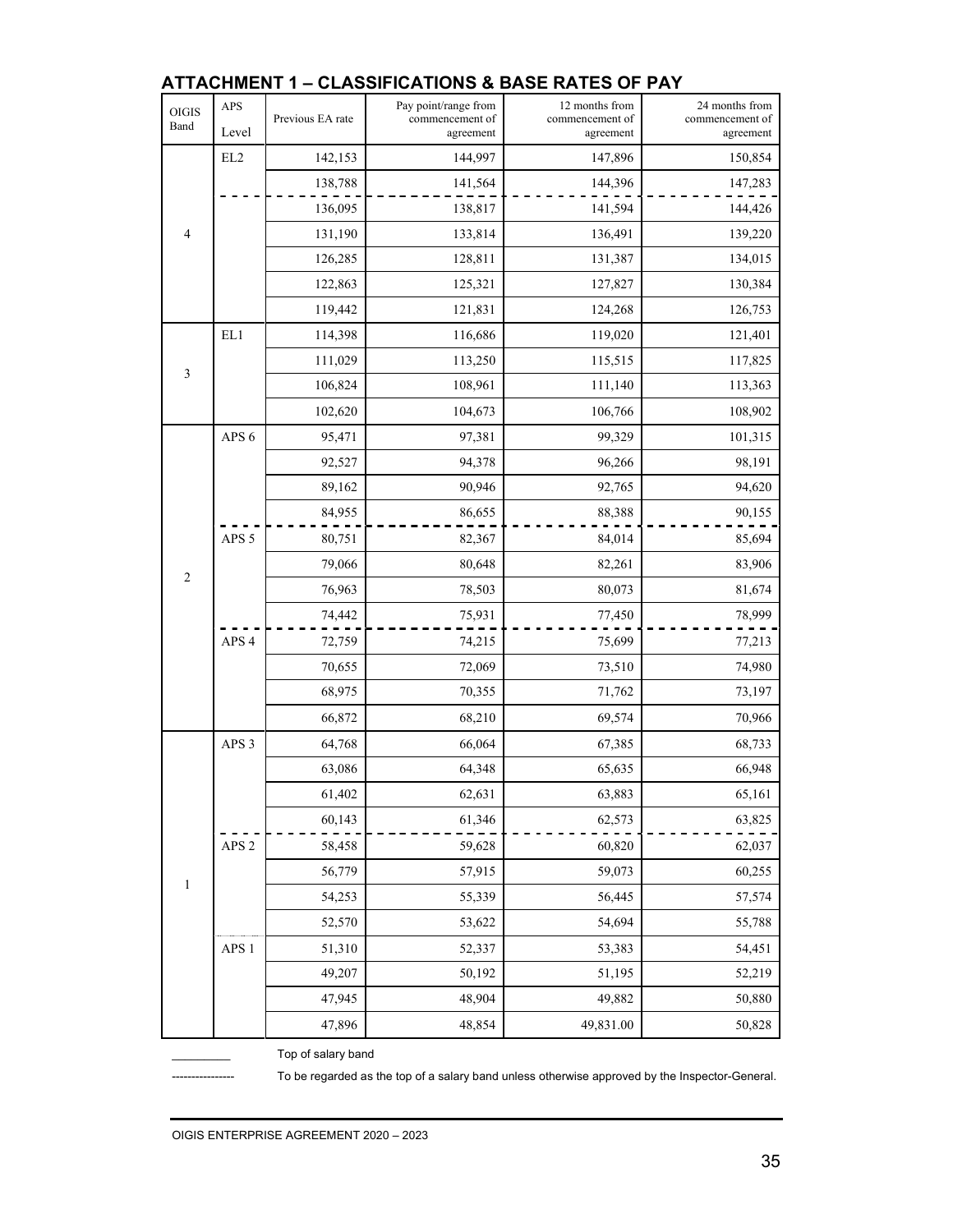| OIGIS<br>Band  | APS<br>Level     | Previous EA rate | Pay point/range from<br>commencement of<br>agreement | 12 months from<br>commencement of<br>agreement | 24 months from<br>commencement of<br>agreement |
|----------------|------------------|------------------|------------------------------------------------------|------------------------------------------------|------------------------------------------------|
|                | EL2              | 142,153          | 144,997                                              | 147,896                                        | 150,854                                        |
|                |                  | 138,788          | 141,564                                              | 144,396                                        | 147,283                                        |
|                |                  | 136,095          | 138,817                                              | 141,594                                        | 144,426                                        |
| $\overline{4}$ |                  | 131,190          | 133,814                                              | 136,491                                        | 139,220                                        |
|                |                  | 126,285          | 128,811                                              | 131,387                                        | 134,015                                        |
|                |                  | 122,863          | 125,321                                              | 127,827                                        | 130,384                                        |
|                |                  | 119,442          | 121,831                                              | 124,268                                        | 126,753                                        |
|                | EL1              | 114,398          | 116,686                                              | 119,020                                        | 121,401                                        |
| $\mathfrak{Z}$ |                  | 111,029          | 113,250                                              | 115,515                                        | 117,825                                        |
|                |                  | 106,824          | 108,961                                              | 111,140                                        | 113,363                                        |
|                |                  | 102,620          | 104,673                                              | 106,766                                        | 108,902                                        |
|                | APS <sub>6</sub> | 95,471           | 97,381                                               | 99,329                                         | 101,315                                        |
|                |                  | 92,527           | 94,378                                               | 96,266                                         | 98,191                                         |
|                |                  | 89,162           | 90,946                                               | 92,765                                         | 94,620                                         |
|                |                  | 84,955           | 86,655                                               | 88,388                                         | 90,155                                         |
|                | APS <sub>5</sub> | 80,751           | 82,367                                               | 84,014                                         | 85,694                                         |
| $\overline{c}$ |                  | 79,066           | 80,648                                               | 82,261                                         | 83,906                                         |
|                |                  | 76,963           | 78,503                                               | 80,073                                         | 81,674                                         |
|                |                  | 74,442           | 75,931                                               | 77,450                                         | 78,999                                         |
|                | APS <sub>4</sub> | 72,759           | 74,215                                               | 75,699                                         | 77,213                                         |
|                |                  | 70,655           | 72,069                                               | 73,510                                         | 74,980                                         |
|                |                  | 68,975           | 70,355                                               | 71,762                                         | 73,197                                         |
|                |                  | 66,872           | 68,210                                               | 69,574                                         | 70,966                                         |
|                | APS <sub>3</sub> | 64,768           | 66,064                                               | 67,385                                         | 68,733                                         |
|                |                  | 63,086           | 64,348                                               | 65,635                                         | 66,948                                         |
|                |                  | 61,402           | 62,631                                               | 63,883                                         | 65,161                                         |
|                |                  | 60,143           | 61,346                                               | 62,573                                         | 63,825                                         |
| $\mathbf{1}$   | APS <sub>2</sub> | 58,458           | 59,628                                               | 60,820                                         | 62,037                                         |
|                |                  | 56,779           | 57,915                                               | 59,073                                         | 60,255                                         |
|                |                  | 54,253           | 55,339                                               | 56,445                                         | 57,574                                         |
|                |                  | 52,570           | 53,622                                               | 54,694                                         | 55,788                                         |
|                | APS <sub>1</sub> | 51,310           | 52,337                                               | 53,383                                         | 54,451                                         |
|                |                  | 49,207           | 50,192                                               | 51,195                                         | 52,219                                         |
|                |                  | 47,945           | 48,904                                               | 49,882                                         | 50,880                                         |
|                |                  | 47,896           | 48,854                                               | 49,831.00                                      | 50,828                                         |

#### **ATTACHMENT 1 – CLASSIFICATIONS & BASE RATES OF PAY**

Top of salary band

---------------- To be regarded as the top of a salary band unless otherwise approved by the Inspector-General.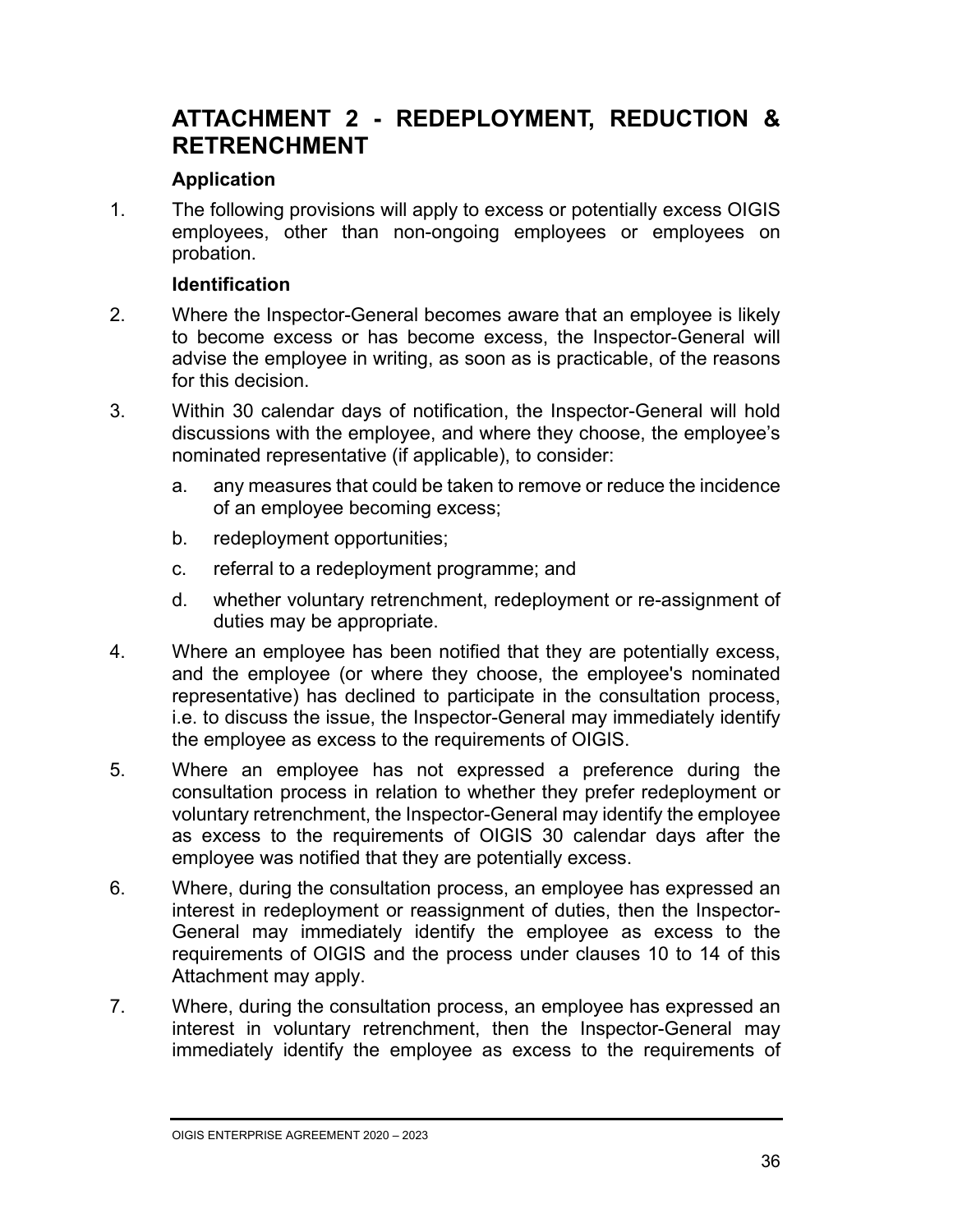### **ATTACHMENT 2 - REDEPLOYMENT, REDUCTION & RETRENCHMENT**

#### **Application**

1. The following provisions will apply to excess or potentially excess OIGIS employees, other than non-ongoing employees or employees on probation.

#### **Identification**

- 2. Where the Inspector-General becomes aware that an employee is likely to become excess or has become excess, the Inspector-General will advise the employee in writing, as soon as is practicable, of the reasons for this decision.
- 3. Within 30 calendar days of notification, the Inspector-General will hold discussions with the employee, and where they choose, the employee's nominated representative (if applicable), to consider:
	- a. any measures that could be taken to remove or reduce the incidence of an employee becoming excess;
	- b. redeployment opportunities;
	- c. referral to a redeployment programme; and
	- d. whether voluntary retrenchment, redeployment or re-assignment of duties may be appropriate.
- 4. Where an employee has been notified that they are potentially excess, and the employee (or where they choose, the employee's nominated representative) has declined to participate in the consultation process, i.e. to discuss the issue, the Inspector-General may immediately identify the employee as excess to the requirements of OIGIS.
- 5. Where an employee has not expressed a preference during the consultation process in relation to whether they prefer redeployment or voluntary retrenchment, the Inspector-General may identify the employee as excess to the requirements of OIGIS 30 calendar days after the employee was notified that they are potentially excess.
- 6. Where, during the consultation process, an employee has expressed an interest in redeployment or reassignment of duties, then the Inspector-General may immediately identify the employee as excess to the requirements of OIGIS and the process under clauses 10 to 14 of this Attachment may apply.
- 7. Where, during the consultation process, an employee has expressed an interest in voluntary retrenchment, then the Inspector-General may immediately identify the employee as excess to the requirements of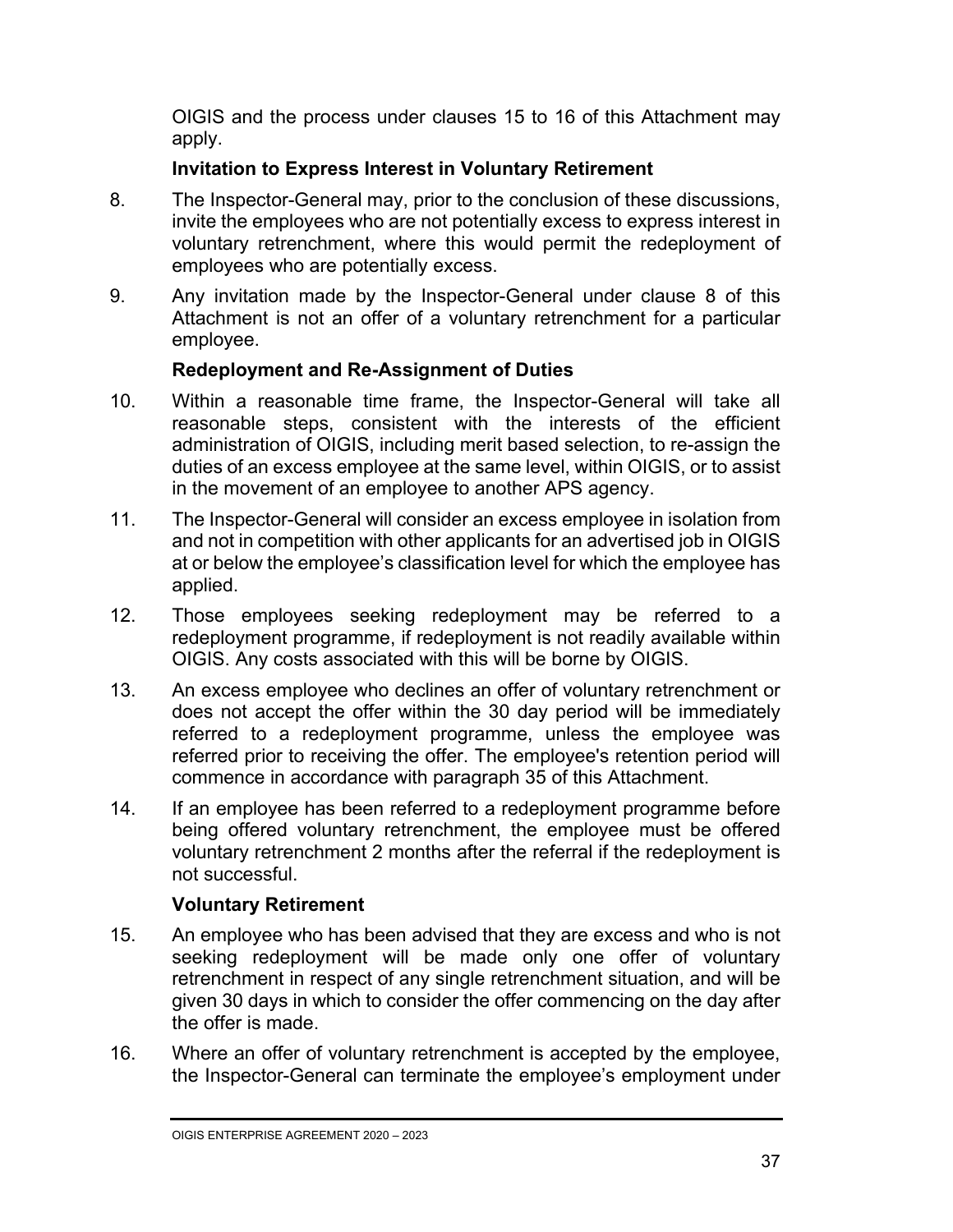OIGIS and the process under clauses 15 to 16 of this Attachment may apply.

#### **Invitation to Express Interest in Voluntary Retirement**

- 8. The Inspector-General may, prior to the conclusion of these discussions, invite the employees who are not potentially excess to express interest in voluntary retrenchment, where this would permit the redeployment of employees who are potentially excess.
- 9. Any invitation made by the Inspector-General under clause 8 of this Attachment is not an offer of a voluntary retrenchment for a particular employee.

#### **Redeployment and Re-Assignment of Duties**

- 10. Within a reasonable time frame, the Inspector-General will take all reasonable steps, consistent with the interests of the efficient administration of OIGIS, including merit based selection, to re-assign the duties of an excess employee at the same level, within OIGIS, or to assist in the movement of an employee to another APS agency.
- 11. The Inspector-General will consider an excess employee in isolation from and not in competition with other applicants for an advertised job in OIGIS at or below the employee's classification level for which the employee has applied.
- 12. Those employees seeking redeployment may be referred to a redeployment programme, if redeployment is not readily available within OIGIS. Any costs associated with this will be borne by OIGIS.
- 13. An excess employee who declines an offer of voluntary retrenchment or does not accept the offer within the 30 day period will be immediately referred to a redeployment programme, unless the employee was referred prior to receiving the offer. The employee's retention period will commence in accordance with paragraph 35 of this Attachment.
- 14. If an employee has been referred to a redeployment programme before being offered voluntary retrenchment, the employee must be offered voluntary retrenchment 2 months after the referral if the redeployment is not successful.

#### **Voluntary Retirement**

- 15. An employee who has been advised that they are excess and who is not seeking redeployment will be made only one offer of voluntary retrenchment in respect of any single retrenchment situation, and will be given 30 days in which to consider the offer commencing on the day after the offer is made.
- 16. Where an offer of voluntary retrenchment is accepted by the employee, the Inspector-General can terminate the employee's employment under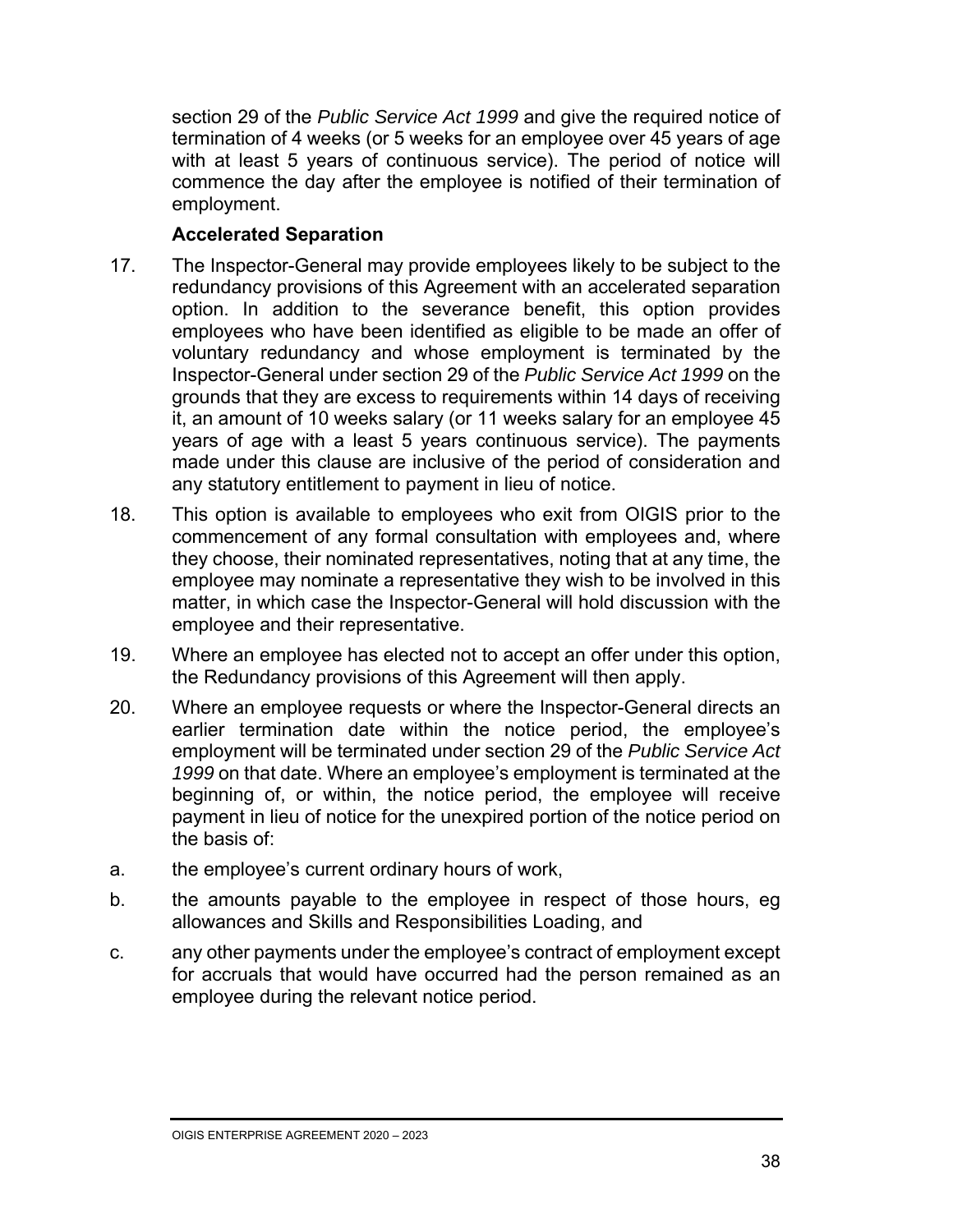section 29 of the *Public Service Act 1999* and give the required notice of termination of 4 weeks (or 5 weeks for an employee over 45 years of age with at least 5 years of continuous service). The period of notice will commence the day after the employee is notified of their termination of employment.

#### **Accelerated Separation**

- 17. The Inspector-General may provide employees likely to be subject to the redundancy provisions of this Agreement with an accelerated separation option. In addition to the severance benefit, this option provides employees who have been identified as eligible to be made an offer of voluntary redundancy and whose employment is terminated by the Inspector-General under section 29 of the *Public Service Act 1999* on the grounds that they are excess to requirements within 14 days of receiving it, an amount of 10 weeks salary (or 11 weeks salary for an employee 45 years of age with a least 5 years continuous service). The payments made under this clause are inclusive of the period of consideration and any statutory entitlement to payment in lieu of notice.
- 18. This option is available to employees who exit from OIGIS prior to the commencement of any formal consultation with employees and, where they choose, their nominated representatives, noting that at any time, the employee may nominate a representative they wish to be involved in this matter, in which case the Inspector-General will hold discussion with the employee and their representative.
- 19. Where an employee has elected not to accept an offer under this option, the Redundancy provisions of this Agreement will then apply.
- 20. Where an employee requests or where the Inspector-General directs an earlier termination date within the notice period, the employee's employment will be terminated under section 29 of the *Public Service Act 1999* on that date. Where an employee's employment is terminated at the beginning of, or within, the notice period, the employee will receive payment in lieu of notice for the unexpired portion of the notice period on the basis of:
- a. the employee's current ordinary hours of work,
- b. the amounts payable to the employee in respect of those hours, eg allowances and Skills and Responsibilities Loading, and
- c. any other payments under the employee's contract of employment except for accruals that would have occurred had the person remained as an employee during the relevant notice period.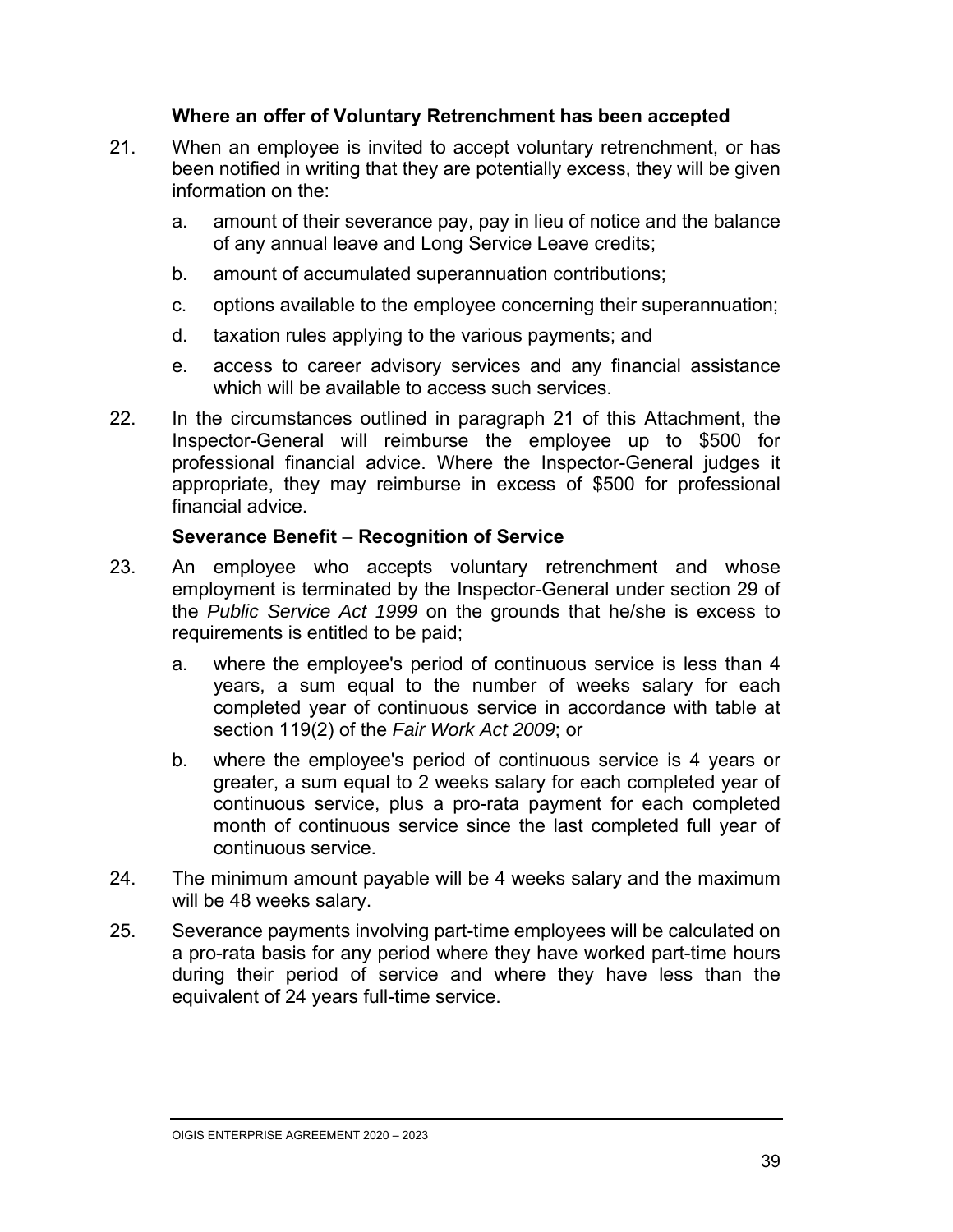#### **Where an offer of Voluntary Retrenchment has been accepted**

- 21. When an employee is invited to accept voluntary retrenchment, or has been notified in writing that they are potentially excess, they will be given information on the:
	- a. amount of their severance pay, pay in lieu of notice and the balance of any annual leave and Long Service Leave credits;
	- b. amount of accumulated superannuation contributions;
	- c. options available to the employee concerning their superannuation;
	- d. taxation rules applying to the various payments; and
	- e. access to career advisory services and any financial assistance which will be available to access such services.
- 22. In the circumstances outlined in paragraph 21 of this Attachment, the Inspector-General will reimburse the employee up to \$500 for professional financial advice. Where the Inspector-General judges it appropriate, they may reimburse in excess of \$500 for professional financial advice.

#### **Severance Benefit** – **Recognition of Service**

- 23. An employee who accepts voluntary retrenchment and whose employment is terminated by the Inspector-General under section 29 of the *Public Service Act 1999* on the grounds that he/she is excess to requirements is entitled to be paid;
	- a. where the employee's period of continuous service is less than 4 years, a sum equal to the number of weeks salary for each completed year of continuous service in accordance with table at section 119(2) of the *Fair Work Act 2009*; or
	- b. where the employee's period of continuous service is 4 years or greater, a sum equal to 2 weeks salary for each completed year of continuous service, plus a pro-rata payment for each completed month of continuous service since the last completed full year of continuous service.
- 24. The minimum amount payable will be 4 weeks salary and the maximum will be 48 weeks salary.
- 25. Severance payments involving part-time employees will be calculated on a pro-rata basis for any period where they have worked part-time hours during their period of service and where they have less than the equivalent of 24 years full-time service.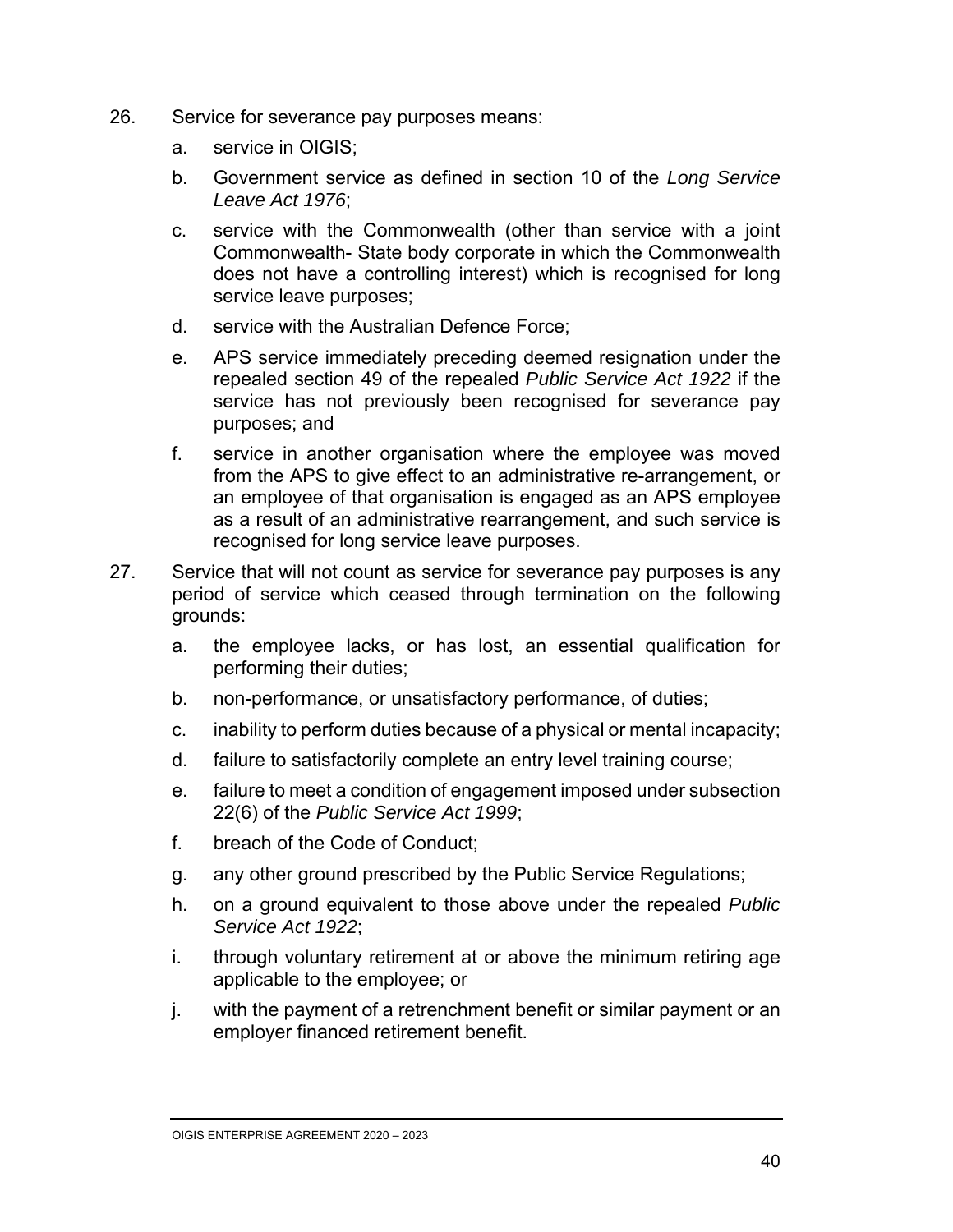- 26. Service for severance pay purposes means:
	- a. service in OIGIS;
	- b. Government service as defined in section 10 of the *Long Service Leave Act 1976*;
	- c. service with the Commonwealth (other than service with a joint Commonwealth- State body corporate in which the Commonwealth does not have a controlling interest) which is recognised for long service leave purposes;
	- d. service with the Australian Defence Force;
	- e. APS service immediately preceding deemed resignation under the repealed section 49 of the repealed *Public Service Act 1922* if the service has not previously been recognised for severance pay purposes; and
	- f. service in another organisation where the employee was moved from the APS to give effect to an administrative re-arrangement, or an employee of that organisation is engaged as an APS employee as a result of an administrative rearrangement, and such service is recognised for long service leave purposes.
- 27. Service that will not count as service for severance pay purposes is any period of service which ceased through termination on the following grounds:
	- a. the employee lacks, or has lost, an essential qualification for performing their duties;
	- b. non-performance, or unsatisfactory performance, of duties;
	- c. inability to perform duties because of a physical or mental incapacity;
	- d. failure to satisfactorily complete an entry level training course;
	- e. failure to meet a condition of engagement imposed under subsection 22(6) of the *Public Service Act 1999*;
	- f. breach of the Code of Conduct;
	- g. any other ground prescribed by the Public Service Regulations;
	- h. on a ground equivalent to those above under the repealed *Public Service Act 1922*;
	- i. through voluntary retirement at or above the minimum retiring age applicable to the employee; or
	- j. with the payment of a retrenchment benefit or similar payment or an employer financed retirement benefit.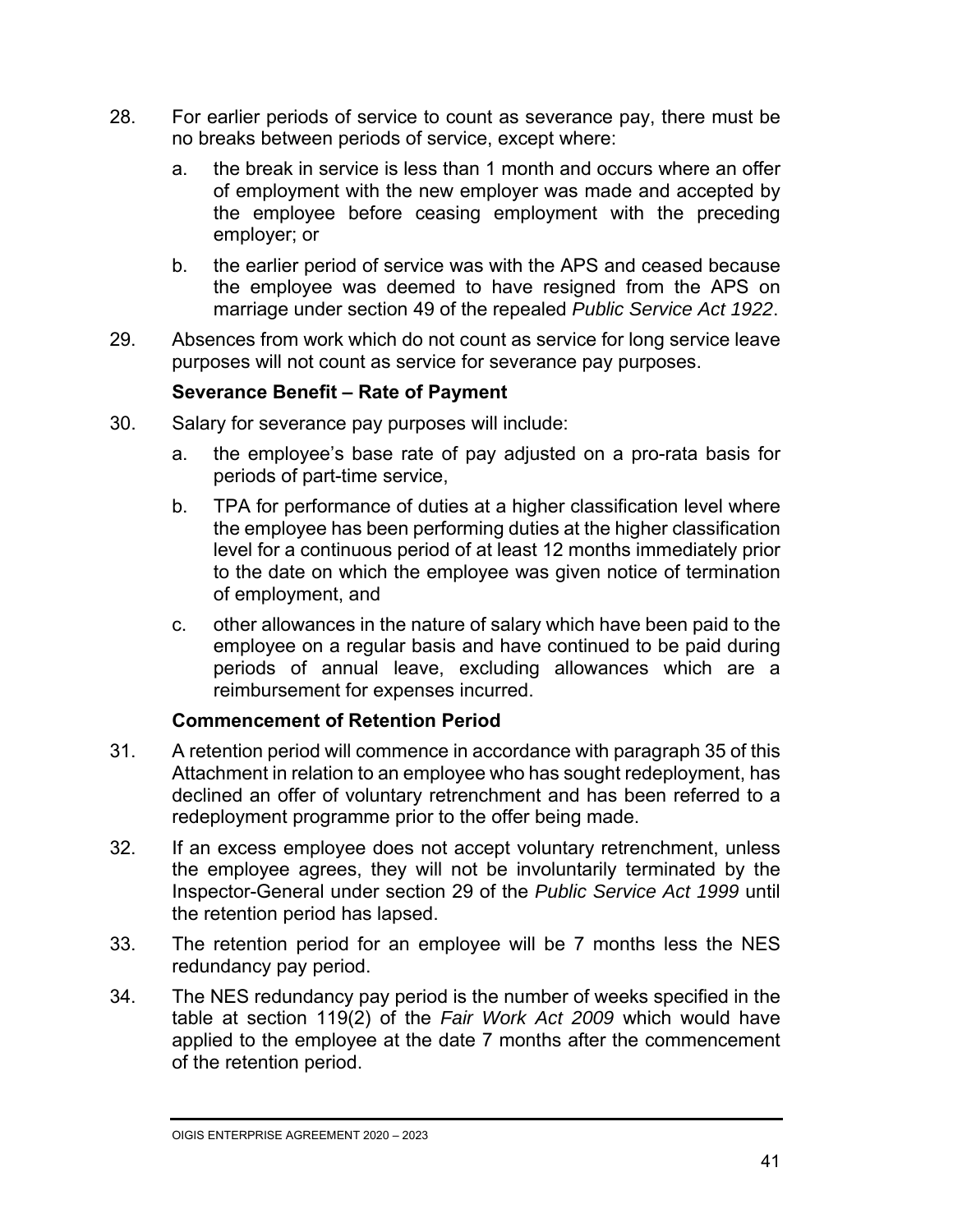- 28. For earlier periods of service to count as severance pay, there must be no breaks between periods of service, except where:
	- a. the break in service is less than 1 month and occurs where an offer of employment with the new employer was made and accepted by the employee before ceasing employment with the preceding employer; or
	- b. the earlier period of service was with the APS and ceased because the employee was deemed to have resigned from the APS on marriage under section 49 of the repealed *Public Service Act 1922*.
- 29. Absences from work which do not count as service for long service leave purposes will not count as service for severance pay purposes.

#### **Severance Benefit – Rate of Payment**

- 30. Salary for severance pay purposes will include:
	- a. the employee's base rate of pay adjusted on a pro-rata basis for periods of part-time service,
	- b. TPA for performance of duties at a higher classification level where the employee has been performing duties at the higher classification level for a continuous period of at least 12 months immediately prior to the date on which the employee was given notice of termination of employment, and
	- c. other allowances in the nature of salary which have been paid to the employee on a regular basis and have continued to be paid during periods of annual leave, excluding allowances which are a reimbursement for expenses incurred.

#### **Commencement of Retention Period**

- 31. A retention period will commence in accordance with paragraph 35 of this Attachment in relation to an employee who has sought redeployment, has declined an offer of voluntary retrenchment and has been referred to a redeployment programme prior to the offer being made.
- 32. If an excess employee does not accept voluntary retrenchment, unless the employee agrees, they will not be involuntarily terminated by the Inspector-General under section 29 of the *Public Service Act 1999* until the retention period has lapsed.
- 33. The retention period for an employee will be 7 months less the NES redundancy pay period.
- 34. The NES redundancy pay period is the number of weeks specified in the table at section 119(2) of the *Fair Work Act 2009* which would have applied to the employee at the date 7 months after the commencement of the retention period.

OIGIS ENTERPRISE AGREEMENT 2020 – 2023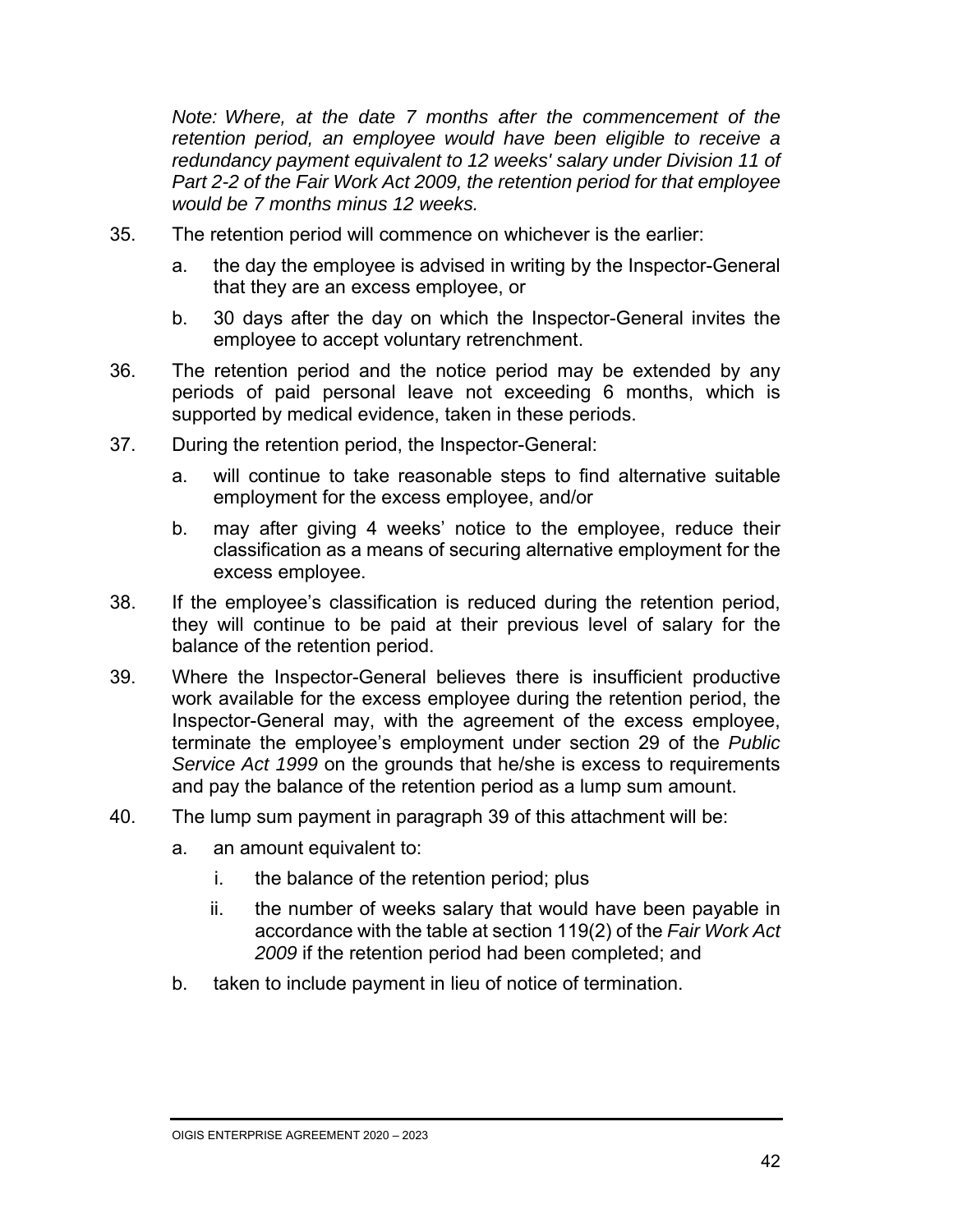*Note: Where, at the date 7 months after the commencement of the retention period, an employee would have been eligible to receive a redundancy payment equivalent to 12 weeks' salary under Division 11 of Part 2-2 of the Fair Work Act 2009, the retention period for that employee would be 7 months minus 12 weeks.* 

- 35. The retention period will commence on whichever is the earlier:
	- a. the day the employee is advised in writing by the Inspector-General that they are an excess employee, or
	- b. 30 days after the day on which the Inspector-General invites the employee to accept voluntary retrenchment.
- 36. The retention period and the notice period may be extended by any periods of paid personal leave not exceeding 6 months, which is supported by medical evidence, taken in these periods.
- 37. During the retention period, the Inspector-General:
	- a. will continue to take reasonable steps to find alternative suitable employment for the excess employee, and/or
	- b. may after giving 4 weeks' notice to the employee, reduce their classification as a means of securing alternative employment for the excess employee.
- 38. If the employee's classification is reduced during the retention period, they will continue to be paid at their previous level of salary for the balance of the retention period.
- 39. Where the Inspector-General believes there is insufficient productive work available for the excess employee during the retention period, the Inspector-General may, with the agreement of the excess employee, terminate the employee's employment under section 29 of the *Public Service Act 1999* on the grounds that he/she is excess to requirements and pay the balance of the retention period as a lump sum amount.
- 40. The lump sum payment in paragraph 39 of this attachment will be:
	- a. an amount equivalent to:
		- i. the balance of the retention period; plus
		- ii. the number of weeks salary that would have been payable in accordance with the table at section 119(2) of the *Fair Work Act 2009* if the retention period had been completed; and
	- b. taken to include payment in lieu of notice of termination.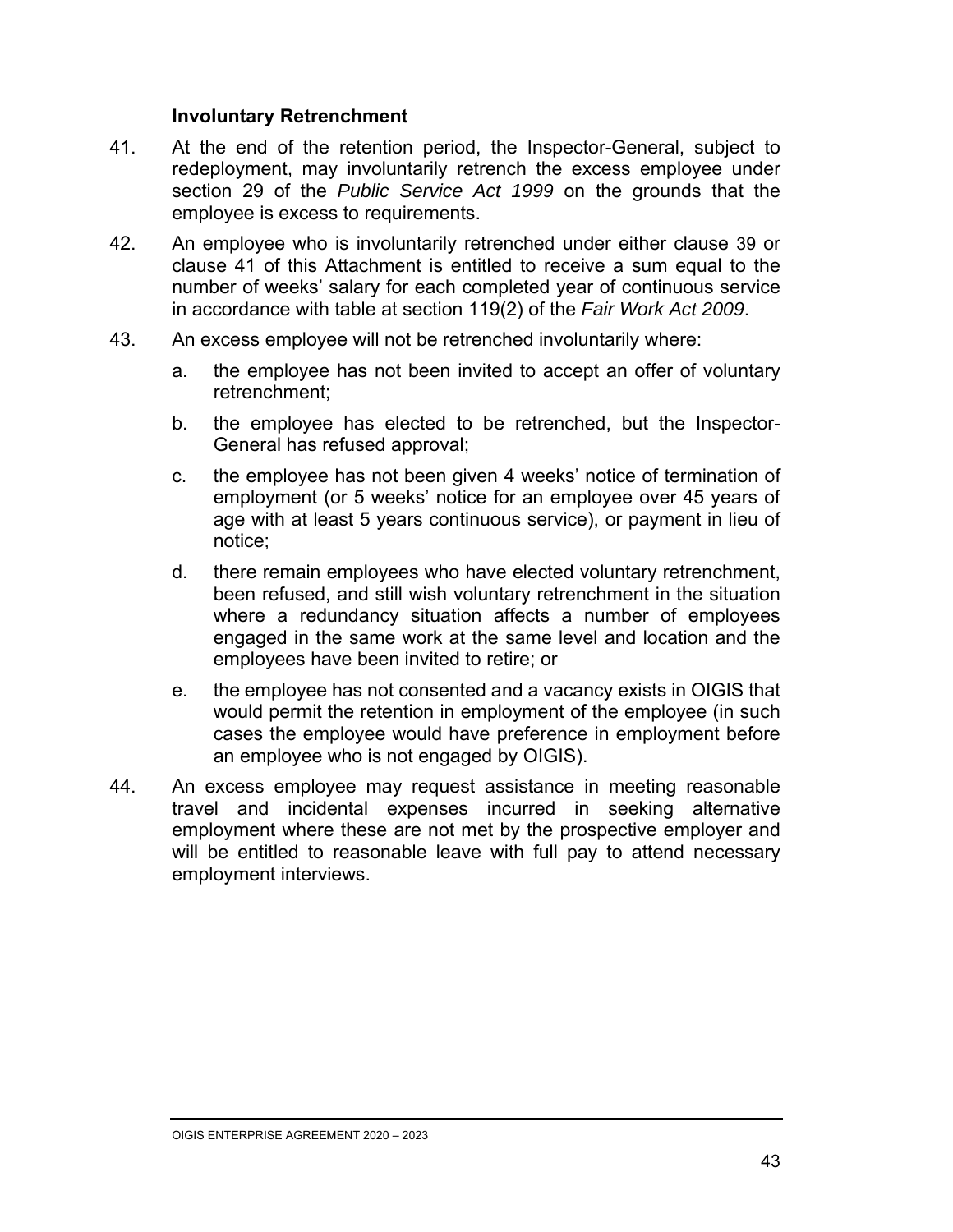#### **Involuntary Retrenchment**

- 41. At the end of the retention period, the Inspector-General, subject to redeployment, may involuntarily retrench the excess employee under section 29 of the *Public Service Act 1999* on the grounds that the employee is excess to requirements.
- 42. An employee who is involuntarily retrenched under either clause 39 or clause 41 of this Attachment is entitled to receive a sum equal to the number of weeks' salary for each completed year of continuous service in accordance with table at section 119(2) of the *Fair Work Act 2009*.
- 43. An excess employee will not be retrenched involuntarily where:
	- a. the employee has not been invited to accept an offer of voluntary retrenchment;
	- b. the employee has elected to be retrenched, but the Inspector-General has refused approval;
	- c. the employee has not been given 4 weeks' notice of termination of employment (or 5 weeks' notice for an employee over 45 years of age with at least 5 years continuous service), or payment in lieu of notice;
	- d. there remain employees who have elected voluntary retrenchment, been refused, and still wish voluntary retrenchment in the situation where a redundancy situation affects a number of employees engaged in the same work at the same level and location and the employees have been invited to retire; or
	- e. the employee has not consented and a vacancy exists in OIGIS that would permit the retention in employment of the employee (in such cases the employee would have preference in employment before an employee who is not engaged by OIGIS).
- 44. An excess employee may request assistance in meeting reasonable travel and incidental expenses incurred in seeking alternative employment where these are not met by the prospective employer and will be entitled to reasonable leave with full pay to attend necessary employment interviews.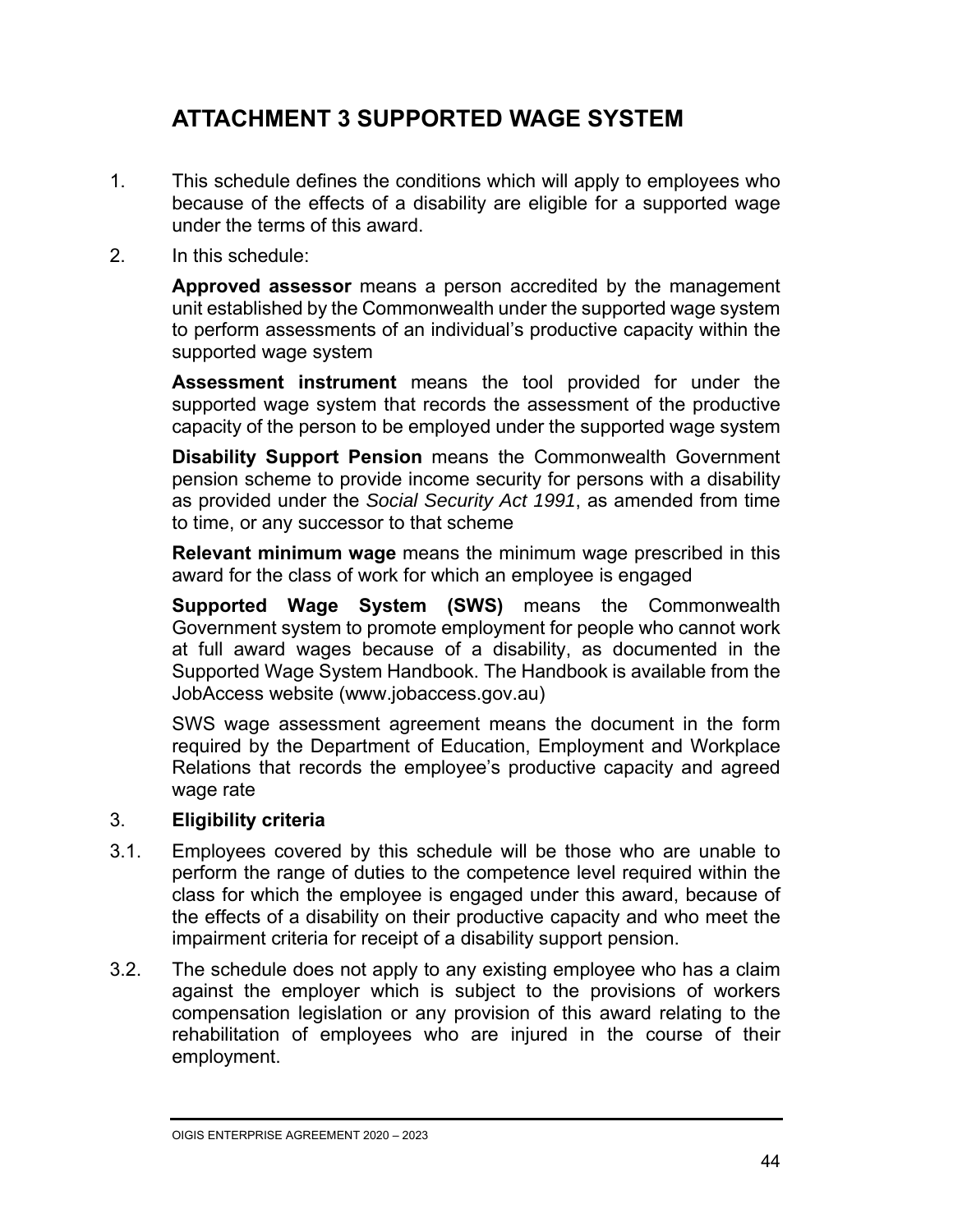### **ATTACHMENT 3 SUPPORTED WAGE SYSTEM**

- 1. This schedule defines the conditions which will apply to employees who because of the effects of a disability are eligible for a supported wage under the terms of this award.
- 2. In this schedule:

**Approved assessor** means a person accredited by the management unit established by the Commonwealth under the supported wage system to perform assessments of an individual's productive capacity within the supported wage system

**Assessment instrument** means the tool provided for under the supported wage system that records the assessment of the productive capacity of the person to be employed under the supported wage system

**Disability Support Pension** means the Commonwealth Government pension scheme to provide income security for persons with a disability as provided under the *Social Security Act 1991*, as amended from time to time, or any successor to that scheme

**Relevant minimum wage** means the minimum wage prescribed in this award for the class of work for which an employee is engaged

**Supported Wage System (SWS)** means the Commonwealth Government system to promote employment for people who cannot work at full award wages because of a disability, as documented in the Supported Wage System Handbook. The Handbook is available from the JobAccess website (www.jobaccess.gov.au)

SWS wage assessment agreement means the document in the form required by the Department of Education, Employment and Workplace Relations that records the employee's productive capacity and agreed wage rate

#### 3. **Eligibility criteria**

- 3.1. Employees covered by this schedule will be those who are unable to perform the range of duties to the competence level required within the class for which the employee is engaged under this award, because of the effects of a disability on their productive capacity and who meet the impairment criteria for receipt of a disability support pension.
- 3.2. The schedule does not apply to any existing employee who has a claim against the employer which is subject to the provisions of workers compensation legislation or any provision of this award relating to the rehabilitation of employees who are injured in the course of their employment.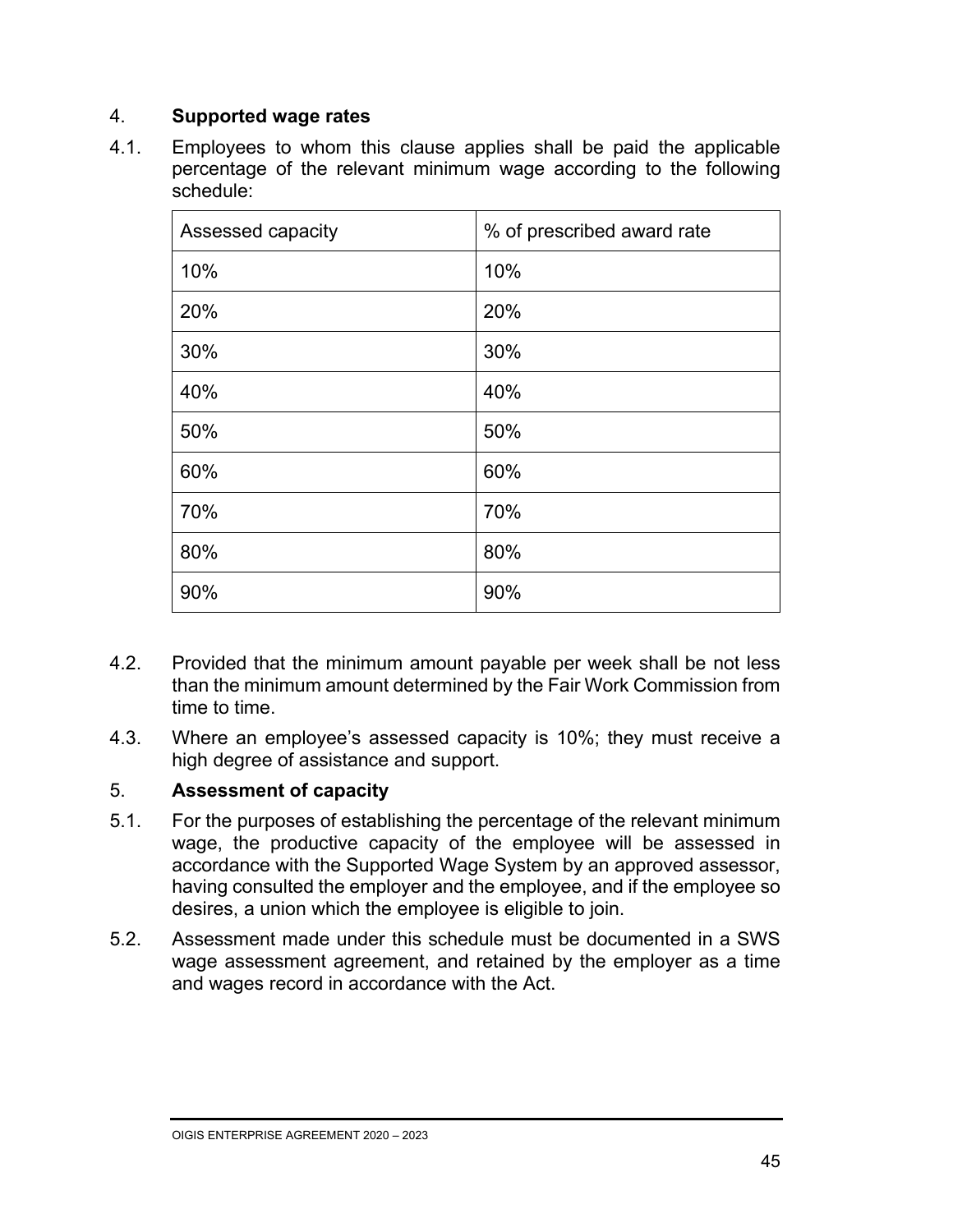#### 4. **Supported wage rates**

4.1. Employees to whom this clause applies shall be paid the applicable percentage of the relevant minimum wage according to the following schedule:

| Assessed capacity | % of prescribed award rate |
|-------------------|----------------------------|
| 10%               | 10%                        |
| 20%               | 20%                        |
| 30%               | 30%                        |
| 40%               | 40%                        |
| 50%               | 50%                        |
| 60%               | 60%                        |
| 70%               | 70%                        |
| 80%               | 80%                        |
| 90%               | 90%                        |

- 4.2. Provided that the minimum amount payable per week shall be not less than the minimum amount determined by the Fair Work Commission from time to time.
- 4.3. Where an employee's assessed capacity is 10%; they must receive a high degree of assistance and support.

#### 5. **Assessment of capacity**

- 5.1. For the purposes of establishing the percentage of the relevant minimum wage, the productive capacity of the employee will be assessed in accordance with the Supported Wage System by an approved assessor, having consulted the employer and the employee, and if the employee so desires, a union which the employee is eligible to join.
- 5.2. Assessment made under this schedule must be documented in a SWS wage assessment agreement, and retained by the employer as a time and wages record in accordance with the Act.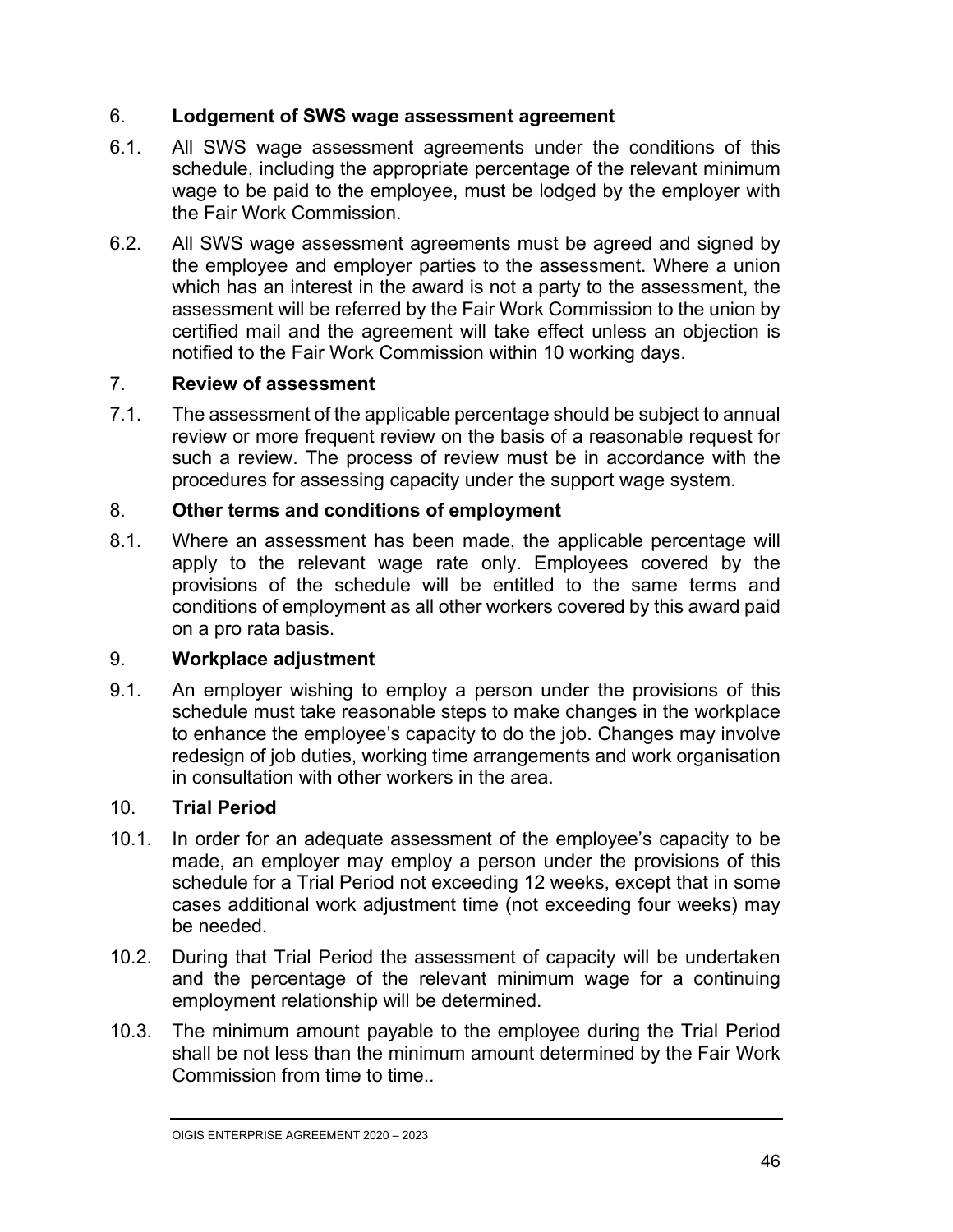#### 6. **Lodgement of SWS wage assessment agreement**

- 6.1. All SWS wage assessment agreements under the conditions of this schedule, including the appropriate percentage of the relevant minimum wage to be paid to the employee, must be lodged by the employer with the Fair Work Commission.
- 6.2. All SWS wage assessment agreements must be agreed and signed by the employee and employer parties to the assessment. Where a union which has an interest in the award is not a party to the assessment, the assessment will be referred by the Fair Work Commission to the union by certified mail and the agreement will take effect unless an objection is notified to the Fair Work Commission within 10 working days.

#### 7. **Review of assessment**

7.1. The assessment of the applicable percentage should be subject to annual review or more frequent review on the basis of a reasonable request for such a review. The process of review must be in accordance with the procedures for assessing capacity under the support wage system.

#### 8. **Other terms and conditions of employment**

8.1. Where an assessment has been made, the applicable percentage will apply to the relevant wage rate only. Employees covered by the provisions of the schedule will be entitled to the same terms and conditions of employment as all other workers covered by this award paid on a pro rata basis.

#### 9. **Workplace adjustment**

9.1. An employer wishing to employ a person under the provisions of this schedule must take reasonable steps to make changes in the workplace to enhance the employee's capacity to do the job. Changes may involve redesign of job duties, working time arrangements and work organisation in consultation with other workers in the area.

#### 10. **Trial Period**

- 10.1. In order for an adequate assessment of the employee's capacity to be made, an employer may employ a person under the provisions of this schedule for a Trial Period not exceeding 12 weeks, except that in some cases additional work adjustment time (not exceeding four weeks) may be needed.
- 10.2. During that Trial Period the assessment of capacity will be undertaken and the percentage of the relevant minimum wage for a continuing employment relationship will be determined.
- 10.3. The minimum amount payable to the employee during the Trial Period shall be not less than the minimum amount determined by the Fair Work Commission from time to time.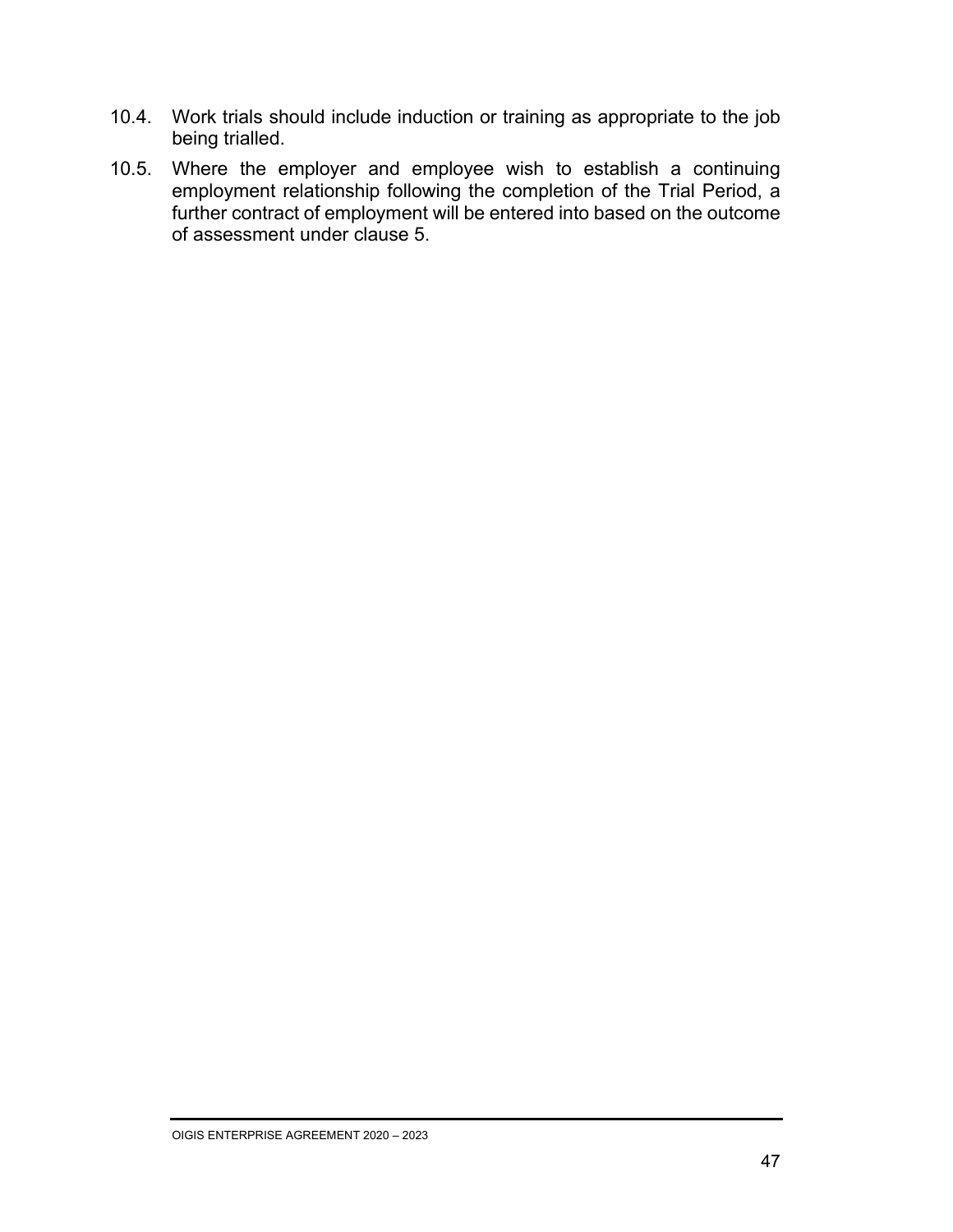- 10.4. Work trials should include induction or training as appropriate to the job being trialled.
- 10.5. Where the employer and employee wish to establish a continuing employment relationship following the completion of the Trial Period, a further contract of employment will be entered into based on the outcome of assessment under clause 5.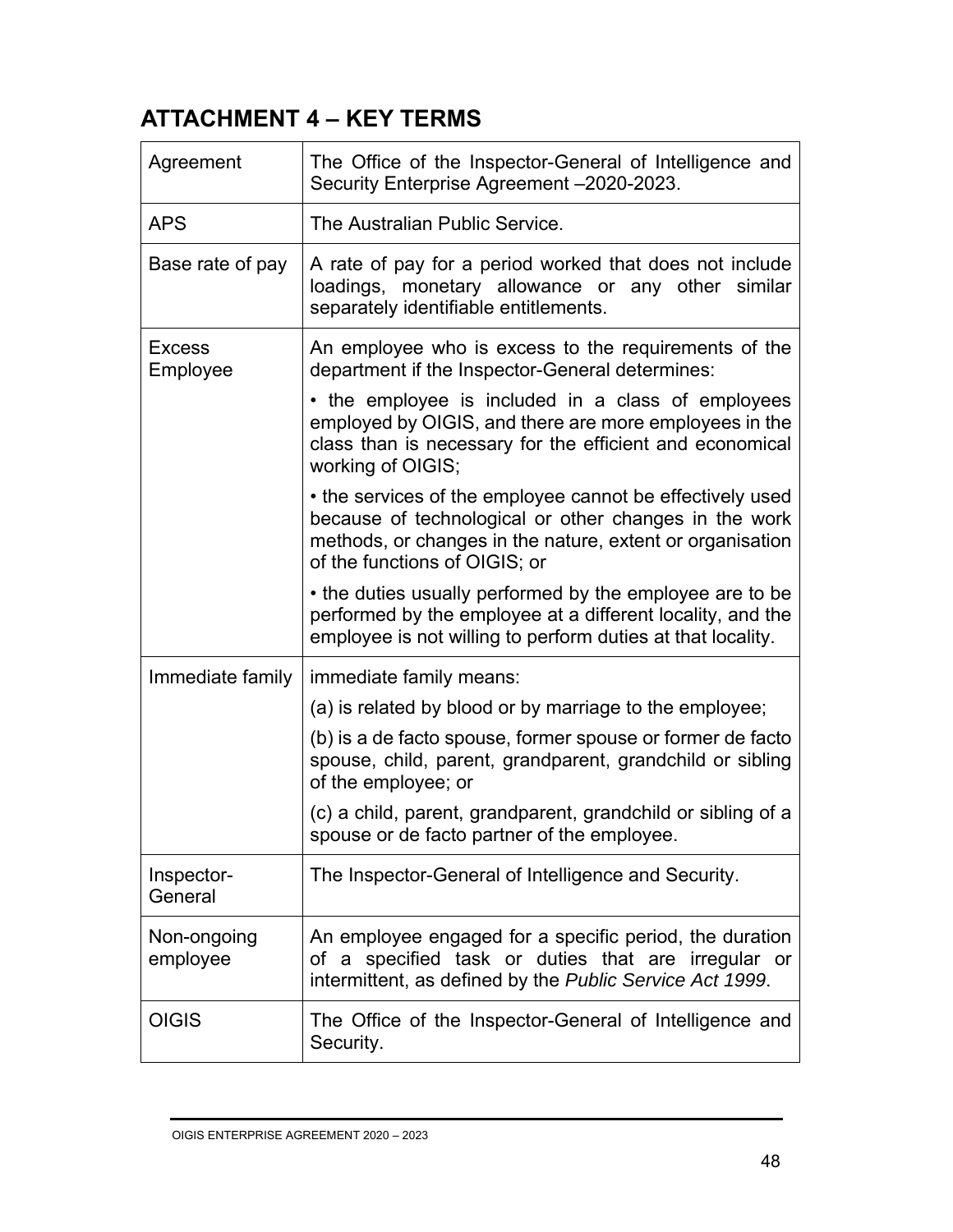## **ATTACHMENT 4 – KEY TERMS**

| Agreement                 | The Office of the Inspector-General of Intelligence and<br>Security Enterprise Agreement -2020-2023.                                                                                                             |
|---------------------------|------------------------------------------------------------------------------------------------------------------------------------------------------------------------------------------------------------------|
| <b>APS</b>                | The Australian Public Service.                                                                                                                                                                                   |
| Base rate of pay          | A rate of pay for a period worked that does not include<br>loadings, monetary allowance or any other similar<br>separately identifiable entitlements.                                                            |
| <b>Excess</b><br>Employee | An employee who is excess to the requirements of the<br>department if the Inspector-General determines:                                                                                                          |
|                           | • the employee is included in a class of employees<br>employed by OIGIS, and there are more employees in the<br>class than is necessary for the efficient and economical<br>working of OIGIS;                    |
|                           | • the services of the employee cannot be effectively used<br>because of technological or other changes in the work<br>methods, or changes in the nature, extent or organisation<br>of the functions of OIGIS; or |
|                           | • the duties usually performed by the employee are to be<br>performed by the employee at a different locality, and the<br>employee is not willing to perform duties at that locality.                            |
| Immediate family          | immediate family means:                                                                                                                                                                                          |
|                           | (a) is related by blood or by marriage to the employee;                                                                                                                                                          |
|                           | (b) is a de facto spouse, former spouse or former de facto<br>spouse, child, parent, grandparent, grandchild or sibling<br>of the employee; or                                                                   |
|                           | (c) a child, parent, grandparent, grandchild or sibling of a<br>spouse or de facto partner of the employee                                                                                                       |
| Inspector-<br>General     | The Inspector-General of Intelligence and Security.                                                                                                                                                              |
| Non-ongoing<br>employee   | An employee engaged for a specific period, the duration<br>of a specified task or duties that are irregular or<br>intermittent, as defined by the Public Service Act 1999.                                       |
| <b>OIGIS</b>              | The Office of the Inspector-General of Intelligence and<br>Security.                                                                                                                                             |